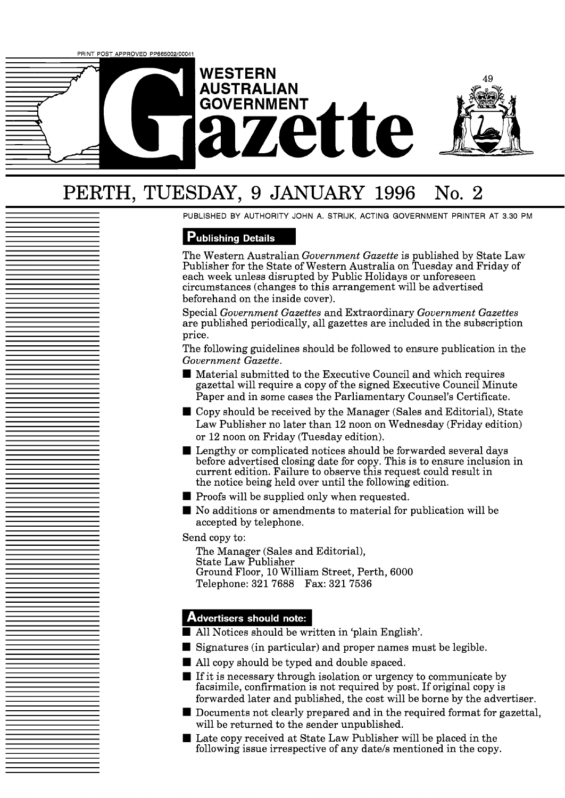

# PERTH, TUESDAY, 9 JANUARY 1996 No. 2

PUBLISHED BY AUTHORITY JOHN A. STRIJK, ACTING GOVERNMENT PRINTER AT 3.30 PM

## **Publishing Details**

The Western Australian *Government Gazette* is published by State Law Publisher for the State of Western Australia on Tuesday and Friday of each week unless disrupted by Public Holidays or unforeseen circumstances (changes to this arrangement will be advertised beforehand on the inside cover).

Special *Government Gazettes* and Extraordinary *Government Gazettes*  are published periodically, all gazettes are included in the subscription price.

The following guidelines should be followed to ensure publication in the *Government Gazette.* 

- Material submitted to the Executive Council and which requires gazettal will require a copy of the signed Executive Council Minute Paper and in some cases the Parliamentary Counsel's Certificate.
- Copy should be received by the Manager (Sales and Editorial), State Law Publisher no later than 12 noon on Wednesday (Friday edition) or 12 noon on Friday (Tuesday edition).
- **Lengthy or complicated notices should be forwarded several days** before advertised closing date for copy. This is to ensure inclusion in current edition. Failure to observe this request could result in the notice being held over until the following edition.
- $\blacksquare$  Proofs will be supplied only when requested.
- No additions or amendments to material for publication will be accepted by telephone.

Send copy to:

The Manager (Sales and Editorial), State Law Publisher Ground Floor, 10 William Street, Perth, 6000 Telephone: 321 7688 Fax: 321 7536

## **Advertisers should note:**

- All Notices should be written in 'plain English'.
- Signatures (in particular) and proper names must be legible.
- All copy should be typed and double spaced.
- If it is necessary through isolation or urgency to communicate by facsimile, confirmation is not required by post. If original copy is forwarded later and published, the cost will be borne by the advertiser.
- Documents not clearly prepared and in the required format for gazettal, will be returned to the sender unpublished.
- Late copy received at State Law Publisher will be placed in the following issue irrespective of any date/s mentioned in the copy.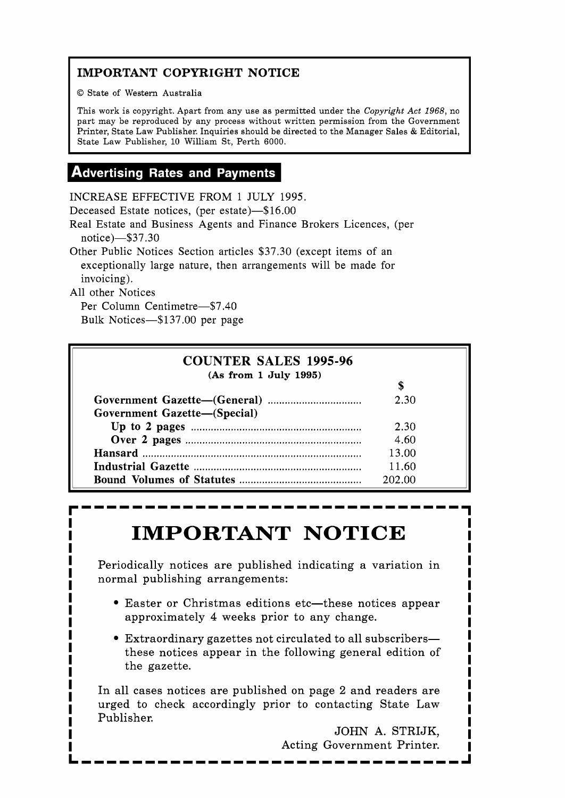## **IMPORTANT COPYRIGHT NOTICE**

O State of Western Australia

This work is copyright. Apart from any use as permitted under the **Copyright** *Act* 1968, no part may be reproduced by any process without written permission from the Government Printer, State Law Publisher. Inquiries should be directed to the Manager Sales & Editorial, State Law Publisher, 10 William St, Perth 6000.

## **Advertising Rates and Payments**

INCREASE EFFECTIVE FROM 1 JULY 1995.

Deceased Estate notices, (per estate)-\$16.00

Real Estate and Business Agents and Finance Brokers Licences, (per notice)-\$37.30

Other Public Notices Section articles \$37.30 (except items of an exceptionally large nature, then arrangements will be made for invoicing).

All other Notices

Per Column Centimetre-\$7.40 Bulk Notices-\$137.00 per page

| <b>COUNTER SALES 1995-96</b> |        |  |
|------------------------------|--------|--|
| (As from 1 July 1995)        |        |  |
| Government Gazette-(Special) | 2.30   |  |
|                              | 2.30   |  |
|                              | 4.60   |  |
|                              | 13.00  |  |
|                              | 11.60  |  |
|                              | 202.00 |  |

# **IMPORTANT NOTICE** <u>I</u> I'll be interested in the set of  $\frac{1}{2}$

Periodically notices are published indicating a variation in normal publishing arrangements:

- **Easter or Christmas editions etc—these notices appear e** Easter or Christmas editions etc—these notices appear<br> **I** approximately 4 weeks prior to any change.<br> **I**
- **I** Extraordinary gazettes not circulated to all subscribers- **I I Extraordinary gazettes not circulated to all subscribers—<br>
<b>I** these notices appear in the following general edition of **I** these notices appear in the following general edition of **I**<br> **I** the gazette. **I** the gazette.

In all cases notices are published on page 2 and readers are **I**  In all cases notices are published on page 2 and readers are<br>In the check accordingly prior to contacting State Law and **I I** urged to check accordingly prior to contacting State Law **I 1** Publisher.

**I** JOHN A. STRIJK, Acting Government Printer. **LIIIIIIIIIIIIIIIIIIIIIIIIIIIIIIJ** 

**I**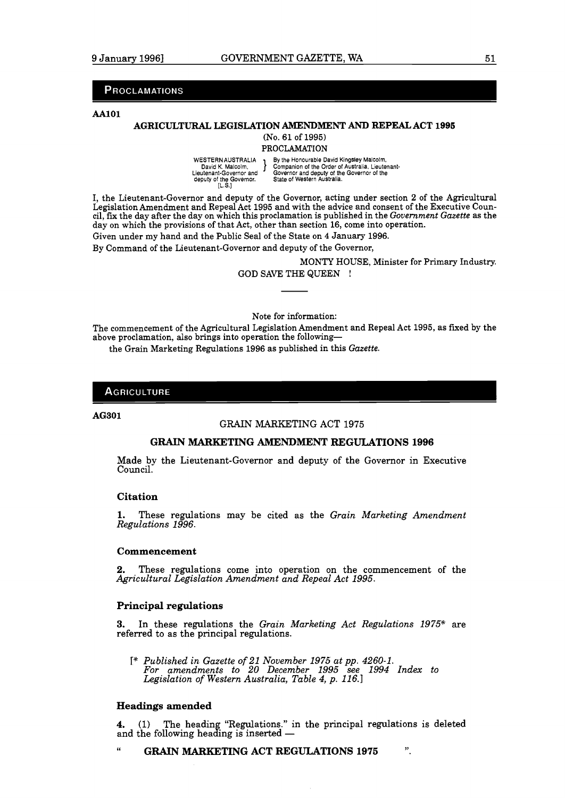## **PROCLAMATIONS**

#### AA101

## **AGRICULTURAL LEGISLATION AMENDMENT AND REPEAL** ACT **1995**

(No. 61 of 1995)

**PROCLAMATION** 

WESTERNAUSTRALIA **By** the Honourable David Kingsley Malcolm, NESTERNAUSTRALIA BY THE HONOUGLIB DAVID KING MISSIES IN AUSTRALIA (NAUGUIT)<br>David K. Malcolm, S. Gompanion of the Order of Australia. Lieutenant-Governor and Governor and deputy of the Governor of the deputy of the Governor. State of Western Australia. [L.S.]

I, the Lieutenant-Governor and deputy of the Governor, acting under section 2 of the Agricultural Legislation Amendment and Repeal Act 1995 and with the advice and consent of the Executive Council, fix the day after the day on which this proclamation is published in the *Government Gazette* as the day on which the provisions of that Act, other than section 16, come into operation.

Given under my hand and the Public Seal of the State on 4 January 1996.

By Command of the Lieutenant-Governor and deputy of the Governor,

MONTY HOUSE, Minister for Primary Industry, GOD SAVE THE QUEEN !

Note for information:

The commencement of the Agricultural Legislation Amendment and Repeal Act 1995, as fxed by the above proclamation, also brings into operation the following-

the Grain Marketing Regulations 1996 as published in this *Gazette.* 

## **AGRICULTURE**

## AG301

### GRAIN MARKETING ACT 1975

## **GRAIN MARKETING AMENDMENT REGULATIONS 1996**

Made by the Lieutenant-Governor and deputy of the Governor in Executive Council.

#### **Citation**

**1.** These regulations may be cited as the *Grain Marketing Amendment Regulations 1996.* 

### **Commencement**

**2.** These regulations come into operation on the commencement of the *Agricultural Legislation Amendment and Repeal Act 1995.* 

#### **Principal regulations**

**3.** In these regulations the *Grain Marketing Act Regulations 1975"* are referred to as the principal regulations.

T\* *Published in Gazette of 21 November 1975 ut pp. 4260-1. For amendments to 20 December 1995 see 1994 Index to Legislation of Western Australia, Table 4, p. 116.1* 

## **Headings amended**

**4.** (1) The heading "Regulations." in the principal regulations is deleted and the following the following the following heading is inserted -

" **GRAIN MARKETING ACT REGULATIONS 1975 9,**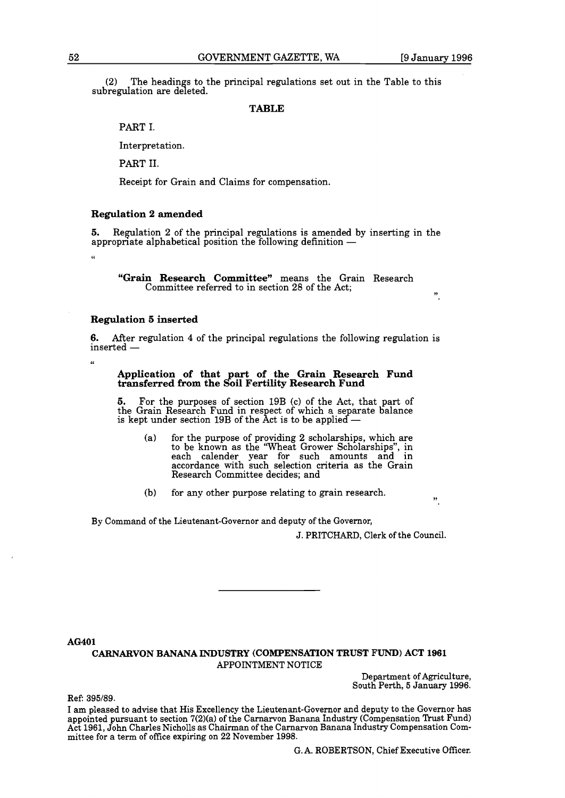**9,** 

 $(2)$  The headings to the principal regulations set out in the Table to this subregulation are deleted.

## **TABLE**

PART I.

Interpretation.

PART 11.

Receipt for Grain and Claims for compensation.

## **Regulation 2 amended**

**5.** Regulation 2 of the principal regulations is amended by inserting in the appropriate a matemate<br>**5.** Regulation 2 of the principal regulations is amended by<br>appropriate alphabetical position the following definition —

**"Grain Research Committee"** means the Grain Research Committee referred to in section 28 of the Act;

## **Regulation 5 inserted**

"

 $\alpha$ 

**6.** After regulation 4 of the principal regulations the following regulation is **6.** After reginserted —

## **Application of that art of the Grain Research Fund transferred from the &il Fertility Research Fund**

**5.** For the purposes of section **19B** (c) of the Act, that part of the Grain Research Fund in respect of which a separate balance is kept under section  $19B$  of the Act is to be applied  $-$ 

(a) for the purpose of providing **2** scholarships, which are to be known as the "Wheat Grower Scholarships", in each calender year for such amounts and in accordance with such selection criteria as the Grain Research Committee decides; and

(b) for any other purpose relating to grain research. **9,** 

By Command of the Lieutenant-Governor and deputy of the Governor,

J. PRITCHARD, Clerk of the Council.

AG401

## CARNARVON BANANA INDUSTRY (COMPENSATION TRUST FUND) ACT 1961 APPOINTMENT NOTICE

Department of Agriculture, South Perth, 5 January 1996.

Ref: 395/89.

I am pleased to advise that His Excellency the Lieutenant-Governor and deputy to the Governor has appointed pursuant to section 7(2)(a) of the Carnarvon Banana Industry (Compensation Trust Fund) Act 1961, John Charles Nicholls as Chairman of the Carnarvon Banana Industry Compensation Committee for a term of office expiring on 22 November 1998.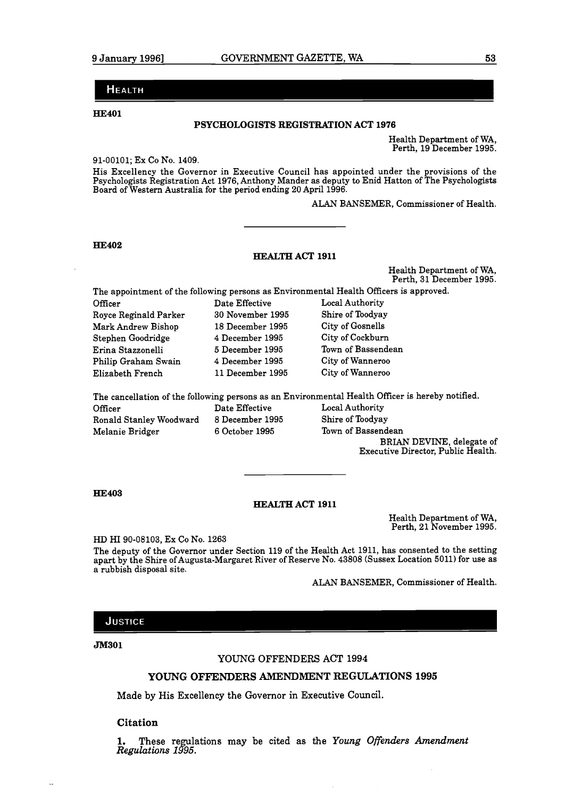-

## **Неа**етн

**HE401** 

## PSYCHOLOGISTS REGISTRATION ACT **1976**

Health Department of WA, Perth, 19 December 1995.

91-00101; EX CO NO. 1409.

His Excellency the Governor in Executive Council has appointed under the provisions of the Psychologists Registration Act 1976, Anthony Mander as deputy to Enid Hatton of The Psychologists Board of Western Australia for the period ending 20 April 1996.

ALAN BANSEMER, Commissioner of Health.

## **HE402**

## **HEALTH** ACT **1911**

Health Department of WA, Perth, 31 December 1995.

The appointment of the following persons as Environmental Health Officers is approved.

Officer Date Effective Local Authority Royce Reginald Parker 30 November 1995 Shire of Toodyay Mark Andrew Bishop 18 December 1995 City of Gosnells Stephen Goodridge 4 December 1995 City of Cockburn Erina Stazzonelli 5 December 1995 Town of Bassendean Philip Graham Swain 4 December 1995 City of Wanneroo Elizabeth French 11 December 1995 City of Wanneroo

Date Effective

The cancellation of the following persons as an Environmental Health Officer is hereby notified.<br>Officer Date Effective Local Authority Ronald Stanley Woodward 8 December 1995 Shire of Toodyay Melanie Bridger 6 October 1995 Town of Bassendean

BRIAN DEVINE, delegate of Executive Director, Public Health.

### **HE403**

#### **HEALTH** ACT **1911**

Health Department of WA, Perth, 21 November 1995.

HD HI 90-08103, Ex CO No. 1263

The deputy of the Governor under Section 119 of the Health Act 1911, has consented to the setting apart by the Shire of Augusta-Margaret River of Reserve No. 43808 (Sussex Location 5011) for use as a rubbish disposal site.

ALAN BANSEMER, Commissioner of Health.

## **JUSTICE**

**JM301** 

÷.

#### YOUNG OFFENDERS ACT 1994

## **YOUNG OFFENDERS AMENDMENT REGULATIONS 1995**

Made by His Excellency the Governor in Executive Council.

## **Citation**

1. These regulations may be cited as the *Young Offenders Amendment Regulations 1995*.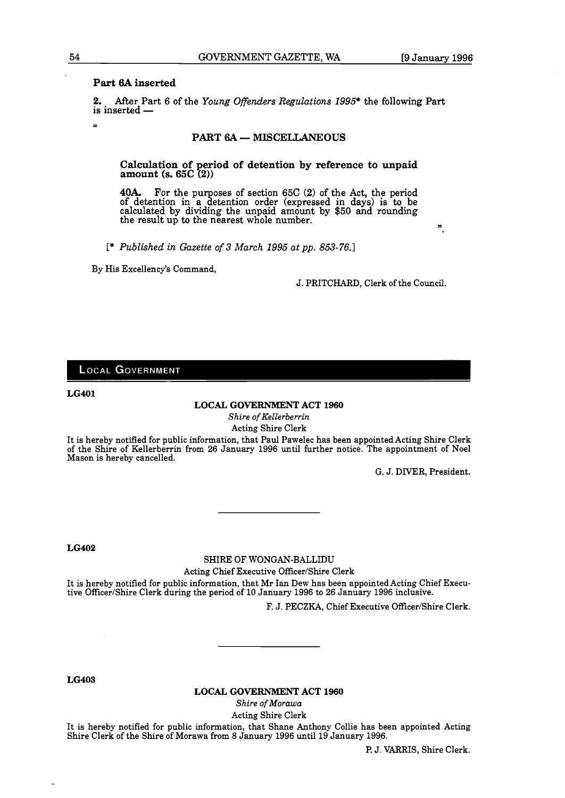## **Part 6A inserted**

**2.** After Part 6 of the *Young Offenders Regulations 1995\** the following Part is inserted -

## **PART 6A** - **MISCELLANEOUS**

**Calculation of period of detention by reference to unpaid amount (S. 65C (2))** 

40A. For the purposes of section 65C (2) of the Act, the period of detention in a detention order (expressed in days) is to be calculated by dividing the unpaid amount by \$50 and rounding the result up to the nearest whole number.

**C\*** *Published in Gazette of 3 March 1995 at pp. 853-76.1* 

By His Excellency's Command,

J. PRITCHARD, Clerk of the Council.

## **LOCAL GOVERNMENT**

**LG401** 

## **LOCAL GOVERNMENT ACT 1960**

*Shire of Kellerberrin*  Acting Shire Clerk

It is hereby notified for public information, that Paul Pawelec has been appointed Acting Shire Clerk of the Shire of Kellerberrin from 26 January 1996 until further notice. The appointment of Noel Mason is hereby cancelled.

G. J. DIVER, President.

**LG402** 

## SHIRE OF WONGAN-BALLIDU

Acting Chief Executive Officer/Shire Clerk

It is hereby notified for public information, that Mr Ian Dew has been appointed Acting Chief Executive Officer/Shire Clerk during the period of 10 January 1996 to 26 January 1996 inclusive.

F. J. PECZKA, Chief Executive Officer/Shire Clerk.

**LG403** 

**LOCAL GOVERNMENT ACT 1960** 

*Shire of Morawa*  Acting Shire Clerk

It is hereby notified for public information, that Shane Anthony Collie has been appointed Acting Shire Clerk of the Shire of Morawa from 8 January 1996 until 19 January 1996.

P. J. VARRIS, Shire Clerk.

**U**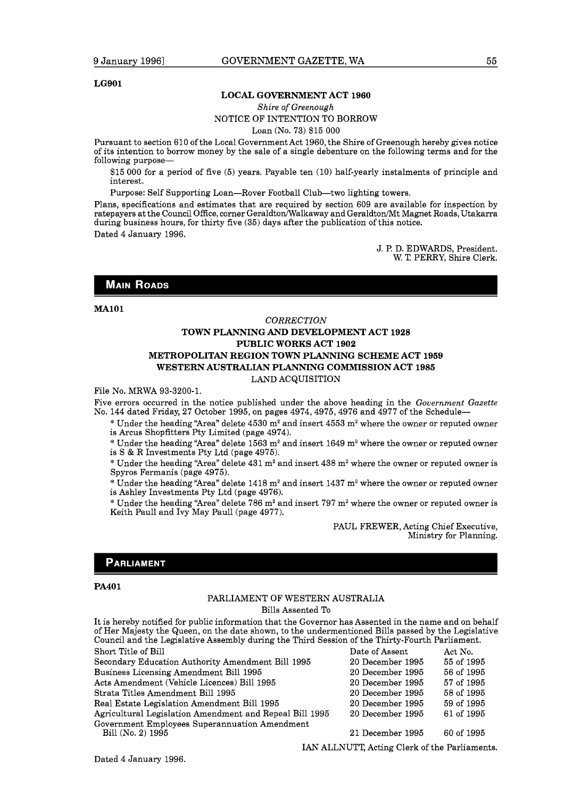#### **LG901**

#### **LOCAL GOVERNMENT ACT 1960**

*Shire of Greenough* 

#### NOTICE OF INTENTION TO BORROW

Loan (No. 73) \$15 000

Pursuant to section 610 of the Local Government Act 1960, the Shire of Greenough hereby gives notice of its intention to borrow money by the sale of a single debenture on the following terms and for the following purpose-

\$15 000 for a period of five (5) years. Payable ten (10) half-yearly instalments of principle and interest.

Purpose: Self Supporting Loan-Rover Football Club-two lighting towers.

Plans, specifications and estimates that are required by section 609 are available for inspection by ratepayers at the Council Office, corner Geraldton/Walkaway and Geraldton/Mt Magnet Roads, Utakarra during business hours, for thirty five (35) days after the publication of this notice.

Dated 4 January 1996.

J. P. D. EDWARDS, President. W. **T,** PERRY, Shire Clerk.

## **MAIN ROADS**

#### **MA101**

## *CORRECTION*  **TOWN PLANNING AND DEVELOPMENT ACT 1928 PUBLIC WORKS ACT 1902 METROPOLITAN REGION TOWN PLANNING SCHEME ACT 1959 WESTERN AUSTRALIAN PLANNING COMMISSION ACT 1985**  LAND ACQUISITION

File No. MRWA 93-3200-1.

Five errors occurred in the notice published under the above heading in the *Government Gazette*  No. 144 dated Friday, 27 October 1995, on pages 4974,4975,4976 and 4977 of the Schedule-

 $*$  Under the heading "Area" delete 4530 m<sup>2</sup> and insert 4553 m<sup>2</sup> where the owner or reputed owner is Arcus Shopfitters Pty Limited (page 4974).

\* Under the heading "Area" delete 1563 m<sup>2</sup> and insert 1649 m<sup>2</sup> where the owner or reputed owner is S & R Investments Pty Ltd (page 4975).

\* Under the heading "Area" delete  $431$  m<sup>2</sup> and insert  $438$  m<sup>2</sup> where the owner or reputed owner is Spyros Fermanis (page 4975).

 $*$  Under the heading "Area" delete 1418 m<sup>2</sup> and insert 1437 m<sup>2</sup> where the owner or reputed owner is Ashley Investments Pty Ltd (page 4976).

 $*$  Under the heading "Area" delete 786 m<sup>2</sup> and insert 797 m<sup>2</sup> where the owner or reputed owner is Keith Paull and Ivy May Paull (page 4977).

> PAUL FREWER, Acting Chief Executive, Ministry for Planning.

### **PARLIAMENT**

#### **PA4O 1**

## PARLIAMENT OF WESTERN AUSTRALIA

Bills Assented To

It is hereby notified for public information that the Governor has Assented in the name and on behalf of Her Majesty the Queen, on the date shown, to the undermentioned Bills passed by the Legislative Council and the Legislative Assembly during the Third Session of the Thirty-Fourth Parliament. Short Title of Bill **Short Title of Bill** Date of Assent Act No.

| Secondary Education Authority Amendment Bill 1995       | 20 December 1995 | 55 of 1995 |
|---------------------------------------------------------|------------------|------------|
| Business Licensing Amendment Bill 1995                  | 20 December 1995 | 56 of 1995 |
| Acts Amendment (Vehicle Licences) Bill 1995             | 20 December 1995 | 57 of 1995 |
| Strata Titles Amendment Bill 1995                       | 20 December 1995 | 58 of 1995 |
| Real Estate Legislation Amendment Bill 1995             | 20 December 1995 | 59 of 1995 |
| Agricultural Legislation Amendment and Repeal Bill 1995 | 20 December 1995 | 61 of 1995 |
| Government Employees Superannuation Amendment           |                  |            |
| Bill (No. 2) 1995                                       | 21 December 1995 | 60 of 1995 |
|                                                         |                  |            |

IAN ALLNUTT, Acting Clerk of the Parliaments.

Dated 4 January 1996.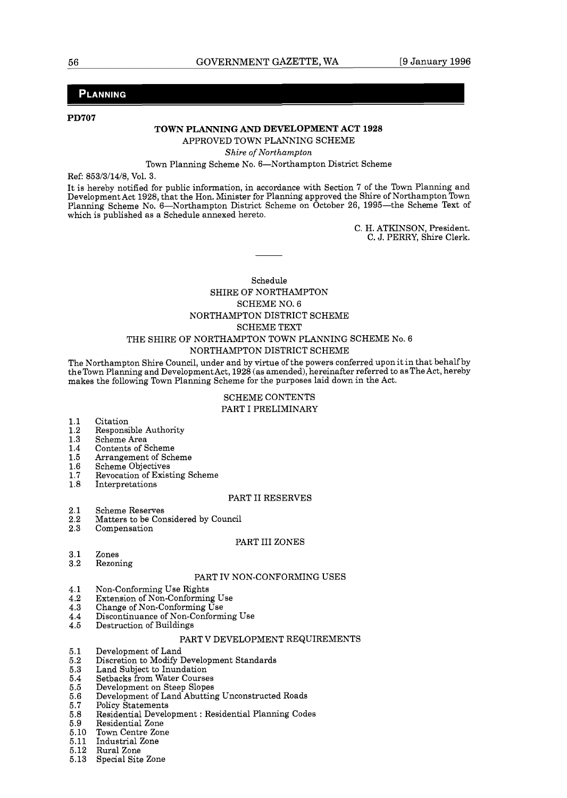## PLANNING

**PD707** 

## **TOWN PLANNING AND DEVELOPMENT ACT 1928**

APPROVED TOWN PLANNING SCHEME

#### Shire of Northampton

## Town Planning Scheme No. 6-Northampton District Scheme

Ref: 853/3/14/8, Vol. 3.

It is hereby notified for public information, in accordance with Section **7** of the Town Planning and Development Act 1928, that the Hon. Minister for Planning approved the Shire of Northampton Town Planning Scheme No. 6-Northampton District Scheme on October 26, 1995-the Scheme Text of which is published as a Schedule annexed hereto.

> C. H. ATKINSON, President. C. J. PERRY, Shire Clerk.

## Schedule SHIRE OF NORTHAMPTON SCHEME NO. 6 NORTHAMPTON DISTRICT SCHEME SCHEME TEXT THE SHIRE OF NORTHAMPTON TOWN PLANNING SCHEME No. 6

## NORTHAMPTON DISTRICT SCHEME

The Northampton Shire Council, under and by virtue of the powers conferred upon it in that behalf by theTown Planning and DevelopmentAct, 1928 (as amended), hereinafter referred to asThe Act, hereby makes the following Town Planning Scheme for the purposes laid down in the Act.

## SCHEME CONTENTS PART I PRELIMINARY

- $1.1$ Citation
- $1.2$ Responsible Authority
- $1.3$ Scheme Area
- Contents of Scheme  $1.4$
- Arrangement of Scheme  $1.5$
- 1.6 Scheme Objectives
- Revocation of Existing Scheme  $1.7$
- 1.8 Interpretations

## PART I1 RESERVES

- $2.1$ Scheme Reserves
- $\overline{2.2}$ Matters to be Considered by Council
- $2.3$ Compensation

#### PART III ZONES

- $3.1$ Zones
- $3.2$ Rezoning

#### PART IV NON-CONFORMING USES

- Non-Conforming Use Rights  $4.1\,$
- $4.2$ Extension of Non-Conforming Use
- Change of Non-Conforming Use 4.3
- Discontinuance of Non-Conforming Use 4.4
- 4.5 Destruction of Buildings

## PART V DEVELOPMENT REQUIREMENTS

- $5.1$ Development of Land
- Discretion to Modify Development Standards  $5.2\,$
- Land Subject to Inundation  $5.3\,$
- $5.4$ Setbacks from Water Courses
- $5.5\,$ Development on Steep Slopes
- 5.6 Development of Land Abutting Unconstructed Roads
- 5.7 Policy Statements
- $5.8$ Residential Development : Residential Planning Codes
- 5.9 Residential Zone
- 5.10 Town Centre Zone
- Industrial Zone 5.11
- 5.12 Rural Zone
- Special Site Zone 5.13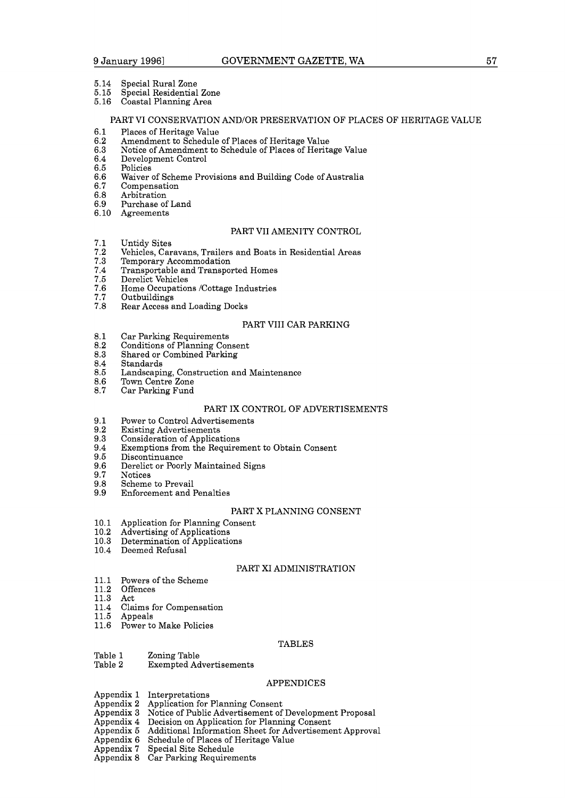- 5.14 Special Rural Zone
- 5.15 Special Residential Zone
- Coastal Planning Area

### PART VI CONSERVATION AND/OR PRESERVATION OF PLACES OF HERITAGE VALUE

- $6.1$ Places of Heritage Value
- 6.2 Amendment to Schedule of Places of Heritage Value
- 6.3 Notice of Amendment to Schedule of Places of Heritage Value
- 6.4 Development Control
- 6.5 Policies
- 6.6 Waiver of Scheme Provisions and Building Code of Australia
- 6.7 Compensation
- Arbitration 6.8
- 6.9 Purchase of Land
- 6.10 Agreements

## PART V11 AMENITY CONTROL

- $7.1$ Untidy Sites
- $\bf 7.2$ Vehicles, Caravans, Trailers and Boats in Residential Areas
- Temporary Accommodation
- $7.\overline{3}$ <br> $7.4$ Transportable and Transported Homes
- 7.5 Derelict Vehicles
- Home Occupations /Cottage Industries 7.6
- 7.7 Outbuildings
- 7.8 Rear Access and Loading Docks

## PART V111 CAR PARKING

- $8.1$ Car Parking Requirements
- 8.2 Conditions of Planning Consent
- 8.3 Shared or Combined Parking
- 8.4 Standards
- 8.5 Landscaping, Construction and Maintenance
- Town Centre Zone 8.6
- 8.7 Car Parking Fund

#### PART IX CONTROL OF ADVERTISEMENTS

- $9.1$ Power to Control Advertisements
- $9.2$ Existing Advertisements
- 9.3 Consideration of Applications
- 9.4 Exemptions from the Requirement to Obtain Consent
- 9.5 Discontinuance
- Derelict or Poorly Maintained Signs 9.6
- 9.7 Notices
- 9.8 Scheme to Prevail
- Enforcement and Penalties 9.9

#### PART X PLANNING CONSENT

- Application for Planning Consent  $10.1$
- $10.2$ Advertising of Applications
- Determination of Applications  $10.3$
- $10.4$ Deemed Refusal

#### PART XI ADMINISTRATION

- Powers of the Scheme  $11.1$
- 11.2 **Offences**
- 11.3 Act
- Claims for Compensation  $11.4\,$
- 11.5 Appeals
- 11.6 Power to Make Policies

#### TABLES

- Table 1 Zoning Table<br>Table 2 Exempted Ad
- **Exempted Advertisements**

#### APPENDICES

- Appendix 1 Interpretations
- Appendix 2 Appendix 3 Application for Planning Consent Notice of Public Advertisement of Development Proposal
- Appendix 4
- Decision on Application for Planning Consent
- Appendix 5 Additional Information Sheet for Advertisement Approval
- Appendix 6 Schedule of Places of Heritage Value
- Appendix 7 Special Site Schedule
- Appendix 8 Car Parking Requirements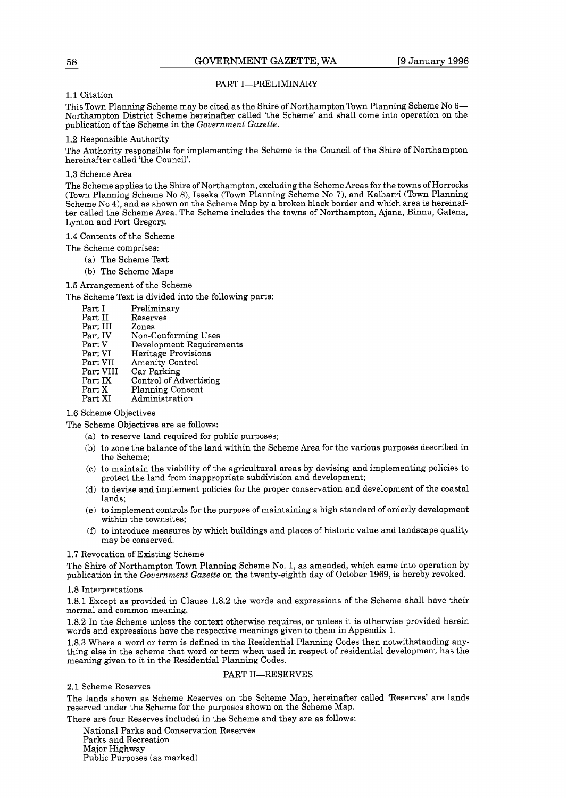#### PART I-PRELIMINARY

#### 1.1 Citation

This Town Planning Scheme may be cited as the Shire of Northampton Town Planning Scheme No 6- Northampton District Scheme hereinafter called 'the Scheme' and shall come into operation on the publication of the Scheme in the *Government Gazette.* 

#### 1.2 Responsible Authority

The Authority responsible for implementing the Scheme is the Council of the Shire of Northampton hereinafter called 'the Council'.

#### 1.3 Scheme Area

The Scheme applies to the Shire of Northampton, excluding the Scheme Areas for the towns of Horrocks (Town Planning Scheme No B), Isseka (Town Planning Scheme No 7), and Kalbarri (Town Planning Scheme No 4), and as shown on the Scheme Map by a broken black border and which area is hereinafter called the Scheme Area. The Scheme includes the towns of Northampton, Ajana, Binnu, Galena, Lynton and Port Gregory.

1.4 Contents of the Scheme

The Scheme comprises:

- (a) The Scheme Text
- (b) The Scheme Maps

1.5 Arrangement of the Scheme

The Scheme Text is divided into the following parts:

- 
- Part I Preliminary<br>Part II Reserves
- Reserves<br>Zones
- Part III<br>Part IV
- Part IV Non-Conforming Uses<br>Part V Development Requirer Part V Development Requirements<br>Part VI Heritage Provisions
- Part VI Heritage Provisions<br>Part VII Amenity Control
- Part VII Amenity Control<br>Part VIII Car Parking
- Part VIII Car Parking<br>Part IX Control of A
- Part IX Control of Advertising<br>Part X Planning Consent
- Part X Planning Consent<br>Part XI Administration
- Administration

## 1.6 Scheme Objectives

The Scheme Objectives are as follows:

- (a) to reserve land required for public purposes;
- (b) to zone the balance of the land within the Scheme Area for the various purposes described in the Scheme;
- (C) to maintain the viability of the agricultural areas by devising and implementing policies to protect the land from inappropriate subdivision and development;
- (d) to devise and implement policies for the proper conservation and development of the coastal lands;
- (e) to implement controls for the purpose of maintaining a high standard of orderly development within the townsites;
- **(f)** to introduce measures by which buildings and places of historic value and landscape quality may be conserved.

#### 1.7 Revocation of Existing Scheme

The Shire of Northampton Town Planning Scheme No. 1, as amended, which came into operation by publication in the *Government Gazette* on the twenty-eighth day of October 1969, is hereby revoked.

#### 1.8 Interpretations

1.8.1 Except as provided in Clause 1.8.2 the words and expressions of the Scheme shall have their normal and common meaning.

1.8.2 In the Scheme unless the context otherwise requires, or unless it is otherwise provided herein words and expressions have the respective meanings given to them in Appendix **1.** 

1.8.3 Where a word or term is defined in the Residential Planning Codes then notwithstanding anything else in the scheme that word or term when used in respect of residential development has the meaning given to it in the Residential Planning Codes.

#### PART II-RESERVES

## 2.1 Scheme Reserves

The lands shown as Scheme Reserves on the Scheme Map, hereinafter called 'Reserves' are lands reserved under the Scheme for the purposes shown on the Scheme Map.

There are four Reserves included in the Scheme and they are as follows:

National Parks and Conservation Reserves Parks and Recreation Major Highway Public Purposes (as marked)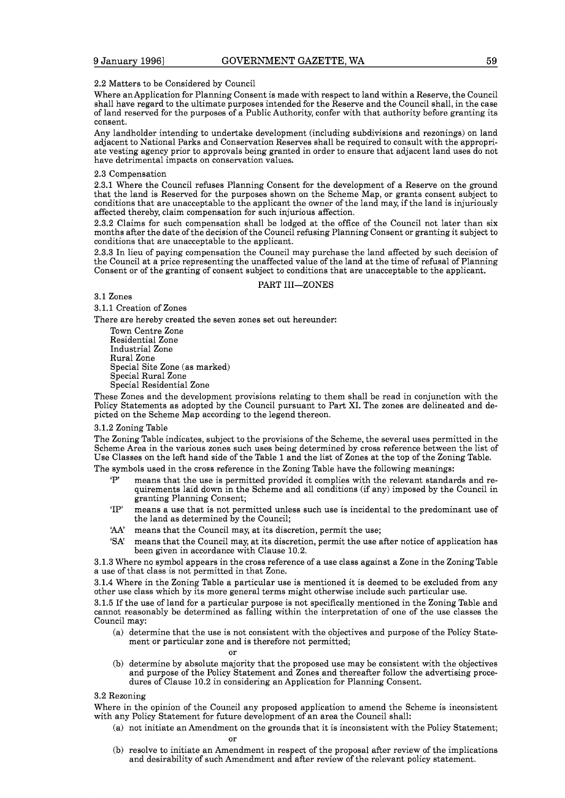#### 2.2 Matters to be Considered by Council

Where anApplication for Planning Consent is made with respect to land within a Reserve, the Council shall have regard to the ultimate purposes intended for the Reserve and the Council shall, in the case of land reserved for the purposes of a Public Authority, confer with that authority before granting its consent.

Any landholder intending to undertake development (including subdivisions and rezonings) on land adjacent to National Parks and Conservation Reserves shall be required to consult with the appropriate vesting agency prior to approvals being granted in order to ensure that adjacent land uses do not have detrimental impacts on conservation values.

#### 2.3 Compensation

2.3.1 Where the Council refuses Planning Consent for the development of a Reserve on the ground that the land is Reserved for the purposes shown on the Scheme Map, or grants consent subject to conditions that are unacceptable to the applicant the owner of the land may, if the land is injuriously affected thereby, claim compensation for such injurious affection.

2.3.2 Claims for such compensation shall be lodged at the office of the Council not later than six months after the date of the decision of the Council refusing Planning Consent or granting it subject to conditions that are unacceptable to the applicant.

2.3.3 In lieu of paying compensation the Council may purchase the land affected by such decision of the Council at a price representing the unaffected value of the land at the time of refusal of Planning Consent or of the granting of consent subject to conditions that are unacceptable to the applicant.

#### PART III-ZONES

#### 3.1 Zones

3.1.1 Creation of Zones

There are hereby created the seven zones set out hereunder:

Town Centre Zone Residential Zone Industrial Zone Rural Zone Special Site Zone (as marked) Special Rural Zone Special Residential Zone

These Zones and the development provisions relating to them shall be read in conjunction with the Policy Statements as adopted by the Council pursuant to Part XI. The zones are delineated and depicted on the Scheme Map according to the legend thereon.

#### 3.1.2 Zoning Table

The Zoning Table indicates, subject to the provisions of the Scheme, the several uses permitted in the Scheme Area in the various zones such uses being determined by cross reference between the list of Use Classes on the left hand side of the Table 1 and the list of Zones at the top of the Zoning Table.

The symbols used in the cross reference in the Zoning Table have the following meanings:

- means that the use is permitted provided it complies with the relevant standards and requirements laid down in the Scheme and all conditions (if any) imposed by the Council in granting Planning Consent;
- 'IP' means a use that is not permitted unless such use is incidental to the predominant use of the land as determined by the Council;
- **'AA'** means that the Council may, at its discretion, permit the use;
- 'SA' means that the Council may, at its discretion, permit the use after notice of application has been given in accordance with Clause 10.2.

3.1.3 Where no symbol appears in the cross reference of a use class against a Zone in the Zoning Table a use of that class is not permitted in that Zone.

3.1.4 Where in the Zoning Table a particular use is mentioned it is deemed to be excluded from any other use class which by its more general terms might otherwise include such particular use.

3.1.5 If the use of land for a particular purpose is not specifically mentioned in the Zoning Table and cannot reasonably be determined as falling within the interpretation of one of the use classes the Council may:

(a) determine that the use is not consistent with the objectives and purpose of the Policy Statement or particular zone and is therefore not permitted; or

(b) determine by absolute majority that the proposed use may be consistent with the objectives and purpose of the Policy Statement and Zones and thereafter follow the advertising procedures of Clause 10.2 in considering an Application for Planning Consent.

#### 3.2 Rezoning

Where in the opinion of the Council any proposed application to amend the Scheme is inconsistent with any Policy Statement for future development of an area the Council shall:

- (a) not initiate an Amendment on the grounds that it is inconsistent with the Policy Statement; or
- (b) resolve to initiate an Amendment in respect of the proposal after review of the implications and desirability of such Amendment and after review of the relevant policy statement.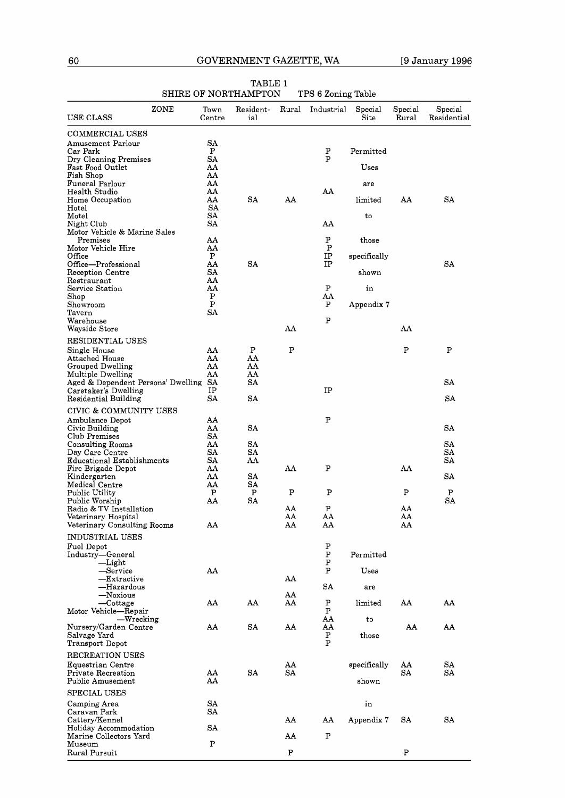|                                         | niine ol nominum ton |                  |       | IT D O DOILING TADIE |                 |                  |                        |
|-----------------------------------------|----------------------|------------------|-------|----------------------|-----------------|------------------|------------------------|
| ZONE<br>USE CLASS                       | Town<br>Centre       | Resident-<br>ial | Rural | Industrial           | Special<br>Site | Special<br>Rural | Special<br>Residential |
| <b>COMMERCIAL USES</b>                  |                      |                  |       |                      |                 |                  |                        |
| Amusement Parlour                       | SA                   |                  |       |                      |                 |                  |                        |
| Car Park                                | Ρ                    |                  |       | ${\bf P}$            | Permitted       |                  |                        |
| Dry Cleaning Premises                   | SA                   |                  |       | P                    |                 |                  |                        |
| Fast Food Outlet<br>Fish Shop           | AA<br>AA             |                  |       |                      | Uses            |                  |                        |
| Funeral Parlour                         | AA                   |                  |       |                      | are             |                  |                        |
| Health Studio                           | AA                   |                  |       | AA                   |                 |                  |                        |
| Home Occupation                         | AA                   | <b>SA</b>        | AA    |                      | limited         | AA               | SA                     |
| Hotel                                   | SA                   |                  |       |                      |                 |                  |                        |
| Motel<br>Night Club                     | SΑ<br>SΑ             |                  |       | AA                   | to              |                  |                        |
| Motor Vehicle & Marine Sales            |                      |                  |       |                      |                 |                  |                        |
| Premises                                | AA                   |                  |       | P                    | those           |                  |                        |
| Motor Vehicle Hire                      | AA                   |                  |       | P                    |                 |                  |                        |
| Office                                  | Ρ                    | <b>SA</b>        |       | IP                   | specifically    |                  |                        |
| Office—Professional<br>Reception Centre | AA<br>SA             |                  |       | IP                   | shown           |                  | SA                     |
| Restraurant                             | AA                   |                  |       |                      |                 |                  |                        |
| Service Station                         | AA                   |                  |       | ${\bf P}$            | in              |                  |                        |
| Shop                                    | Ρ                    |                  |       | AA                   |                 |                  |                        |
| Showroom                                | P                    |                  |       | P                    | Appendix 7      |                  |                        |
| Tavern<br>Warehouse                     | SA                   |                  |       | P                    |                 |                  |                        |
| Wayside Store                           |                      |                  | AA    |                      |                 | AA               |                        |
|                                         |                      |                  |       |                      |                 |                  |                        |
| RESIDENTIAL USES                        |                      | Ρ                | Ρ     |                      |                 | Ρ                | P                      |
| Single House<br><b>Attached House</b>   | AA<br>AA             | AA               |       |                      |                 |                  |                        |
| Grouped Dwelling                        | AA                   | AA               |       |                      |                 |                  |                        |
| Multiple Dwelling                       | AA                   | AA               |       |                      |                 |                  |                        |
| Aged & Dependent Persons' Dwelling SA   |                      | SA               |       |                      |                 |                  | SA                     |
| Caretaker's Dwelling                    | IP                   |                  |       | IP                   |                 |                  |                        |
| <b>Residential Building</b>             | SΑ                   | SΑ               |       |                      |                 |                  | SΑ                     |
| CIVIC & COMMUNITY USES                  |                      |                  |       |                      |                 |                  |                        |
| Ambulance Depot                         | AA                   |                  |       | P                    |                 |                  |                        |
| Civic Building                          | AA                   | SA               |       |                      |                 |                  | SA                     |
| Club Premises                           | SA<br>AA             |                  |       |                      |                 |                  | SA                     |
| Consulting Rooms<br>Day Care Centre     | SΑ                   | SA<br>SΑ         |       |                      |                 |                  | SΑ                     |
| Educational Establishments              | SΑ                   | AA               |       |                      |                 |                  | SA                     |
| Fire Brigade Depot                      | AA                   |                  | AA    | P                    |                 | AA               |                        |
| Kindergarten                            | AA                   | SA               |       |                      |                 |                  | SA                     |
| Medical Centre                          | AA                   | <b>SA</b>        |       |                      |                 |                  |                        |
| Public Utility<br>Public Worship        | P<br>AA              | P<br>SA          | Ρ     | Ρ                    |                 | Ρ                | P<br>SA                |
| Radio & TV Installation                 |                      |                  | AA    | P                    |                 | AA               |                        |
| Veterinary Hospital                     |                      |                  | AA    | AA                   |                 | AA               |                        |
| Veterinary Consulting Rooms             | AA                   |                  | AA    | AA                   |                 | AA               |                        |
| <b>INDUSTRIAL USES</b>                  |                      |                  |       |                      |                 |                  |                        |
| Fuel Depot                              |                      |                  |       | ${\bf P}$            |                 |                  |                        |
| Industry-General                        |                      |                  |       | P                    | Permitted       |                  |                        |
| —Light                                  |                      |                  |       | P                    |                 |                  |                        |
| -Service                                | AA                   |                  |       | P                    | Uses            |                  |                        |
| $-{\rm Extractive}$<br>—Hazardous       |                      |                  | AA    | <b>SA</b>            |                 |                  |                        |
| —Noxious                                |                      |                  | AA    |                      | are             |                  |                        |
| —Cottage                                | AA                   | AA               | AA    | P                    | limited         | AA               | AA                     |
| Motor Vehicle-Repair                    |                      |                  |       | P                    |                 |                  |                        |
| —Wrecking                               |                      |                  |       | AA                   | to              |                  |                        |
| Nursery/Garden Centre                   | AA                   | SA               | AA    | AA                   | those           | AA               | AA                     |
| Salvage Yard<br><b>Transport Depot</b>  |                      |                  |       | Ρ<br>P               |                 |                  |                        |
|                                         |                      |                  |       |                      |                 |                  |                        |
| <b>RECREATION USES</b>                  |                      |                  |       |                      |                 |                  |                        |
| Equestrian Centre                       | AA                   | SA               | AA    |                      | specifically    | AA               | SA                     |
| Private Recreation<br>Public Amusement  | AA                   |                  | SA    |                      | shown           | SA               | SA                     |
|                                         |                      |                  |       |                      |                 |                  |                        |
| <b>SPECIAL USES</b>                     |                      |                  |       |                      |                 |                  |                        |
| Camping Area                            | SA                   |                  |       |                      | in              |                  |                        |
| Caravan Park<br>Cattery/Kennel          | SΑ                   |                  | AA    | AA                   | Appendix 7      | SΑ               | SA                     |
| Holiday Accommodation                   | SA                   |                  |       |                      |                 |                  |                        |
| Marine Collectors Yard                  |                      |                  | AA    | ${\bf P}$            |                 |                  |                        |
| Museum                                  | ${\bf P}$            |                  |       |                      |                 |                  |                        |
| Rural Pursuit                           |                      |                  | P     |                      |                 | Ρ                |                        |

| TABLE 1              |                    |
|----------------------|--------------------|
| SHIRE OF NORTHAMPTON | TPS 6 Zoning Table |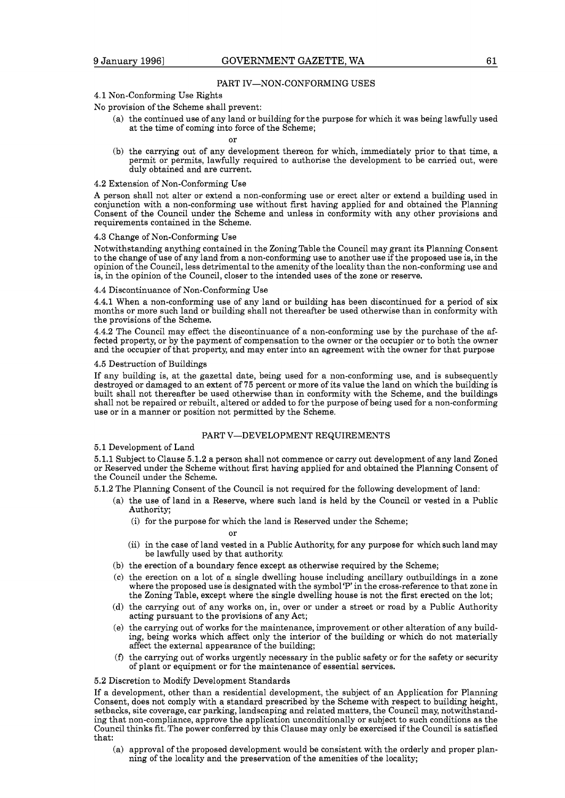#### PART IV-NON-CONFORMING USES

### **4.1** Non-Conforming Use Rights

No provision of the Scheme shall prevent:

(a) the continued use of any land or building for the purpose for which it was being lawfully used at the time of coming into force of the Scheme;

or

(b) the carrying out of any development thereon for which, immediately prior to that time, a permit or permits, lawfully required to authorise the development to be carried out, were duly obtained and are current.

#### **4.2** Extension of Non-Conforming Use

A person shall not alter or extend a non-conforming use or erect alter or extend a building used in conjunction with a non-conforming use without first having applied for and obtained the Planning Consent of the Council under the Scheme and unless in conformity with any other provisions and requirements contained in the Scheme.

#### **4.3** Change of Non-Conforming Use

Notwithstanding anything contained in the Zoning Table the Council may grant its Planning Consent to the change of use of any land from a non-conforming use to another use if the proposed use is, in the opinion of the Council, less detrimental to the amenity of the locality than the non-conforming use and is, in the opinion of the Council, closer to the intended uses of the zone or reserve.

#### **4.4** Discontinuance of Non-Conforming Use

**4.4.1** When a non-conforming use of any land or building has been discontinued for a period of six months or more such land or building shall not thereafter be used otherwise than in conformity with the provisions of the Scheme.

**4.4.2** The Council may effect the discontinuance of a non-conforming use by the purchase of the affected property, or by the payment of compensation to the owner or the occupier or to both the owner and the occupier of that property, and may enter into an agreement with the owner for that purpose

### **4.5** Destruction of Buildings

If any building is, at the gazettal date, being used for a non-conforming use, and is subsequently destroyed or damaged to an extent of **75** percent or more of its value the land on which the building is built shall not thereafter be used otherwise than in conformity with the Scheme, and the buildings shall not be repaired or rebuilt, altered or added to for the purpose of being used for a non-conforming use or in a manner or position not permitted by the Scheme.

## PART V-DEVELOPMENT REQUIREMENTS

**5.1** Development of Land

**5.1.1** Subject to Clause **5.1.2** a person shall not commence or carry out development of any land Zoned or Reserved under the Scheme without first having applied for and obtained the Planning Consent of the Council under the Scheme.

**5.1.2** The Planning Consent of the Council is not required for the following development of land:

- (a) the use of land in a Reserve, where such land is held by the Council or vested in a Public Authority;
	- (i) for the purpose for which the land is Reserved under the Scheme;

Ωr

- (ii) in the case of land vested in a Public Authority, for any purpose for which such land may be lawfully used by that authority
- (b) the erection of a boundary fence except as otherwise required by the Scheme;
- (C) the erection on a lot of a single dwelling house including ancillary outbuildings in a zone where the proposed use is designated with the symbol'P' in the cross-reference to that zone in the Zoning Table, except where the single dwelling house is not the first erected on the lot;
- (d) the carrying out of any works on, in, over or under a street or road by a Public Authority acting pursuant to the provisions of any Act;
- (e) the carrying out of works for the maintenance, improvement or other alteration of any building, being works which affect only the interior of the building or which do not materially affect the external appearance of the building;
- **(f)** the carrying out of works urgently necessary in the public safety or for the safety or security of plant or equipment or for the maintenance of essential services.

### **5.2** Discretion to Modify Development Standards

If a development, other than a residential development, the subject of an Application for Planning Consent, does not comply with a standard prescribed by the Scheme with respect to building height, setbacks, site coverage, car parking, landscaping and related matters, the Council may, notwithstanding that non-compliance, approve the application unconditionally or subject to such conditions as the Council thinks fit. The power conferred by this Clause may only be exercised if the Council is satisfied that:

(a) approval of the proposed development would be consistent with the orderly and proper planning of the locality and the preservation of the amenities of the locality;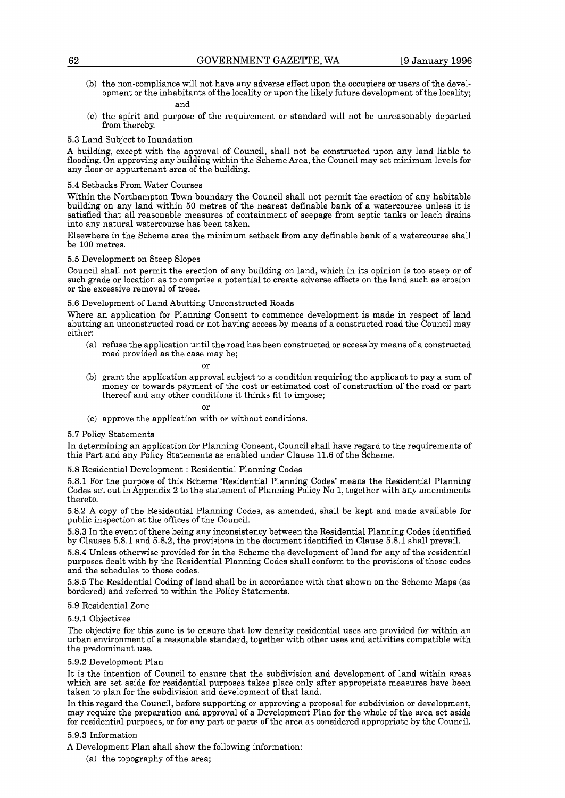(b) the non-compliance will not have any adverse effect upon the occupiers or users of the development or the inhabitants of the locality or upon the likely future development of the locality;

### and

(C) the spirit and purpose of the requirement or standard will not be unreasonably departed from thereby.

#### 5.3 Land Subject to Inundation

A building, except with the approval of Council, shall not be constructed upon any land liable to flooding. On approving any building within the Scheme Area, the Council may set minimum levels for any floor or appurtenant area of the building.

#### 5.4 Setbacks From Water Courses

Within the Northampton Town boundary the Council shall not permit the erection of any habitable building on any land within 50 metres of the nearest definable bank of a watercourse unless it is satisfied that all reasonable measures of containment of seepage from septic tanks or leach drains into any natural watercourse has been taken.

Elsewhere in the Scheme area the minimum setback from any definable bank of a watercourse shall be 100 metres.

#### 5.5 Development on Steep Slopes

Council shall not permit the erection of any building on land, which in its opinion is too steep or of such grade or location as to comprise a potential to create adverse effects on the land such as erosion or the excessive removal of trees.

### 5.6 Development of Land Abutting Unconstructed Roads

Where an application for Planning Consent to commence development is made in respect of land abutting an unconstructed road or not having access by means of a constructed road the Council may either:

(a) refuse the application until the road has been constructed or access by means of a constructed road provided as the case may be;

or

(b) grant the application approval subject to a condition requiring the applicant to pay a sum of money or towards payment of the cost or estimated cost of construction of the road or part thereof and any other conditions it thinks fit to impose;

or

(C) approve the application with or without conditions.

#### 5.7 Policy Statements

In determining an application for Planning Consent, Council shall have regard to the requirements of this Part and any Policy Statements as enabled under Clause 11.6 of the Scheme.

5.8 Residential Development : Residential Planning Codes

5.8.1 For the purpose of this Scheme 'Residential Planning Codes' means the Residential Planning Codes set out in Appendix 2 to the statement of Planning Policy No 1, together with any amendments thereto.

5.8.2 A copy of the Residential Planning Codes, as amended, shall be kept and made available for public inspection at the offices of the Council.

5.8.3 In the event of there being any inconsistency between the Residential Planning Codes identified by Clauses 5.8.1 and 5.8.2, the provisions in the document identified in Clause 5.8.1 shall prevail.

5.8.4 Unless otherwise provided for in the Scheme the development of land for any of the residential purposes dealt with by the Residential Planning Codes shall conform to the provisions of those codes and the schedules to those codes.

5.8.5 The Residential Coding of land shall be in accordance with that shown on the Scheme Maps (as bordered) and referred to within the Policy Statements.

#### 5.9 Residential Zone

## 5.9.1 Objectives

The objective for this zone is to ensure that low density residential uses are provided for within an urban environment of a reasonable standard, together with other uses and activities compatible with the predominant use.

#### 5.9.2 Development Plan

It is the intention of Council to ensure that the subdivision and development of land within areas which are set aside for residential purposes takes place only after appropriate measures have been taken to plan for the subdivision and development of that land.

In this regard the Council, before supporting or approving a proposal for subdivision or development, may require the preparation and approval of a Development Plan for the whole of the area set aside for residential purposes, or for any part or parts of the area as considered appropriate by the Council.

#### 5.9.3 Information

A Development Plan shall show the following information:

(a) the topography of the area;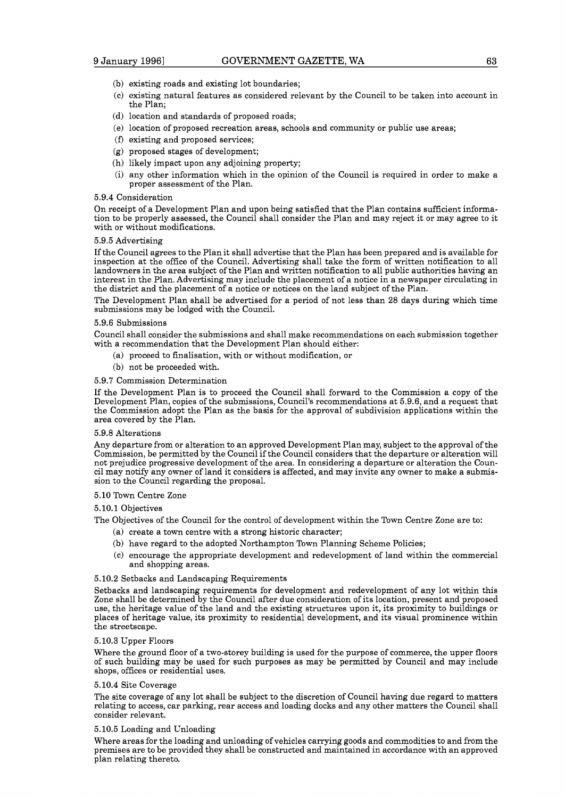- (b) existing roads and existing lot boundaries;
- (C) existing natural features as considered relevant by the Council to be taken into account in the Plan;
- (d) location and standards of proposed roads;
- (e) location of proposed recreation areas, schools and community or public use areas;
- **(f)** existing and proposed services;
- (g) proposed stages of development;
- (h) likely impact upon any adjoining property;
- (i) any other information which in the opinion of the Council is required in order to make a proper assessment of the Plan.

#### **5.9.4** Consideration

On receipt of a Development Plan and upon being satisfied that the Plan contains sufficient information to be properly assessed, the Council shall consider the Plan and may reject it or may agree to it with or without modifications.

#### **5.9.5** Advertising

If the Council agrees to the Plan it shall advertise that the Plan has been prepared and is available for inspection at the office of the Council. Advertising shall take the form of written notification to all landowners in the area subject of the Plan and written notification to all public authorities having an interest in the Plan. Advertising may include the placement of a notice in a newspaper circulating in the district and the placement of a notice or notices on the land subject of the Plan.

The Development Plan shall be advertised for a period of not less than **28** days during which time submissions may be lodged with the Council.

#### **5.9.6** Submissions

Council shall consider the submissions and shall make recommendations on each submission together with a recommendation that the Development Plan should either:

- (a) proceed to finalisation, with or without modification, or
- (b) not be proceeded with.

### **5.9.7** Commission Determination

If the Development Plan is to proceed the Council shall forward to the Commission a copy of the Development Plan, copies of the submissions, Council's recommendations at **5.9.6,** and a request that the Commission adopt the Plan as the basis for the approval of subdivision applications within the area covered by the Plan.

#### **5.9.8** Alterations

Any departure from or alteration to an approved Development Plan may, subject to the approval of the Commission, be permitted by the Council if the Council considers that the departure or alteration will not prejudice progressive development of the area. In considering a departure or alteration the Council may notify any owner of land it considers is affected, and may invite any owner to make a submission to the Council regarding the proposal.

#### **5.10** Town Centre Zone

**5.10.1** Objectives

The Objectives of the Council for the control of development within the Town Centre Zone are to:

- (a) create a town centre with a strong historic character;
- (b) have regard to the adopted Northampton Town Planning Scheme Policies;
- (C) encourage the appropriate development and redevelopment of land within the commercial and shopping areas.

#### **5.10.2** Setbacks and Landscaping Requirements

Setbacks and landscaping requirements for development and redevelopment of any lot within this Zone shall be determined by the Council after due consideration of its location, present and proposed use, the heritage value of the land and the existing structures upon it, its proximity to buildings or places of heritage value, its proximity to residential development, and its visual prominence within the streetscape.

#### **5.10.3** Upper Floors

Where the ground floor of a two-storey building is used for the purpose of commerce, the upper floors of such building may be used for such purposes as may be permitted by Council and may include shops, offices or residential uses.

#### **5.10.4** Site Coverage

The site coverage of any lot shall be subject to the discretion of Council having due regard to matters relating to access, car parking, rear access and loading docks and any other matters the Council shall consider relevant.

#### **5.10.5** Loading and Unloading

Where areas for the loading and unloading of vehicles carrying goods and commodities to and from the premises are to be provided they shall be constructed and maintained in accordance with an approved plan relating thereto.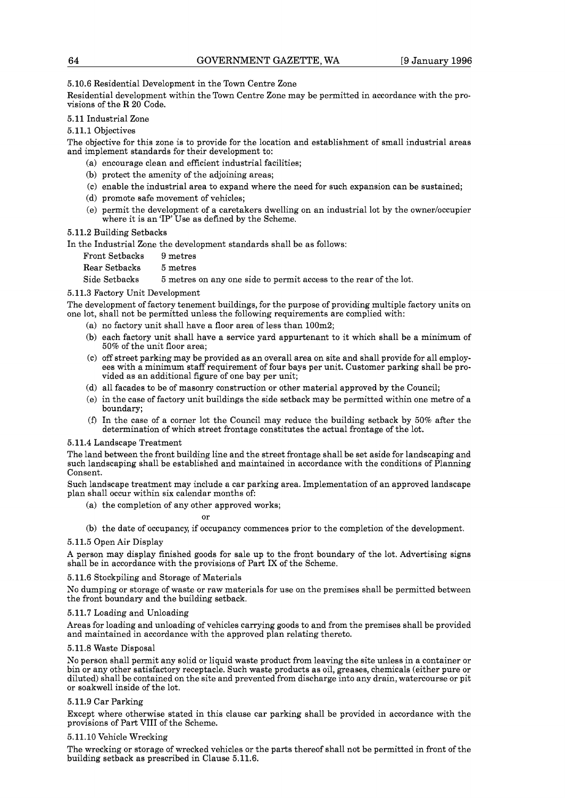5.10.6 Residential Development in the Town Centre Zone

Residential development within the Town Centre Zone may be permitted in accordance with the provisions of the R 20 Code.

5.11 Industrial Zone

5.11.1 Objectives

The objective for this zone is to provide for the location and establishment of small industrial areas and implement standards for their development to:

- (a) encourage clean and efficient industrial facilities;
- (b) protect the amenity of the adjoining areas;
- (C) enable the industrial area to expand where the need for such expansion can be sustained;
- (d) promote safe movement of vehicles;
- (e) permit the development of a caretakers dwelling on an industrial lot by the owner/occupier where it is an 'IP' Use as defined by the Scheme.

5.11.2 Building Setbacks

In the Industrial Zone the development standards shall be as follows:

| Front Setbacks | 9 metres                                                          |
|----------------|-------------------------------------------------------------------|
| Rear Setbacks  | $5$ metres                                                        |
| Side Setbacks  | 5 metres on any one side to permit access to the rear of the lot. |

## 5.11.3 Factory Unit Development

The development of factory tenement buildings, for the purpose of providing multiple factory units on one lot, shall not be permitted unless the following requirements are complied with:

- (a) no factory unit shall have a floor area of less than 100m2;
- (b) each factory unit shall have a service yard appurtenant to it which shall be a minimum of 50% of the unit floor area;
- (C) off street parking may be provided as an overall area on site and shall provide for all employees with a minimum staff requirement of four bays per unit. Customer parking shall be provided as an additional figure of one bay per unit;
- (d) all facades to be of masonry construction or other material approved by the Council;
- (e) in the case of factory unit buildings the side setback may be permitted within one metre of a boundary;
- **(f)** In the case of a corner lot the Council may reduce the building setback by 50% after the determination of which street frontage constitutes the actual frontage of the lot.

## 5.11.4 Landscape Treatment

The land between the front building line and the street frontage shall be set aside for landscaping and such landscaping shall be established and maintained in accordance with the conditions of Planning Consent.

Such landscape treatment may include a car parking area. Implementation of an approved landscape plan shall occur within six calendar months of:

(a) the completion of any other approved works;

or

(b) the date of occupancy, if occupancy commences prior to the completion of the development.

## 5.11.5 Open Air Display

A person may display finished goods for sale up to the front boundary of the lot. Advertising signs shall be in accordance with the provisions of Part IX of the Scheme.

## 5.11.6 Stockpiling and Storage of Materials

No dumping or storage of waste or raw materials for use on the premises shall be permitted between the front boundary and the building setback.

## 5.11.7 Loading and Unloading

Areas for loading and unloading of vehicles carrying goods to and from the premises shall be provided and maintained in accordance with the approved plan relating thereto.

## 5.11.8 Waste Disposal

No person shall permit any solid or liquid waste product from leaving the site unless in a container or bin or any other satisfactory receptacle. Such waste products as oil, greases, chemicals (either pure or diluted) shall be contained on the site and prevented from discharge into any drain, watercourse or pit or soakwell inside of the lot.

## 5.11.9 Car Parking

Except where otherwise stated in this clause car parking shall be provided in accordance with the provisions of Part V111 of the Scheme.

## 5.11.10 Vehicle Wrecking

The wrecking or storage of wrecked vehicles or the parts thereof shall not be permitted in front of the building setback as prescribed in Clause 5.11.6.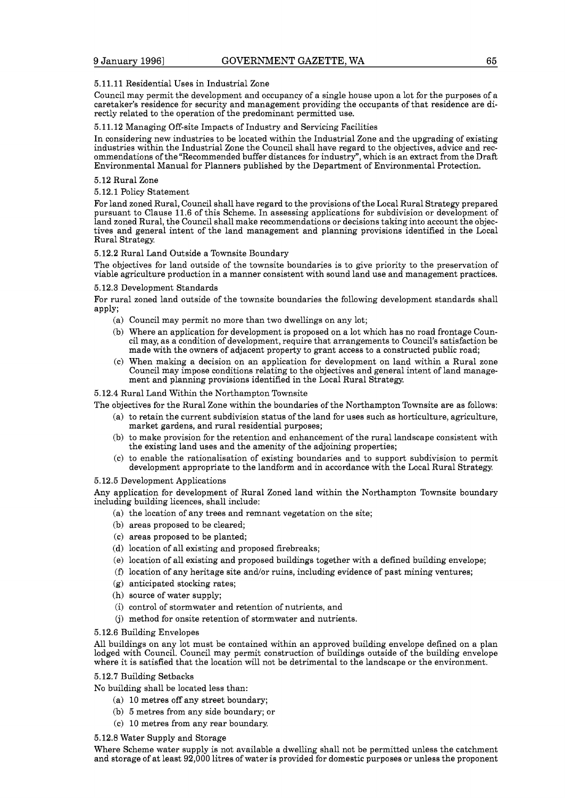## 5.11.11 Residential Uses in Industrial Zone

Council may permit the development and occupancy of a single house upon a lot for the purposes of a caretaker's residence for security and management providing the occupants of that residence are directly related to the operation of the predominant permitted use.

#### 5.11.12 Managing Off-site Impacts of Industry and Servicing Facilities

In considering new industries to be located within the Industrial Zone and the upgrading of existing industries within the Industrial Zone the Council shall have regard to the objectives, advice and recommendations of the "Recommended buffer distances for industry", which is an extract from the Draft Environmental Manual for Planners published by the Department of Environmental Protection.

#### 5.12 Rural Zone

5.12.1 Policy Statement

For land zoned Rural, Council shall have regard to the provisions of the Local Rural Strategy prepared pursuant to Clause 11.6 of this Scheme. In assessing applications for subdivision or development of land zoned Rural, the Council shall make recommendations or decisions taking into account the objectives and general intent of the land management and planning provisions identified in the Local Rural Strategy

#### 5.12.2 Rural Land Outside a Townsite Boundary

The objectives for land outside of the townsite boundaries is to give priority to the preservation of viable agriculture production in a manner consistent with sound land use and management practices.

#### 5.12.3 Development Standards

For rural zoned land outside of the townsite boundaries the following development standards shall apply;

- (a) Council may permit no more than two dwellings on any lot;
- (b) Where an application for development is proposed on a lot which has no road frontage Council may, as a condition of development, require that arrangements to Council's satisfaction be made with the owners of adjacent property to grant access to a constructed public road;
- (C) When making a decision on an application for development on land within a Rural zone Council may impose conditions relating to the objectives and general intent of land management and planning provisions identified in the Local Rural Strategy.

#### 5.12.4 Rural Land Within the Northampton Townsite

The objectives for the Rural Zone within the boundaries of the Northampton Townsite are as follows:

- (a) to retain the current subdivision status of the land for uses such as horticulture, agriculture, market gardens, and rural residential purposes;
- (b) to make provision for the retention and enhancement of the rural landscape consistent with the existing land uses and the amenity of the adjoining properties;
- (C) to enable the rationalisation of existing boundaries and to support subdivision to permit development appropriate to the landform and in accordance with the Local Rural Strategy

#### 5.12.5 Development Applications

Any application for development of Rural Zoned land within the Northampton Townsite boundary including building licences, shall include:

- (a) the location of any trees and remnant vegetation on the site;
- (b) areas proposed to be cleared;
- (C) areas proposed to be planted;
- (d) location of all existing and proposed firebreaks;
- (e) location of all existing and proposed buildings together with a defined building envelope;
- (f)  $\alpha$  location of any heritage site and/or ruins, including evidence of past mining ventures;
- (g) anticipated stocking rates;
- (h) source of water supply;
- (i) control of stormwater and retention of nutrients, and
- (j) method for onsite retention of stormwater and nutrients.

### 5.12.6 Building Envelopes

All buildings on any lot must be contained within an approved building envelope defined on a plan lodged with Council. Council may permit construction of buildings outside of the building envelope where it is satisfied that the location will not be detrimental to the landscape or the environment.

#### 5.12.7 Building Setbacks

No building shall be located less than:

- (a) 10 metres off any street boundary;
- (b) 5 metres from any side boundary; or
- (C) 10 metres from any rear boundary

#### 5.12.8 Water Supply and Storage

Where Scheme water supply is not available a dwelling shall not be permitted unless the catchment and storage of at least 92,000 litres of water is provided for domestic purposes or unless the proponent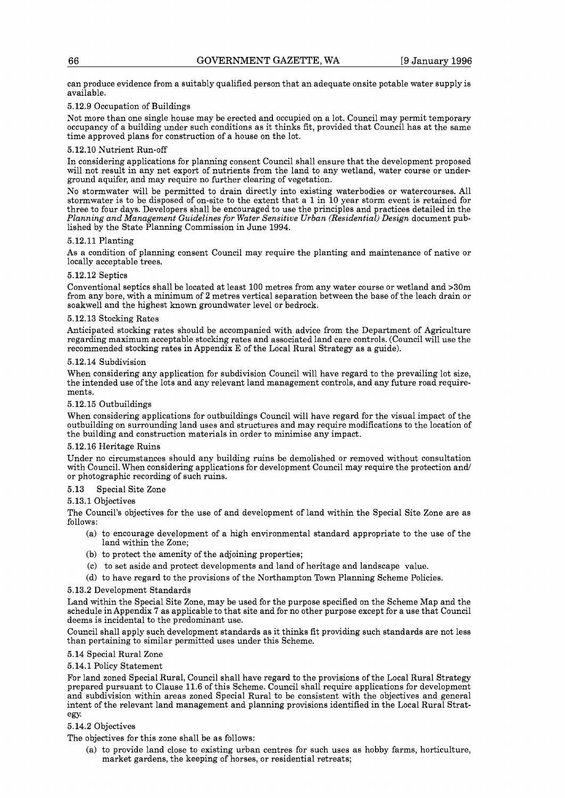can produce evidence from a suitably qualified person that an adequate onsite potable water supply is available.

## **5.12.9** Occupation of Buildings

Not more than one single house may be erected and occupied on a lot. Council may permit temporary occupancy of a building under such conditions as it thinks fit, provided that Council has at the same time approved plans for construction of a house on the lot.

## **5.12.10** Nutrient Run-off

In considering applications for planning consent Council shall ensure that the development proposed will not result in any net export of nutrients from the land to any wetland, water course or underground aquifer, and may require no further clearing of vegetation.

No stormwater will be permitted to drain directly into existing waterbodies or watercourses. All stormwater is to be disposed of on-site to the extent that a **1** in **10** year storm event is retained for three to four days. Developers shall be encouraged to use the principles and practices detailed in the *Planning and Management Guidelines for Water Sensitive Urban (Residential) Design* document published by the State Planning Commission in June **1994.** 

### **5.12.11** Planting

As a condition of planning consent Council may require the planting and maintenance of native or locally acceptable trees.

### **5.12.12** Septics

Conventional septics shall be located at least **100** metres from any water course or wetland and **>30m**  from any bore, with a minimum of **2** metres vertical separation between the base of the leach drain or soakwell and the highest known groundwater level or bedrock.

## **5.12.13** Stocking Rates

Anticipated stocking rates should be accompanied with advice from the Department of Agriculture regarding maximum acceptable stocking rates and associated land care controls. (Council will use the recommended stocking rates in Appendix E of the Local Rural Strategy as a guide).

### **5.12.14** Subdivision

When considering any application for subdivision Council will have regard to the prevailing lot size, the intended use of the lots and any relevant land management controls, and any future road requirements.

## **5.12.15** Outbuildings

When considering applications for outbuildings Council will have regard for the visual impact of the outbuilding on surrounding land uses and structures and may require modifications to the location of the building and construction materials in order to minimise any impact.

## **5.12.16** Heritage Ruins

Under no circumstances should any building ruins be demolished or removed without consultation with Council. When considering applications for development Council may require the protection and/ or photographic recording of such ruins.

## **5.13** Special Site Zone

**5.13.1** Objectives

The Council's objectives for the use of and development of land within the Special Site Zone are as follows:

- (a) to encourage development of a high environmental standard appropriate to the use of the land within the Zone;
- (b) to protect the amenity of the adjoining properties;
- (C) to set aside and protect developments and land of heritage and landscape value.
- (d) to have regard to the provisions of the Northampton Town Planning Scheme Policies.

## **5.13.2** Development Standards

Land within the Special Site Zone, may be used for the purpose specified on the Scheme Map and the schedule inAppendix **7** as applicable to that site and for no other purpose except for a use that Council deems is incidental to the predominant use.

Council shall apply such development standards as it thinks fit providing such standards are not less than pertaining to similar permitted uses under this Scheme.

## **5.14** Special Rural Zone

## **5.14.1** Policy Statement

For land zoned Special Rural, Council shall have regard to the provisions of the Local Rural Strategy prepared pursuant to Clause **11.6** of this Scheme. Council shall require applications for development and subdivision within areas zoned Special Rural to be consistent with the objectives and general intent of the relevant land management and planning provisions identified in the Local Rural Strategy.

## **5.14.2** Objectives

The objectives for this zone shall be as follows:

(a) to provide land close to existing urban centres for such uses as hobby farms, horticulture, market gardens, the keeping of horses, or residential retreats;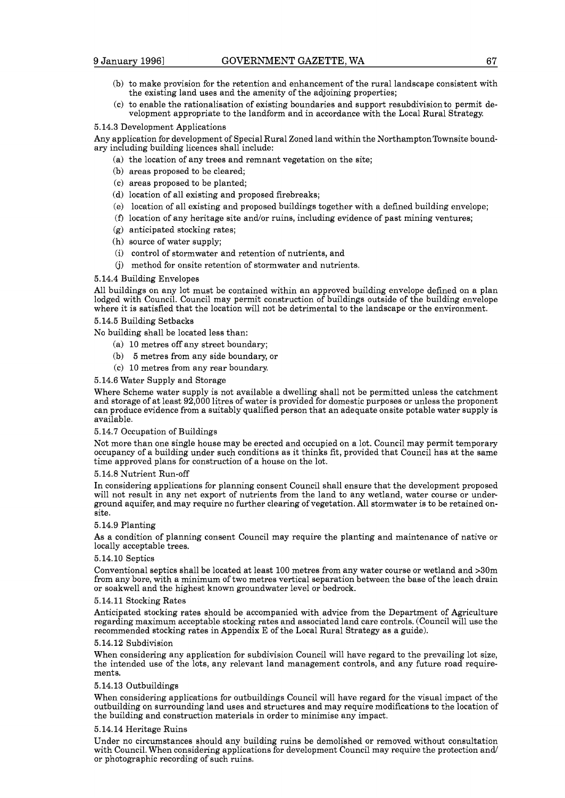- (b) to make provision for the retention and enhancement of the rural landscape consistent with the existing land uses and the amenity of the adjoining properties;
- (C) to enable the rationalisation of existing boundaries and support resubdivision to permit development appropriate to the landform and in accordance with the Local Rural Strategy.

#### 5.14.3 Development Applications

Any application for development of Special Rural Zoned land within the NorthamptonTownsite boundary including building licences shall include:

- (a) the location of any trees and remnant vegetation on the site;
- (b) areas proposed to be cleared;
- (C) areas proposed to be planted;
- (d) location of all existing and proposed firebreaks;
- (e) location of all existing and proposed buildings together with a defined building envelope;
- (f) location of any heritage site and/or ruins, including evidence of past mining ventures;
- (g) anticipated stocking rates;
- (h) source of water supply;
- (i) control of stormwater and retention of nutrients, and
- (j) method for onsite retention of stormwater and nutrients.

#### 5.14.4 Building Envelopes

All buildings on any lot must be contained within an approved building envelope defined on a plan lodged with Council. Council may permit construction of buildings outside of the building envelope where it is satisfied that the location will not be detrimental to the landscape or the environment.

#### 5.14.5 Building Setbacks

No building shall be located less than:

- (a) 10 metres off any street boundary;
- (b) 5 metres from any side boundary, or
- (C) 10 metres from any rear boundary.

#### 5.14.6 Water Supply and Storage

Where Scheme water supply is not available a dwelling shall not be permitted unless the catchment and storage of at least 92,000 litres of water is provided for domestic purposes or unless the proponent can produce evidence from a suitably qualified person that an adequate onsite potable water supply is available.

#### 5.14.7 Occupation of Buildings

Not more than one single house may be erected and occupied on a lot. Council may permit temporary occupancy of a building under such conditions as it thinks fit, provided that Council has at the same time approved plans for construction of a house on the lot.

#### 5.14.8 Nutrient Run-off

In considering applications for planning consent Council shall ensure that the development proposed will not result in any net export of nutrients from the land to any wetland, water course or underground aquifer, and may require no further clearing of vegetation. All stormwater is to be retained onsite.

#### 5.14.9 Planting

As a condition of planning consent Council may require the planting and maintenance of native or locally acceptable trees.

#### 5.14.10 Septics

Conventional septics shall be located at least 100 metres from any water course or wetland and >30m from any bore, with a minimum of two metres vertical separation between the base of the leach drain or soakwell and the highest known groundwater level or bedrock.

#### 5.14.11 Stocking Rates

Anticipated stocking rates should be accompanied with advice from the Department of Agriculture regarding maximum acceptable stocking rates and associated land care controls. (Council will use the recommended stocking rates in Appendix E of the Local Rural Strategy as a guide).

#### 5.14.12 Subdivision

When considering any application for subdivision Council will have regard to the prevailing lot size, the intended use of the lots, any relevant land management controls, and any future road requirements.

## 5.14.13 Outbuildings

When considering applications for outbuildings Council will have regard for the visual impact of the outbuilding on surrounding land uses and structures and may require modifications to the location of the building and construction materials in order to minimise any impact.

#### 5.14.14 Heritage Ruins

Under no circumstances should any building ruins be demolished or removed without consultation with Council. When considering applications for development Council may require the protection and/ or photographic recording of such ruins.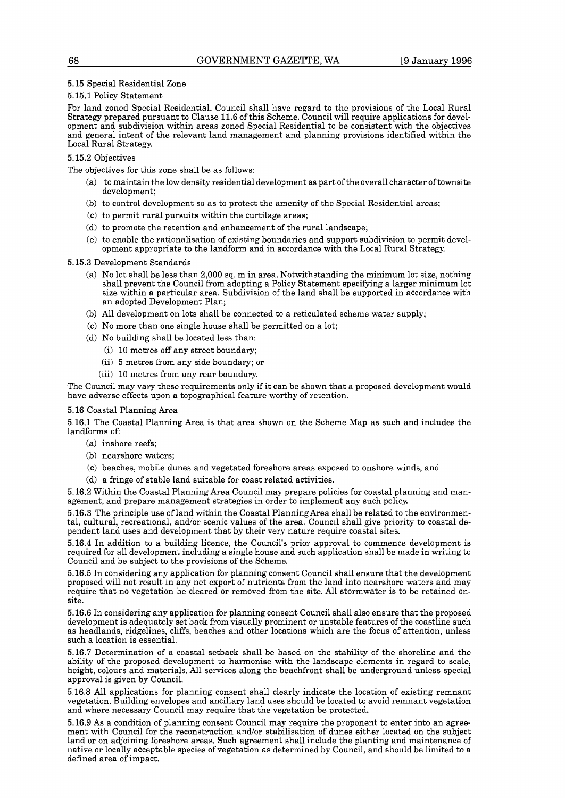### 5.15 Special Residential Zone

#### 5.15.1 Policy Statement

For land zoned Special Residential, Council shall have regard to the provisions of the Local Rural Strategy prepared pursuant to Clause 11.6 of this Scheme. Council will require applications for development and subdivision within areas zoned Special Residential to be consistent with the objectives and general intent of the relevant land management and planning provisions identified within the Local Rural Strategy.

## 5.15.2 Objectives

The objectives for this zone shall be as follows:

- (a) to maintain the low density residential development as part of the overall character of townsite development;
- (b) to control development so as to protect the amenity of the Special Residential areas;
- (C) to permit rural pursuits within the curtilage areas;
- (d) to promote the retention and enhancement of the rural landscape;
- (e) to enable the rationalisation of existing boundaries and support subdivision to permit development appropriate to the landform and in accordance with the Local Rural Strategy

#### 5.15.3 Development Standards

- (a) No lot shall be less than 2,000 sq. m in area. Notwithstanding the minimum lot size, nothing shall prevent the Council from adopting a Policy Statement specifying a larger minimum lot size within a particular area. Subdivision of the land shall be supported in accordance with an adopted Development Plan;
- (b) All development on lots shall be connected to a reticulated scheme water supply;
- (C) No more than one single house shall be permitted on a lot;
- (d) No building shall be located less than:
	- (i) 10 metres off any street boundary;
	- (ii) 5 metres from any side boundary; or
	- (iii) 10 metres from any rear boundary

The Council may vary these requirements only if it can be shown that a proposed development would have adverse effects upon a topographical feature worthy of retention.

#### 5.16 Coastal Planning Area

5.16.1 The Coastal Planning Area is that area shown on the Scheme Map as such and includes the landforms of:

- (a) inshore reefs;
- (b) nearshore waters;
- (C) beaches, mobile dunes and vegetated foreshore areas exposed to onshore winds, and
- (d) a fringe of stable land suitable for coast related activities.

5.16.2 Within the Coastal Planning Area Council may prepare policies for coastal planning and management, and prepare management strategies in order to implement any such policy.

5.16.3 The principle use of land within the Coastal PlanningArea shall be related to the environmental, cultural, recreational, and/or scenic values of the area. Council shall give priority to coastal dependent land uses and development that by their very nature require coastal sites.

5.16.4 In addition to a building licence, the Council's prior approval to commence development is required for all development including a single house and such application shall be made in writing to Council and be subject to the provisions of the Scheme.

5.16.5 In considering any application for planning consent Council shall ensure that the development proposed will not result in any net export of nutrients from the land into nearshore waters and may require that no vegetation be cleared or removed from the site. All stormwater is to be retained onsite.

5.16.6 In considering any application for planning consent Council shall also ensure that the proposed development is adequately set back from visually prominent or unstable features of the coastline such as headlands, ridgelines, cliffs, beaches and other locations which are the focus of attention, unless such a location is essential.

5.16.7 Determination of a coastal setback shall be based on the stability of the shoreline and the ability of the proposed development to harmonise with the landscape elements in regard to scale, height, colours and materials. All services along the beachfront shall be underground unless special approval is given by Council.

5.16.8 All applications for planning consent shall clearly indicate the location of existing remnant vegetation. Building envelopes and ancillary land uses should be located to avoid remnant vegetation and where necessary Council may require that the vegetation be protected.

5.16.9 As a condition of planning consent Council may require the proponent to enter into an agreement with Council for the reconstruction andor stabilisation of dunes either located on the subject land or on adjoining foreshore areas. Such agreement shall include the planting and maintenance of native or locally acceptable species of vegetation as determined by Council, and should be limited to a defined area of impact.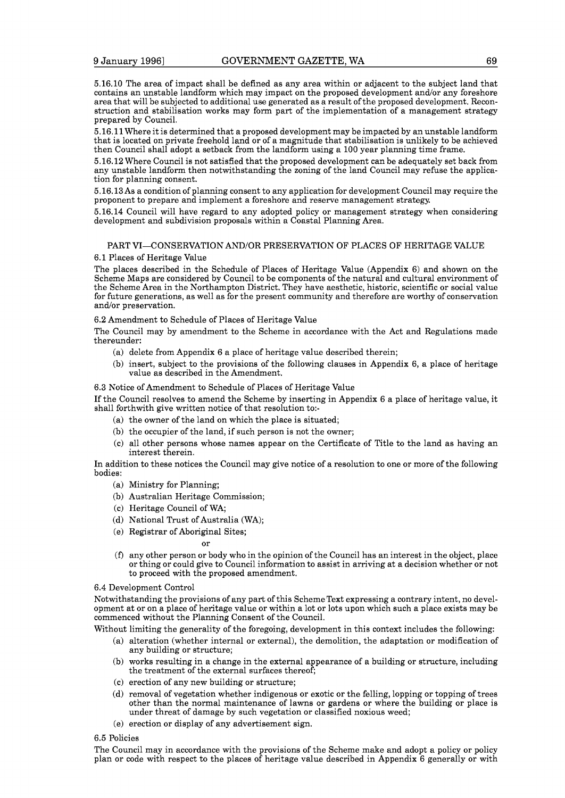5.16.10 The area of impact shall be defined as any area within or adjacent to the subject land that contains an unstable landform which may impact on the proposed development and/or any foreshore area that will be subjected to additional use generated as a result of the proposed development. Reconstruction and stabilisation works may form part of the implementation of a management strategy prepared by Council.

5.16.11 Where it is determined that a proposed development may be impacted by an unstable landform that is located on private freehold land or of a magnitude that stabilisation is unlikely to be achieved then Council shall adopt a setback from the landform using a 100 year planning time frame.

5.16.12 Where Council is not satisfied that the proposed development can be adequately set back from any unstable landform then notwithstanding the zoning of the land Council may refuse the application for planning consent.

5.16.13As a condition of planning consent to any application for development Council may require the proponent to prepare and implement a foreshore and reserve management strategy.

5.16.14 Council will have regard to any adopted policy or management strategy when considering development and subdivision proposals within a Coastal Planning Area.

## PART VI-CONSERVATION AND/OR PRESERVATION OF PLACES OF HERITAGE VALUE

#### 6.1 Places of Heritage Value

The places described in the Schedule of Places of Heritage Value (Appendix 6) and shown on the Scheme Maps are considered by Council to be components of the natural and cultural environment of the Scheme Area in the Northampton District. They have aesthetic, historic, scientific or social value for future generations, as well as for the present community and therefore are worthy of conservation and/or preservation.

6.2 Amendment to Schedule of Places of Heritage Value

The Council may by amendment to the Scheme in accordance with the Act and Regulations made thereunder:

- (a) delete from Appendix 6 a place of heritage value described therein;
- (b) insert, subject to the provisions of the following clauses in Appendix 6, a place of heritage value as described in the Amendment.

#### 6.3 Notice of Amendment to Schedule of Places of Heritage Value

If the Council resolves to amend the Scheme by inserting in Appendix 6 a place of heritage value, it shall forthwith give written notice of that resolution to:-

- (a) the owner of the land on which the place is situated;
- (b) the occupier of the land, if such person is not the owner;
- (C) all other persons whose names appear on the Certificate of Title to the land as having an interest therein.

In addition to these notices the Council may give notice of a resolution to one or more of the following bodies:

- (a) Ministry for Planning;
- (b) Australian Heritage Commission;
- (C) Heritage Council of WA;
- (d) National Trust of Australia (WA);
- (e) Registrar of Aboriginal Sites;

or

**(f)** any other person or body who in the opinion of the Council has an interest in the object, place or thing or could give to Council information to assist in arriving at a decision whether or not to proceed with the proposed amendment.

## 6.4 Development Control

Notwithstanding the provisions of any part of this SchemeText expressing a contrary intent, no development at or on a place of heritage value or within a lot or lots upon which such a place exists may be commenced without the Planning Consent of the Council.

Without limiting the generality of the foregoing, development in this context includes the following:

- (a) alteration (whether internal or external), the demolition, the adaptation or modification of any building or structure;
- (b) works resulting in a change in the external appearance of a building or structure, including the treatment of the external surfaces thereof;
- (C) erection of any new building or structure;
- (d) removal of vegetation whether indigenous or exotic or the felling, lopping or topping of trees other than the normal maintenance of lawns or gardens or where the building or place is under threat of damage by such vegetation or classified noxious weed;
- (e) erection or display of any advertisement sign.

#### 6.5 Policies

The Council may in accordance with the provisions of the Scheme make and adopt a policy or policy plan or code with respect to the places of heritage value described in Appendix 6 generally or with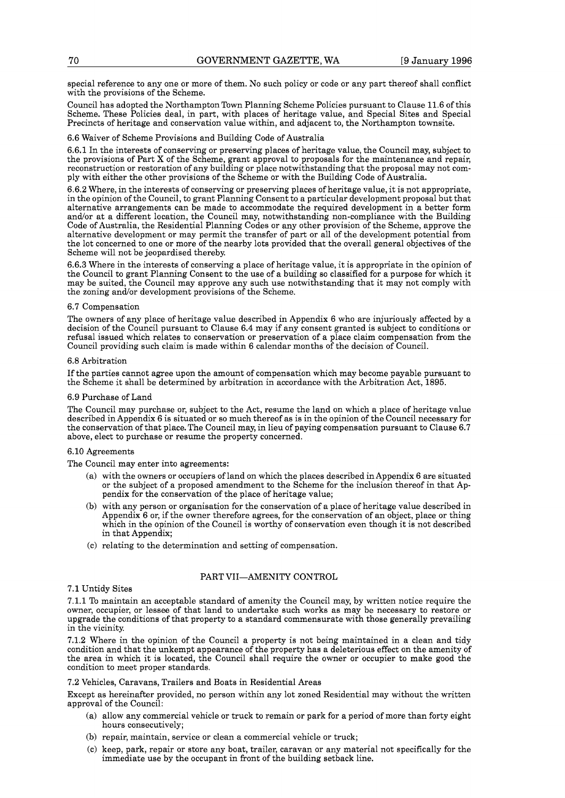special reference to any one or more of them. No such policy or code or any part thereof shall conflict with the provisions of the Scheme.

Council has adopted the NorthamptonTown Planning Scheme Policies pursuant to Clause **11.6** of this Scheme. These Policies deal, in part, with places of heritage value, and Special Sites and Special Precincts of heritage and conservation value within, and adjacent to, the Northampton townsite.

### **6.6** Waiver of Scheme Provisions and Building Code of Australia

**6.6.1** In the interests of conserving or preserving places of heritage value, the Council may, subject to the provisions of Part X of the Scheme, grant approval to proposals for the maintenance and repair, reconstruction or restoration of any building or place notwithstanding that the proposal may not comply with either the other provisions of the Scheme or with the Building Code of Australia.

**6.6.2** Where, in the interests of conserving or preserving places of heritage value, it is not appropriate, in the opinion of the Council, to grant Planning Consent to a particular development proposal but that alternative arrangements can be made to accommodate the required development in a better form and/or at a different location, the Council may, notwithstanding non-compliance with the Building Code of Australia, the Residential Planning Codes or any other provision of the Scheme, approve the alternative development or may permit the transfer of part or all of the development potential from the lot concerned to one or more of the nearby lots provided that the overall general objectives of the Scheme will not be jeopardised thereby

**6.6.3** Where in the interests of conserving a place of heritage value, it is appropriate in the opinion of the Council to grant Planning Consent to the use of a building so classified for a purpose for which it may be suited, the Council may approve any such use notwithstanding that it may not comply with the zoning and/or development provisions of the Scheme.

#### **6.7** Compensation

The owners of any place of heritage value described in Appendix **6** who are injuriously affected by a decision of the Council pursuant to Clause **6.4** may if any consent granted is subject to conditions or refusal issued which relates to conservation or preservation of a place claim compensation from the Council providing such claim is made within **6** calendar months of the decision of Council.

#### **6.8** Arbitration

If the parties cannot agree upon the amount of compensation which may become payable pursuant to the Scheme it shall be determined by arbitration in accordance with the Arbitration Act, **1895.** 

#### **6.9** Purchase of Land

The Council may purchase or, subject to the Act, resume the land on which a place of heritage value described in Appendix **6** is situated or so much thereof as is in the opinion of the Council necessary for the conservation of that place. The Council may, in lieu of paying compensation pursuant to Clause **6.7**  above, elect to purchase or resume the property concerned.

#### **6.10** Agreements

The Council may enter into agreements:

- (a) with the owners or occupiers of land on which the places described in Appendix **6** are situated or the subject of a proposed amendment to the Scheme for the inclusion thereof in that Appendix for the conservation of the place of heritage value;
- (b) with any person or organisation for the conservation of a place of heritage value described in Appendix **6** or, if the owner therefore agrees, for the conservation of an object, place or thing which in the opinion of the Council is worthy of conservation even though it is not described in that Appendix;
- (C) relating to the determination and setting of compensation.

#### PART VII-AMENITY CONTROL

#### **7.1** Untidy Sites

**7.1.1** To maintain an acceptable standard of amenity the Council may, by written notice require the owner, occupier, or lessee of that land to undertake such works as may be necessary to restore or upgrade the conditions of that property to a standard commensurate with those generally prevailing in the vicinity

**7.1.2** Where in the opinion of the Council a property is not being maintained in a clean and tidy condition and that the unkempt appearance of the property has a deleterious effect on the amenity of the area in which it is located, the Council shall require the owner or occupier to make good the condition to meet proper standards.

## **7.2** Vehicles, Caravans, Trailers and Boats in Residential Areas

Except as hereinafter provided, no person within any lot zoned Residential may without the written approval of the Council:

- (a) allow any commercial vehicle or truck to remain or park for a period of more than forty eight hours consecutively;
- (b) repair, maintain, service or clean a commercial vehicle or truck;
- (C) keep, park, repair or store any boat, trailer, caravan or any material not specifically for the immediate use by the occupant in front of the building setback line.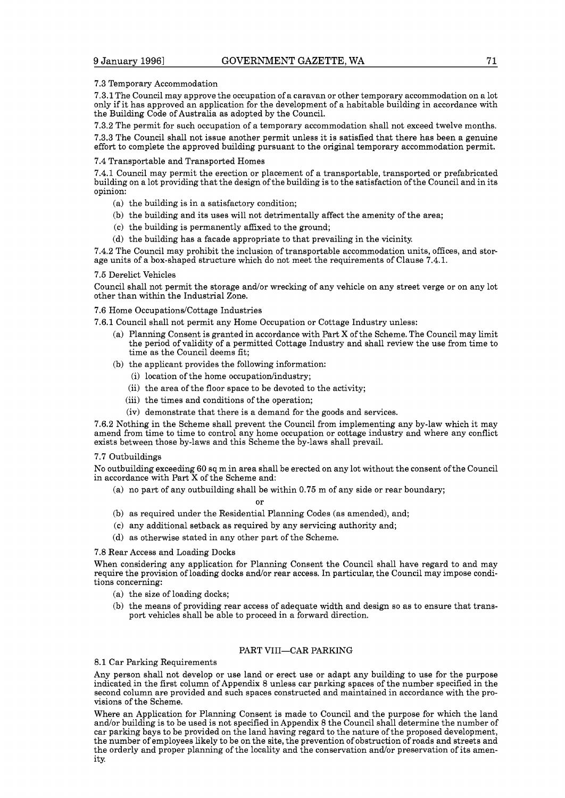## **7.3** Temporary Accommodation

**7.3.1** The Council may approve the occupation of a caravan or other temporary accommodation on a lot only if it has approved an application for the development of a habitable building in accordance with the Building Code of Australia as adopted by the Council.

**7.3.2** The permit for such occupation of a temporary accommodation shall not exceed twelve months. **7.3.3** The Council shall not issue another permit unless it is satisfied that there has been a genuine effort to complete the approved building pursuant to the original temporary accommodation permit.

## **7.4** Transportable and Transported Homes

**7.4.1** Council may permit the erection or placement of a transportable, transported or prefabricated building on a lot providing that the design of the building is to the satisfaction of the Council and in its opinion:

- (a) the building is in a satisfactory condition;
- (b) the building and its uses will not detrimentally affect the amenity of the area;
- (C) the building is permanently affixed to the ground;
- (d) the building has a facade appropriate to that prevailing in the vicinity.

**7.4.2** The Council may prohibit the inclusion of transportable accommodation units, offices, and storage units of a box-shaped structure which do not meet the requirements of Clause **7.4.1.** 

### **7.5** Derelict Vehicles

Council shall not permit the storage and/or wrecking of any vehicle on any street verge or on any lot other than within the Industrial Zone.

### **7.6** Home Occupations/Cottage Industries

**7.6.1** Council shall not permit any Home Occupation or Cottage Industry unless:

- (a) Planning Consent is granted in accordance with Part X of the Scheme. The Council may limit the period of validity of a permitted Cottage Industry and shall review the use from time to time as the Council deems fit;
- (b) the applicant provides the following information:
	- (i) location of the home occupation/industry;
	- (ii) the area of the floor space to be devoted to the activity;
	- (iii) the times and conditions of the operation;
	- (iv) demonstrate that there is a demand for the goods and services.

**7.6.2** Nothing in the Scheme shall prevent the Council from implementing any by-law which it may amend from time to time to control any home occupation or cottage industry and where any conflict exists between those by-laws and this Scheme the by-laws shall prevail.

## **7.7** Outbuildings

No outbuilding exceeding **60** sq m in area shall be erected on any lot without the consent of the Council in accordance with Part X of the Scheme and:

(a) no part of any outbuilding shall be within **0.75** m of any side or rear boundary;

or

- (b) as required under the Residential Planning Codes (as amended), and;
- (C) any additional setback as required by any servicing authority and;
- (d) as otherwise stated in any other part of the Scheme.

## **7.8** Rear Access and Loading Docks

When considering any application for Planning Consent the Council shall have regard to and may require the provision of loading docks and/or rear access. In particular, the Council may impose conditions concerning:

- (a) the size of loading docks;
- (b) the means of providing rear access of adequate width and design so as to ensure that transport vehicles shall be able to proceed in a forward direction.

## PART VIII-CAR PARKING

## **8.1** Car Parking Requirements

Any person shall not develop or use land or erect use or adapt any building to use for the purpose indicated in the first column of Appendix **8** unless car parking spaces of the number specified in the second column are provided and such spaces constructed and maintained in accordance with the provisions of the Scheme.

Where an Application for Planning Consent is made to Council and the purpose for which the land and/or building is to be used is not specified in Appendix 8 the Council shall determine the number of car parking bays to be provided on the land having regard to the nature of the proposed development, the number of employees likely to be on the site, the prevention of obstruction of roads and streets and the orderly and proper planning of the locality and the conservation and/or preservation of its amenity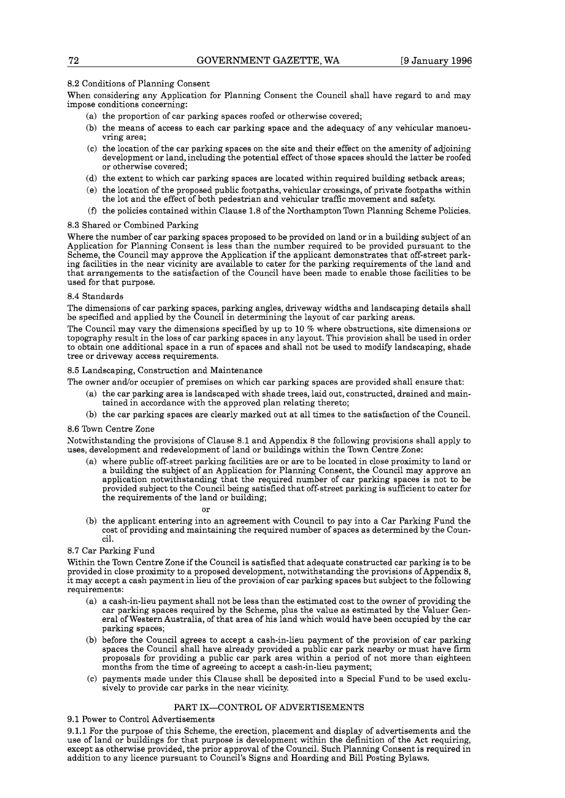## 8.2 Conditions of Planning Consent

When considering any Application for Planning Consent the Council shall have regard to and may impose conditions concerning:

- (a) the proportion of car parking spaces roofed or otherwise covered;
- (b) the means of access to each car parking space and the adequacy of any vehicular manoeuvring area;
- (C) the location of the car parking spaces on the site and their effect on the amenity of adjoining development or land, including the potential effect of those spaces should the latter be roofed or otherwise covered;
- (d) the extent to which car parking spaces are located within required building setback areas;
- (e) the location of the proposed public footpaths, vehicular crossings, of private footpaths within the lot and the effect of both pedestrian and vehicular traffic movement and safety.
- **(f)** the policies contained within Clause 1.8 of the NorthamptonTown Planning Scheme Policies.

### 8.3 Shared or Combined Parking

Where the number of car parking spaces proposed to be provided on land or in a building subject of an Application for Planning Consent is less than the number required to be provided pursuant to the Scheme, the Council may approve the Application if the applicant demonstrates that off-street parking facilities in the near vicinity are available to cater for the parking requirements of the land and that arrangements to the satisfaction of the Council have been made to enable those facilities to be used for that purpose.

### 8.4 Standards

The dimensions of car parking spaces, parking angles, driveway widths and landscaping details shall be specified and applied by the Council in determining the layout of car parking areas.

The Council may vary the dimensions specified by up to 10 % where obstructions, site dimensions or topography result in the loss of car parking spaces in any layout. This provision shall be used in order to obtain one additional space in a run of spaces and shall not be used to modify landscaping, shade tree or driveway access requirements.

### 8.5 Landscaping, Construction and Maintenance

The owner and/or occupier of premises on which car parking spaces are provided shall ensure that:

- (a) the car parking area is landscaped with shade trees, laid out, constructed, drained and maintained in accordance with the approved plan relating thereto;
- (b) the car parking spaces are clearly marked out at all times to the satisfaction of the Council.

#### 8.6 Town Centre Zone

Notwithstanding the provisions of Clause 8.1 and Appendix 8 the following provisions shall apply to uses, development and redevelopment of land or buildings within the Town Centre Zone:

(a) where public off-street parking facilities are or are to be located in close proximity to land or a building the subject of an Application for Planning Consent, the Council may approve an application notwithstanding th provided subject to the Council being satisfied that off-street parking is sufficient to cater for the requirements of the land or building;

or

(b) the applicant entering into an agreement with Council to pay into a Car Parking Fund the cost of providing and maintaining the required number of spaces as determined by the Council.

## 8.7 Car Parking Fund

Within the Town Centre Zone if the Council is satisfied that adequate constructed car parking is to be provided in close proximity to a proposed development, notwithstanding the provisions of Appendix 8, it may accept a cash payment in lieu of the provision of car parking spaces but subject to the following requirements:

- (a) a cash-in-lieu payment shall not be less than the estimated cost to the owner of providing the car parking spaces required by the Scheme, plus the value as estimated by the Valuer General of Western Australia, of that area of his land which would have been occupied by the car parking spaces;
- (b) before the Council agrees to accept a cash-in-lieu payment of the provision of car parking spaces the Council shall have already provided a public car park nearby or must have firm proposals for providing a public car park area within a period of not more than eighteen months from the time of agreeing to accept a cash-in-lieu payment;
- (C) payments made under this Clause shall be deposited into a Special Fund to be used exclusively to provide car parks in the near vicinity

## PART IX-CONTROL OF ADVERTISEMENTS

## 9.1 Power to Control Advertisements

9.1.1 For the purpose of this Scheme, the erection, placement and display of advertisements and the use of land or buildings for that purpose is development within the definition of the Act requiring, except as otherwise provided, the prior approval of the Council. Such Planning Consent is required in addition to any licence pursuant to Council's Signs and Hoarding and Bill Posting Bylaws.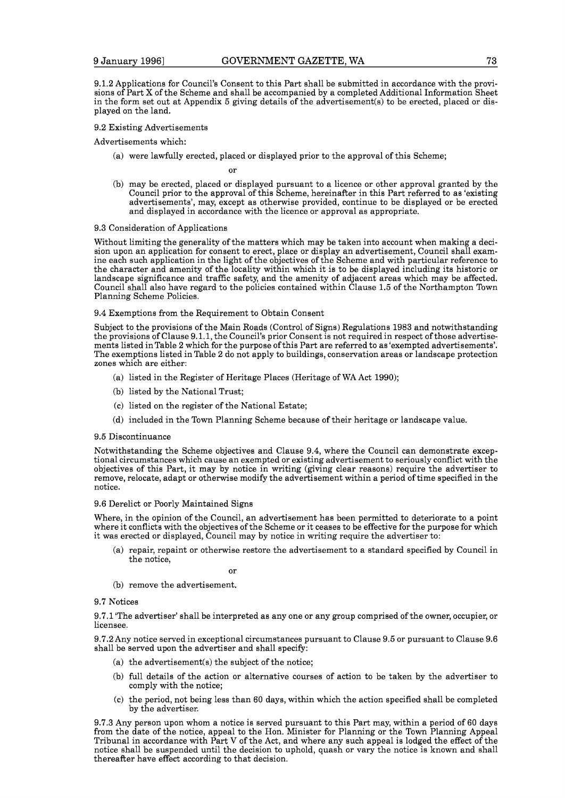9.1.2 Applications for Council's Consent to this Part shall be submitted in accordance with the provisions of Part X of the Scheme and shall be accompanied by a completed Additional Information Sheet in the form set out at Appendix 5 giving details of the advertisement(s) to be erected, placed or displayed on the land.

#### 9.2 Existing Advertisements

Advertisements which:

(a) were lawfully erected, placed or displayed prior to the approval of this Scheme;

or

(b) may be erected, placed or displayed pursuant to a licence or other approval granted by the Council prior to the approval of this Scheme, hereinafter in this Part referred to as 'existing advertisements', may, except as otherwise provided, continue to be displayed or be erected and displayed in accordance with the licence or approval as appropriate.

#### 9.3 Consideration of Applications

Without limiting the generality of the matters which may be taken into account when making a decision upon an application for consent to erect, place or display an advertisement, Council shall examine each such application in the light of the objectives of the Scheme and with particular reference to the character and amenity of the locality within which it is to be displayed including its historic or landscape significance and traffic safety, and the amenity of adjacent areas which may be affected. Council shall also have regard to the policies contained within Clause 1.5 of the Northampton Town Planning Scheme Policies.

#### 9.4 Exemptions from the Requirement to Obtain Consent

Subject to the provisions of the Main Roads (Control of Signs) Regulations 1983 and notwithstanding the provisions of Clause 9.1.1, the Council's prior Consent is not required in respect of those advertisements listed inTable 2 which for the purpose of this Part are referred to as 'exempted advertisements'. The exemptions listed in Table 2 do not apply to buildings, conservation areas or landscape protection zones which are either:

- (a) listed in the Register of Heritage Places (Heritage of WA Act 1990);
- (b) listed by the National Trust;
- (C) listed on the register of the National Estate;
- (d) included in the Town Planning Scheme because of their heritage or landscape value.

#### 9.5 Discontinuance

Notwithstanding the Scheme objectives and Clause 9.4, where the Council can demonstrate exceptional circumstances which cause an exempted or existing advertisement to seriously conflict with the objectives of this Part, it may by notice in writing (giving clear reasons) require the advertiser to remove, relocate, adapt or otherwise modify the advertisement within a period of time specified in the notice.

#### 9.6 Derelict or Poorly Maintained Signs

Where, in the opinion of the Council, an advertisement has been permitted to deteriorate to a point where it conflicts with the objectives of the Scheme or it ceases to be effective for the purpose for which it was erected or displayed, Council may by notice in writing require the advertiser to:

(a) repair, repaint or otherwise restore the advertisement to a standard specified by Council in the notice,

or

(b) remove the advertisement.

#### 9.7 Notices

9.7.1 'The advertiser' shall be interpreted as any one or any group comprised of the owner, occupier, or licensee.

9.7.2Any notice served in exceptional circumstances pursuant to Clause 9.5 or pursuant to Clause 9.6 shall be served upon the advertiser and shall specify:

- (a) the advertisement(s) the subject of the notice;
- (b) full details of the action or alternative courses of action to be taken by the advertiser to comply with the notice;
- (C) the period, not being less than 60 days, within which the action specified shall be completed by the advertiser.

9.7.3 Any person upon whom a notice is served pursuant to this Part may, within a period of 60 days from the date of the notice, appeal to the Hon. Minister for Planning or the Town Planning Appeal Tribunal in accordance with Part V of the Act, and where any such appeal is lodged the effect of the notice shall be suspended until the decision to uphold, quash or vary the notice is known and shall thereafter have effect according to that decision.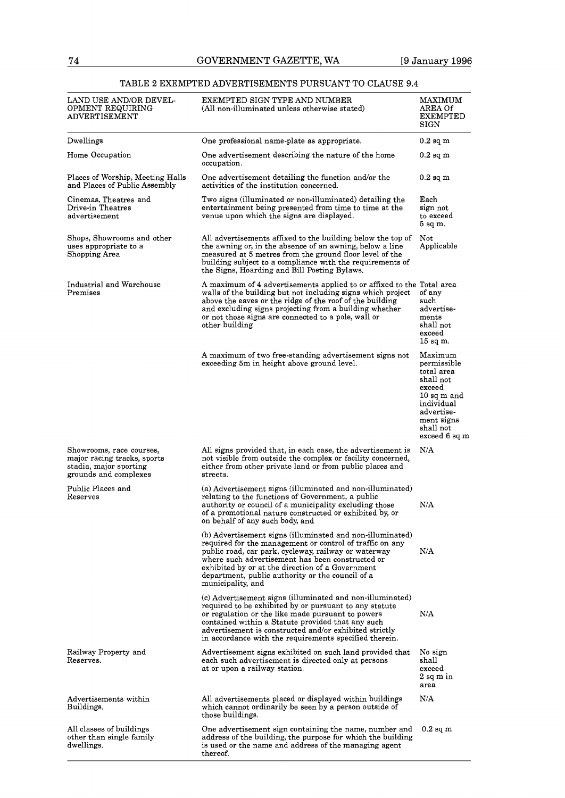## TABLE **2** EXEMPTED ADVERTISEMENTS PURSUANT TO CLAUSE 9.4

| LAND USE AND/OR DEVEL-<br>OPMENT REQUIRING<br>ADVERTISEMENT                                                | EXEMPTED SIGN TYPE AND NUMBER<br>(All non-illuminated unless otherwise stated)                                                                                                                                                                                                                                                                                 | <b>MAXIMUM</b><br>AREA Of<br>EXEMPTED<br>SIGN                                                                                                        |
|------------------------------------------------------------------------------------------------------------|----------------------------------------------------------------------------------------------------------------------------------------------------------------------------------------------------------------------------------------------------------------------------------------------------------------------------------------------------------------|------------------------------------------------------------------------------------------------------------------------------------------------------|
| Dwellings                                                                                                  | One professional name-plate as appropriate.                                                                                                                                                                                                                                                                                                                    | $0.2$ sq m                                                                                                                                           |
| Home Occupation                                                                                            | One advertisement describing the nature of the home<br>occupation.                                                                                                                                                                                                                                                                                             | 0.2 sq m                                                                                                                                             |
| Places of Worship, Meeting Halls<br>and Places of Public Assembly                                          | One advertisement detailing the function and/or the<br>activities of the institution concerned.                                                                                                                                                                                                                                                                | $0.2$ sq m                                                                                                                                           |
| Cinemas, Theatres and<br>Drive-in Theatres<br>advertisement                                                | Two signs (illuminated or non-illuminated) detailing the<br>entertainment being presented from time to time at the<br>venue upon which the signs are displayed.                                                                                                                                                                                                | Each<br>sign not<br>to exceed<br>5 sq m.                                                                                                             |
| Shops, Showrooms and other<br>uses appropriate to a<br>Shopping Area                                       | All advertisements affixed to the building below the top of<br>the awning or, in the absence of an awning, below a line<br>measured at 5 metres from the ground floor level of the<br>building subject to a compliance with the requirements of<br>the Signs, Hoarding and Bill Posting Bylaws.                                                                | Not<br>Applicable                                                                                                                                    |
| Industrial and Warehouse<br>Premises                                                                       | A maximum of 4 advertisements applied to or affixed to the Total area<br>walls of the building but not including signs which project<br>above the eaves or the ridge of the roof of the building<br>and excluding signs projecting from a building whether<br>or not those signs are connected to a pole, wall or<br>other building                            | of any<br>such<br>advertise-<br>ments<br>shall not<br>exceed<br>$15$ sq m.                                                                           |
|                                                                                                            | A maximum of two free-standing advertisement signs not<br>exceeding 5m in height above ground level.                                                                                                                                                                                                                                                           | Maximum<br>permissible<br>total area<br>shall not<br>exceed<br>$10$ sq m and<br>individual<br>advertise-<br>ment signs<br>shall not<br>exceed 6 sq m |
| Showrooms, race courses,<br>major racing tracks, sports<br>stadia, major sporting<br>grounds and complexes | All signs provided that, in each case, the advertisement is<br>not visible from outside the complex or facility concerned,<br>either from other private land or from public places and<br>streets.                                                                                                                                                             | N/A                                                                                                                                                  |
| Public Places and<br>Reserves                                                                              | (a) Advertisement signs (illuminated and non-illuminated)<br>relating to the functions of Government, a public<br>authority or council of a municipality excluding those<br>of a promotional nature constructed or exhibited by, or<br>on behalf of any such body, and                                                                                         | N/A                                                                                                                                                  |
|                                                                                                            | (b) Advertisement signs (illuminated and non-illuminated)<br>required for the management or control of traffic on any<br>public road, car park, cycleway, railway or waterway<br>where such advertisement has been constructed or<br>exhibited by or at the direction of a Government<br>department, public authority or the council of a<br>municipality, and | N/A                                                                                                                                                  |
|                                                                                                            | (c) Advertisement signs (illuminated and non-illuminated)<br>required to be exhibited by or pursuant to any statute<br>or regulation or the like made pursuant to powers<br>contained within a Statute provided that any such<br>advertisement is constructed and/or exhibited strictly<br>in accordance with the requirements specified therein.              | N/A                                                                                                                                                  |
| Railway Property and<br>Reserves.                                                                          | Advertisement signs exhibited on such land provided that<br>each such advertisement is directed only at persons<br>at or upon a railway station.                                                                                                                                                                                                               | No sign<br>shall<br>exceed<br>$2\ \mathrm{sq}$ $\mathrm{m}$ $\mathrm{in}$<br>area                                                                    |
| Advertisements within<br>Buildings.                                                                        | All advertisements placed or displayed within buildings<br>which cannot ordinarily be seen by a person outside of<br>those buildings.                                                                                                                                                                                                                          | N/A                                                                                                                                                  |
| All classes of buildings<br>other than single family<br>dwellings.                                         | One advertisement sign containing the name, number and<br>address of the building, the purpose for which the building<br>is used or the name and address of the managing agent<br>thereof.                                                                                                                                                                     | $0.2$ sq m                                                                                                                                           |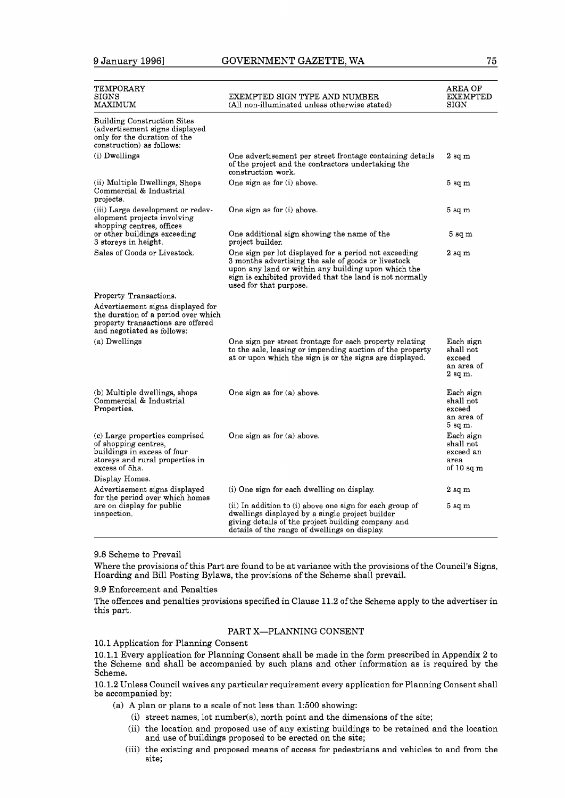| TEMPORARY<br>SIGNS<br>MAXIMUM                                                                                                                                         | EXEMPTED SIGN TYPE AND NUMBER<br>(All non-illuminated unless otherwise stated)                                                                                                                                                                            | AREA OF<br>EXEMPTED<br>SIGN                                 |
|-----------------------------------------------------------------------------------------------------------------------------------------------------------------------|-----------------------------------------------------------------------------------------------------------------------------------------------------------------------------------------------------------------------------------------------------------|-------------------------------------------------------------|
| <b>Building Construction Sites</b><br>(advertisement signs displayed<br>only for the duration of the<br>construction) as follows:                                     |                                                                                                                                                                                                                                                           |                                                             |
| (i) Dwellings                                                                                                                                                         | One advertisement per street frontage containing details<br>of the project and the contractors undertaking the<br>construction work.                                                                                                                      | $2 \text{ sq m}$                                            |
| (ii) Multiple Dwellings, Shops<br>Commercial & Industrial<br>projects.                                                                                                | One sign as for (i) above.                                                                                                                                                                                                                                | $5 \text{ sq m}$                                            |
| (iii) Large development or redev-<br>elopment projects involving<br>shopping centres, offices                                                                         | One sign as for (i) above.                                                                                                                                                                                                                                | 5 sq m                                                      |
| or other buildings exceeding<br>3 storeys in height.                                                                                                                  | One additional sign showing the name of the<br>project builder.                                                                                                                                                                                           | 5 <sub>sq</sub> m                                           |
| Sales of Goods or Livestock.                                                                                                                                          | One sign per lot displayed for a period not exceeding<br>3 months advertising the sale of goods or livestock<br>upon any land or within any building upon which the<br>sign is exhibited provided that the land is not normally<br>used for that purpose. | $2$ sq $m$                                                  |
| Property Transactions.<br>Advertisement signs displayed for<br>the duration of a period over which<br>property transactions are offered<br>and negotiated as follows: |                                                                                                                                                                                                                                                           |                                                             |
| (a) Dwellings                                                                                                                                                         | One sign per street frontage for each property relating<br>to the sale, leasing or impending auction of the property<br>at or upon which the sign is or the signs are displayed.                                                                          | Each sign<br>shall not<br>exceed<br>an area of<br>$2$ sq m. |
| (b) Multiple dwellings, shops<br>Commercial & Industrial<br>Properties.                                                                                               | One sign as for (a) above.                                                                                                                                                                                                                                | Each sign<br>shall not<br>exceed<br>an area of<br>$5$ sq m. |
| (c) Large properties comprised<br>of shopping centres,<br>buildings in excess of four<br>storeys and rural properties in<br>excess of 5ha.                            | One sign as for (a) above.                                                                                                                                                                                                                                | Each sign<br>shall not<br>exceed an<br>area<br>of 10 sq m   |
| Display Homes.                                                                                                                                                        |                                                                                                                                                                                                                                                           |                                                             |
| Advertisement signs displayed<br>for the period over which homes                                                                                                      | (i) One sign for each dwelling on display.                                                                                                                                                                                                                | $2 \text{ sq m}$                                            |
| are on display for public<br>inspection.                                                                                                                              | (ii) In addition to (i) above one sign for each group of<br>dwellings displayed by a single project builder<br>giving details of the project building company and<br>details of the range of dwellings on display.                                        | 5 <sub>sq</sub> m                                           |

### 9.8 Scheme to Prevail

Where the provisions of this Part are found to be at variance with the provisions of the Council's Signs, Hoarding and Bill Posting Bylaws, the provisions of the Scheme shall prevail.

## 9.9 Enforcement and Penalties

The offences and penalties provisions specified in Clause 11.2 of the Scheme apply to the advertiser in this part.

## PART X-PLANNING CONSENT

10.1 Application for Planning Consent

10.1.1 Every application for Planning Consent shall be made in the form prescribed in Appendix 2 to the Scheme and shall be accompanied by such plans and other information as is required by the Scheme.

10.1.2 Unless Council waives any particular requirement every application for Planning Consent shall be accompanied by:

- (a) A plan or plans to a scale of not less than 1:500 showing:
	- (i) street names, lot number(s), north point and the dimensions of the site;
	- (ii) the location and proposed use of any existing buildings to be retained and the location and use of buildings proposed to be erected on the site;
	- (iii) the existing and proposed means of access for pedestrians and vehicles to and from the site;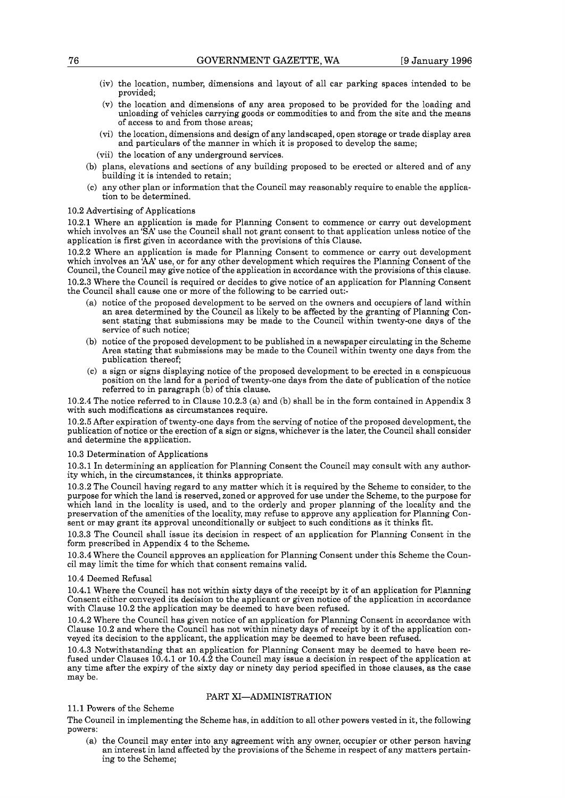- (iv) the location, number, dimensions and layout of all car parking spaces intended to be provided;
- (V) the location and dimensions of any area proposed to be provided for the loading and unloading of vehicles carrying goods or commodities to and from the site and the means of access to and from those areas;
- (vi) the location, dimensions and design of any landscaped, open storage or trade display area and particulars of the manner in which it is proposed to develop the same;
- (vii) the location of any underground services.
- (b) plans, elevations and sections of any building proposed to be erected or altered and of any building it is intended to retain;
- (C) any other plan or information that the Council may reasonably require to enable the application to be determined.

#### 10.2 Advertising of Applications

10.2.1 Where an application is made for Planning Consent to commence or carry out development which involves an 'SA' use the Council shall not grant consent to that application unless notice of the application is first given in accordance with the provisions of this Clause.

10.2.2 Where an application is made for Planning Consent to commence or carry out development which involves an **'AA'** use, or for any other development which requires the Planning Consent of the Council, the Council may give notice of the application in accordance with the provisions of this clause.

10.2.3 Where the Council is required or decides to give notice of an application for Planning Consent the Council shall cause one or more of the following to be carried out:-

- (a) notice of the proposed development to be served on the owners and occupiers of land within an area determined by the Council as likely to be affected by the granting of Planning Consent stating that submissions may be made to the Council within twenty-one days of the service of such notice;
- (b) notice of the proposed development to be published in a newspaper circulating in the Scheme Area stating that submissions may be made to the Council within twenty one days from the publication thereof;
- (C) a sign or signs displaying notice of the proposed development to be erected in a conspicuous position on the land for a period of twenty-one days from the date of publication of the notice referred to in paragraph (b) of this clause.

10.2.4 The notice referred to in Clause 10.2.3 (a) and (b) shall be in the form contained in Appendix 3 with such modifications as circumstances require.

10.2.5 After expiration of twenty-one days from the serving of notice of the proposed development, the publication of notice or the erection of a sign or signs, whichever is the later, the Council shall consider and determine the application.

#### 10.3 Determination of Applications

10.3.1 In determining an application for Planning Consent the Council may consult with any authority which, in the circumstances, it thinks appropriate.

10.3.2 The Council having regard to any matter which it is required by the Scheme to consider, to the purpose for which the land is reserved, zoned or approved for use under the Scheme, to the purpose for which land in the locality is used, and to the orderly and proper planning of the locality and the preservation of the amenities of the locality, may refuse to approve any application for Planning Consent or may grant its approval unconditionally or subject to such conditions as it thinks fit.

10.3.3 The Council shall issue its decision in respect of an application for Planning Consent in the form prescribed in Appendix 4 to the Scheme.

10.3.4 Where the Council approves an application for Planning Consent under this Scheme the Council may limit the time for which that consent remains valid.

#### 10.4 Deemed Refusal

10.4.1 Where the Council has not within sixty days of the receipt by it of an application for Planning Consent either conveyed its decision to the applicant or given notice of the application in accordance with Clause 10.2 the application may be deemed to have been refused.

10.4.2 Where the Council has given notice of an application for Planning Consent in accordance with Clause 10.2 and where the Council has not within ninety days of receipt by it of the application con- veyed its decision to the applicant, the application may be deemed to have been refused.

10.4.3 Notwithstanding that an application for Planning Consent may be deemed to have been re- fused under Clauses 10.4.1 or 10.4.2 the Council may issue a decision in respect of the application at any time after the expiry of the sixty day or ninety day period specified in those clauses, as the case may be.

## PART XI-ADMINISTRATION

## 11.1 Powers of the Scheme

The Council in implementing the Scheme has, in addition to all other powers vested in it, the following powers:

(a) the Council may enter into any agreement with any owner, occupier or other person having an interest in land affected by the provisions of the Scheme in respect of any matters pertaining to the Scheme;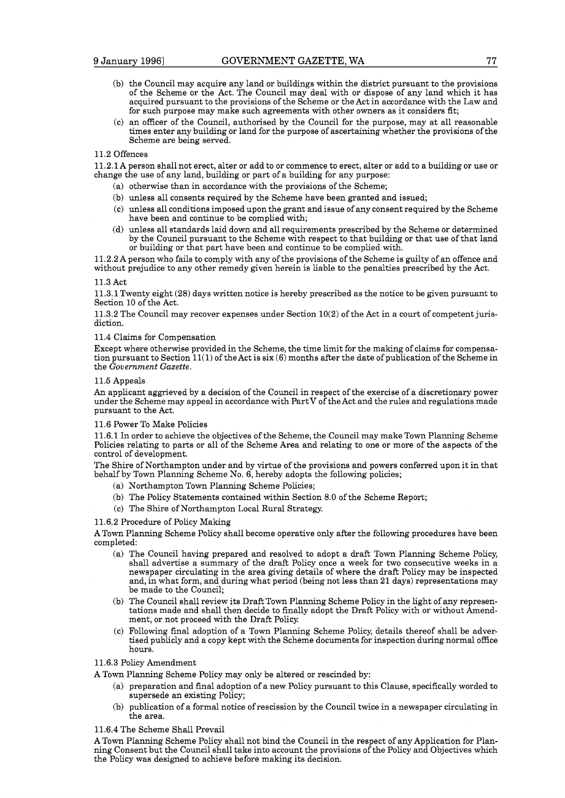- (b) the Council may acquire any land or buildings within the district pursuant to the provisions of the Scheme or the Act. The Council may deal with or dispose of any land which it has acquired pursuant to the provisions of the Scheme or the Act in accordance with the Law and for such purpose may make such agreements with other owners as it considers fit;
- (C) an officer of the Council, authorised by the Council for the purpose, may at all reasonable times enter any building or land for the purpose of ascertaining whether the provisions of the Scheme are being served.

#### 11.2 Offences

11.2.1A person shall not erect, alter or add to or commence to erect, alter or add to a building or use or change the use of any land, building or part of a building for any purpose:

- (a) otherwise than in accordance with the provisions of the Scheme;
- (b) unless all consents required by the Scheme have been granted and issued;
- (C) unless all conditions imposed upon the grant and issue of any consent required by the Scheme have been and continue to be complied with;
- (d) unless all standards laid down and all requirements prescribed by the Scheme or determined by the Council pursuant to the Scheme with respect to that building or that use of that land or building or that part have been and continue to be complied with.

11.2.2A person who fails to comply with any of the provisions of the Scheme is guilty of an offence and without prejudice to any other remedy given herein is liable to the penalties prescribed by the Act.

#### 11.3 Act

11.3.1 Twenty eight (28) days written notice is hereby prescribed as the notice to be given pursuant to Section 10 of the Act.

11.3.2 The Council may recover expenses under Section 10(2) of the Act in a court of competent jurisdiction.

#### 11.4 Claims for Compensation

Except where otherwise provided in the Scheme, the time limit for the making of claims for compensation pursuant to Section  $11(1)$  of the Act is six (6) months after the date of publication of the Scheme in the *Government Gazette.* 

#### 11.5 Appeals

An applicant aggrieved by a decision of the Council in respect of the exercise of a discretionary power under the Scheme may appeal in accordance with PartV of the Act and the rules and regulations made pursuant to the Act.

#### 11.6 Power To Make Policies

11.6.1 In order to achieve the objectives of the Scheme, the Council may make Town Planning Scheme Policies relating to parts or all of the Scheme Area and relating to one or more of the aspects of the control of development.

The Shire of Northampton under and by virtue of the provisions and powers conferred upon it in that behalf by Town Planning Scheme No. 6, hereby adopts the following policies;

- (a) Northampton Town Planning Scheme Policies;
- (b) The Policy Statements contained within Section 8.0 of the Scheme Report;
- (C) The Shire of Northampton Local Rural Strategy.

#### 11.6.2 Procedure of Policy Making

A Town Planning Scheme Policy shall become operative only after the following procedures have been completed:

- (a) The Council having prepared and resolved to adopt a draft Town Planning Scheme Policy, shall advertise a summary of the draft Policy once a week for two consecutive weeks in a newspaper circulating in the area giving details of where the draft Policy may be inspected and, in what form, and during what period (being not less than 21 days) representations may be made to the Council;
- (b) The Council shall review its Draft Town Planning Scheme Policy in the light of any representations made and shall then decide to finally adopt the Draft Policy with or without Amendment, or not proceed with the Draft Policy
- (C) Following final adoption of a Town Planning Scheme Policy, details thereof shall be advertised publicly and a copy kept with the Scheme documents for inspection during normal office hours.

#### 11.6.3 Policy Amendment

A Town Planning Scheme Policy may only be altered or rescinded by:

- (a) preparation and final adoption of a new Policy pursuant to this Clause, specifically worded to supersede an existing Policy;
- (b) publication of a formal notice of rescission by the Council twice in a newspaper circulating in the area.

## 11.6.4 The Scheme Shall Prevail

A Town Planning Scheme Policy shall not bind the Council in the respect of any Application for Planning Consent but the Council shall take into account the provisions of the Policy and Objectives which the Policy was designed to achieve before making its decision.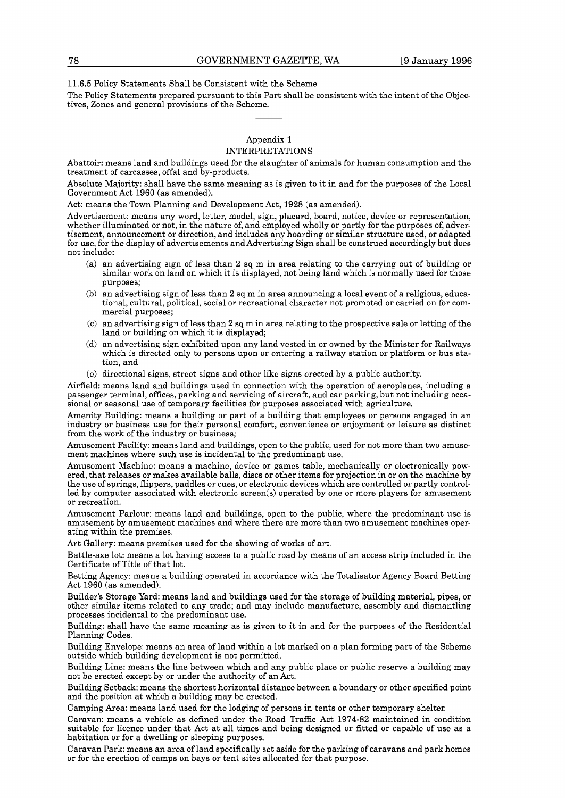11.6.5 Policy Statements Shall be Consistent with the Scheme

The Policy Statements prepared pursuant to this Part shall be consistent with the intent of the Objectives, Zones and general provisions of the Scheme.

### Appendix 1 INTERPRETATIONS

Abattoir: means land and buildings used for the slaughter of animals for human consumption and the treatment of carcasses, offal and by-products.

Absolute Majority: shall have the same meaning as is given to it in and for the purposes of the Local Government Act 1960 (as amended).

Act: means the Town Planning and Development Act, 1928 (as amended).

Advertisement: means any word, letter, model, sign, placard, board, notice, device or representation, whether illuminated or not, in the nature of, and employed wholly or partly for the purposes of, advertisement, announcement or direction, and includes any hoarding or similar structure used, or adapted for use, for the display of advertisements and Advertising Sign shall be construed accordingly but does not include:

- (a) an advertising sign of less than 2 sq m in area relating to the carrying out of building or similar work on land on which it is displayed, not being land which is normally used for those purposes;
- (b) an advertising sign of less than 2 sq m in area announcing a local event of a religious, educational, cultural, political, social or recreational character not promoted or carried on for commercial purposes;
- (C) an advertising sign of less than 2 sq m in area relating to the prospective sale or letting of the land or building on which it is displayed;
- (d) an advertising sign exhibited upon any land vested in or owned by the Minister for Railways which is directed only to persons upon or entering a railway station or platform or bus station, and
- (e) directional signs, street signs and other like signs erected by a public authority.

Airfield: means land and buildings used in connection with the operation of aeroplanes, including a passenger terminal, offices, parking and servicing of aircraft, and car parking, but not including occasional or seasonal use of temporary facilities for purposes associated with agriculture.

Amenity Building: means a building or part of a building that employees or persons engaged in an industry or business use for their personal comfort, convenience or enjoyment or leisure as distinct from the work of the industry or business;

Amusement Facility: means land and buildings, open to the public, used for not more than two amusement machines where such use is incidental to the predominant use.

Amusement Machine: means a machine, device or games table, mechanically or electronically powered, that releases or makes available balls, discs or other items for projection in or on the machine by the use of springs, flippers, paddles or cues, or electronic devices which are controlled or partly controlled by computer associated with electronic screen(s) operated by one or more players for amusement or recreation.

Amusement Parlour: means land and buildings, open to the public, where the predominant use is amusement by amusement machines and where there are more than two amusement machines operating within the premises.

Art Gallery: means premises used for the showing of works of art.

Battle-axe lot: means a lot having access to a public road by means of an access strip included in the Certificate of Title of that lot.

Betting Agency: means a building operated in accordance with the Totalisator Agency Board Betting Act 1960 (as amended).

Builder's Storage Yard: means land and buildings used for the storage of building material, pipes, or other similar items related to any trade; and may include manufacture, assembly and dismantling processes incidental to the predominant use.

Building: shall have the same meaning as is given to it in and for the purposes of the Residential Planning Codes.

Building Envelope: means an area of land within a lot marked on a plan forming part of the Scheme outside which building development is not permitted.

Building Line: means the line between which and any public place or public reserve a building may not be erected except by or under the authority of an Act.

Building Setback: means the shortest horizontal distance between a boundary or other specified point and the position at which a building may be erected.

Camping Area: means land used for the lodging of persons in tents or other temporary shelter.

Caravan: means a vehicle as defined under the Road Traffic Act 1974-82 maintained in condition suitable for licence under that Act at all times and being designed or fitted or capable of use as a habitation or for a dwelling or sleeping purposes.

Caravan Park: means an area of land specifically set aside for the parking of caravans and park homes or for the erection of camps on bays or tent sites allocated for that purpose.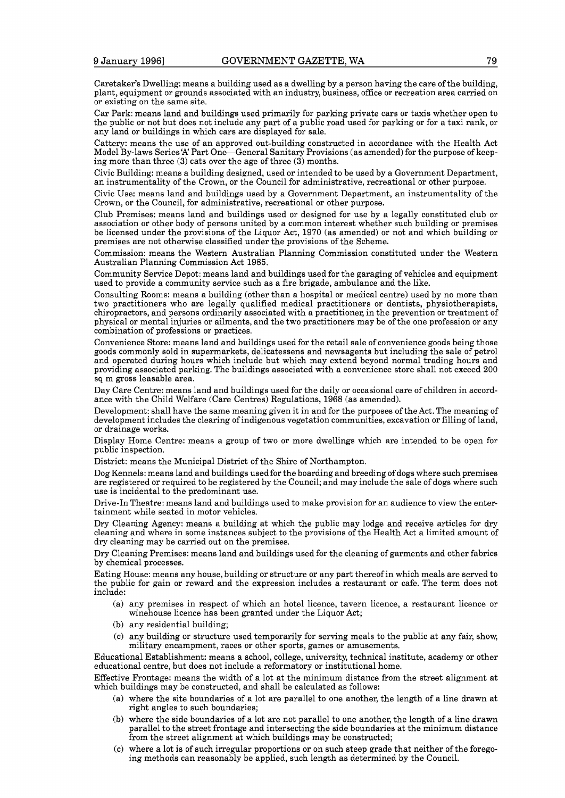Caretaker's Dwelling: means a building used as a dwelling by a person having the care of the building, plant, equipment or grounds associated with an industry, business, office or recreation area carried on or existing on the same site.

Car Park: means land and buildings used primarily for parking private cars or taxis whether open to the public or not but does not include any part of a public road used for parking or for a taxi rank, or any land or buildings in which cars are displayed for sale.

Cattery: means the use of an approved out-building constructed in accordance with the Health Act Model By-laws Series'A' Part One-General Sanitary Provisions (as amended) for the purpose of keeping more than three (3) cats over the age of three (3) months.

Civic Building: means a building designed, used or intended to be used by a Government Department, an instrumentality of the Crown, or the Council for administrative, recreational or other purpose.

Civic Use: means land and buildings used by a Government Department, an instrumentality of the Crown, or the Council, for administrative, recreational or other purpose.

Club Premises: means land and buildings used or designed for use by a legally constituted club or association or other body of persons united by a common interest whether such building or premises be licensed under the provisions of the Liquor Act, 1970 (as amended) or not and which building or premises are not otherwise classified under the provisions of the Scheme.

Commission: means the Western Australian Planning Commission constituted under the Western Australian Planning Commission Act 1985.

Community Service Depot: means land and buildings used for the garaging of vehicles and equipment used to provide a community service such as a fire brigade, ambulance and the like.

Consulting Rooms: means a building (other than a hospital or medical centre) used by no more than two practitioners who are legally qualified medical practitioners or dentists, physiotherapists, chiropractors, and persons ordinarily associated with a practitioner, in the prevention or treatment of physical or mental injuries or ailments, and the two practitioners may be of the one profession or any combination of professions or practices.

Convenience Store: means land and buildings used for the retail sale of convenience goods being those goods commonly sold in supermarkets, delicatessens and newsagents but including the sale of petrol and operated during hours which include but which may extend beyond normal trading hours and providing associated parking. The buildings associated with a convenience store shall not exceed 200 sq m gross leasable area.

Day Care Centre: means land and buildings used for the daily or occasional care of children in accordance with the Child Welfare (Care Centres) Regulations, 1968 (as amended).

Development: shall have the same meaning given it in and for the purposes of the Act. The meaning of development includes the clearing of indigenous vegetation communities, excavation or filling of land, or drainage works.

Display Home Centre: means a group of two or more dwellings which are intended to be open for public inspection.

District: means the Municipal District of the Shire of Northampton.

Dog Kennels: means land and buildings used for the boarding and breeding of dogs where such premises are registered or required to be registered by the Council; and may include the sale of dogs where such use is incidental to the predominant use.

Drive-In Theatre: means land and buildings used to make provision for an audience to view the entertainment while seated in motor vehicles.

Dry Cleaning Agency: means a building at which the public may lodge and receive articles for dry cleaning and where in some instances subject to the provisions of the Health Act a limited amount of dry cleaning may be carried out on the premises.

Dry Cleaning Premises: means land and buildings used for the cleaning of garments and other fabrics by chemical processes.

Eating House: means any house, building or structure or any part thereof in which meals are served to the public for gain or reward and the expression includes a restaurant or cafe. The term does not include:

- (a) any premises in respect of which an hotel licence, tavern licence, a restaurant licence or winehouse licence has been granted under the Liquor Act;
- (b) any residential building;
- (C) any building or structure used temporarily for serving meals to the public at any fair, show, military encampment, races or other sports, games or amusements.

Educational Establishment: means a school, college, university, technical institute, academy or other educational centre, but does not include a reformatory or institutional home.

Effective Frontage: means the width of a lot at the minimum distance from the street alignment at which buildings may be constructed, and shall be calculated as follows:

- (a) where the site boundaries of a lot are parallel to one another, the length of a line drawn at right angles to such boundaries;
- (b) where the side boundaries of a lot are not parallel to one another, the length of a line drawn parallel to the street frontage and intersecting the side boundaries at the minimum distance from the street alignment at which buildings may be constructed;
- (C) where a lot is of such irregular proportions or on such steep grade that neither of the foregoing methods can reasonably be applied, such length as determined by the Council.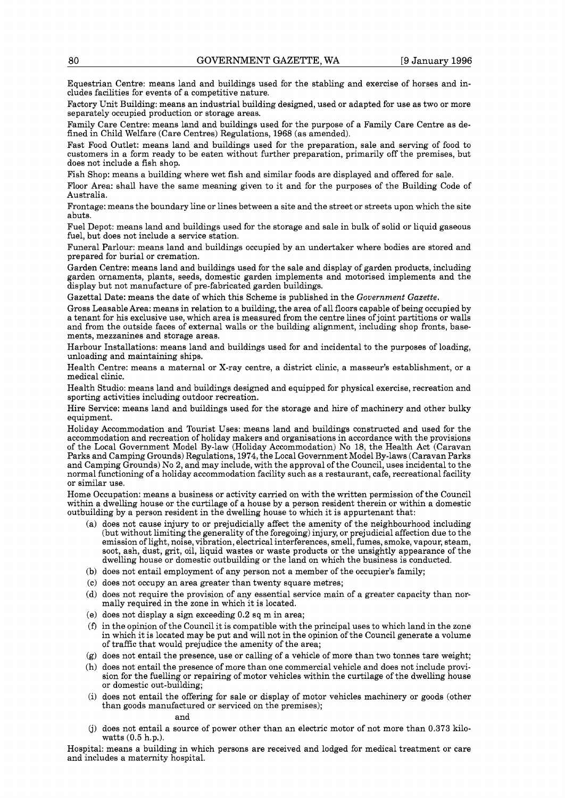Equestrian Centre: means land and buildings used for the stabling and exercise of horses and includes facilities for events of a competitive nature.

Factory Unit Building: means an industrial building designed, used or adapted for use as two or more separately occupied production or storage areas.

Family Care Centre: means land and buildings used for the purpose of a Family Care Centre as defined in Child Welfare (Care Centres) Regulations, 1968 (as amended).

Fast Food Outlet: means land and buildings used for the preparation, sale and serving of food to customers in a form ready to be eaten without further preparation, primarily off the premises, but does not include a fish shop.

Fish Shop: means a building where wet fish and similar foods are displayed and offered for sale.

Floor Area: shall have the same meaning given to it and for the purposes of the Building Code of Australia.

Frontage: means the boundary line or lines between a site and the street or streets upon which the site abuts.

Fuel Depot: means land and buildings used for the storage and sale in bulk of solid or liquid gaseous fuel, but does not include a service station.

Funeral Parlour: means land and buildings occupied by an undertaker where bodies are stored and prepared for burial or cremation.

Garden Centre: means land and buildings used for the sale and display of garden products, including garden ornaments, plants, seeds, domestic garden implements and motorised implements and the display but not manufacture of pre-fabricated garden buildings.

Gazettal Date: means the date of which this Scheme is published in the *Government Gazette.* 

Gross Leasable Area: means in relation to a building, the area of all floors capable of being occupied by a tenant for his exclusive use, which area is measured from the centre lines of joint partitions or walls and from the outside faces of external walls or the building alignment, including shop fronts, basements, mezzanines and storage areas.

Harbour Installations: means land and buildings used for and incidental to the purposes of loading, unloading and maintaining ships.

Health Centre: means a maternal or X-ray centre, a district clinic, a masseur's establishment, or a medical clinic.

Health Studio: means land and buildings designed and equipped for physical exercise, recreation and sporting activities including outdoor recreation.

Hire Service: means land and buildings used for the storage and hire of machinery and other bulky equipment.

Holiday Accommodation and Tourist Uses: means land and buildings constructed and used for the accommodation and recreation of holiday makers and organisations in accordance with the provisions of the Local Government Model By-law (Holiday Accommodation) No 18, the Health Act (Caravan Parks and Camping Grounds) Regulations, 1974, the Local Government Model By-laws (Caravan Parks and Camping Grounds) No **2,** and may include, with the approval of the Council, uses incidental to the normal functioning of a holiday accommodation facility such as a restaurant, cafe, recreational facility or similar use.

Home Occupation: means a business or activity carried on with the written permission of the Council within a dwelling house or the curtilage of a house by a person resident therein or within a domestic outbuilding by a person resident in the dwelling house to which it is appurtenant that:

- (a) does not cause injury to or prejudicially affect the amenity of the neighbourhood including (but without limiting the generality of the foregoing) injury, or prejudicial affection due to the emission of light, noise, vibration, electrical interferences, smell, fumes, smoke, vapour, steam, soot, ash, dust, grit, oil, liquid wastes or waste products or the unsightly appearance of the dwelling house or domestic outbuilding or the land on which the business is conducted.
- (b) does not entail employment of any person not a member of the occupier's family;
- (c) does not occupy an area greater than twenty square metres;
- (d) does not require the provision of any essential service main of a greater capacity than nor- mally required in the zone in which it is located.
- (e) does not display a sign exceeding 0.2 sq m in area;
- $(f)$  in the opinion of the Council it is compatible with the principal uses to which land in the zone in which it is located may be put and will not in the opinion of the Council generate a volume of traffic that would prejudice the amenity of the area;
- (g) does not entail the presence, use or calling of a vehicle of more than two tonnes tare weight;
- (h) does not entail the presence of more than one commercial vehicle and does not include provision for the fuelling or repairing of motor vehicles within the curtilage of the dwelling house or domestic out-building;
- (i) does not entail the offering for sale or display of motor vehicles machinery or goods (other than goods manufactured or serviced on the premises);

### and

(j) does not entail a source of power other than an electric motor of not more than 0.373 kilowatts (0.5 h.p.).

Hospital: means a building in which persons are received and lodged for medical treatment or care and includes a maternity hospital.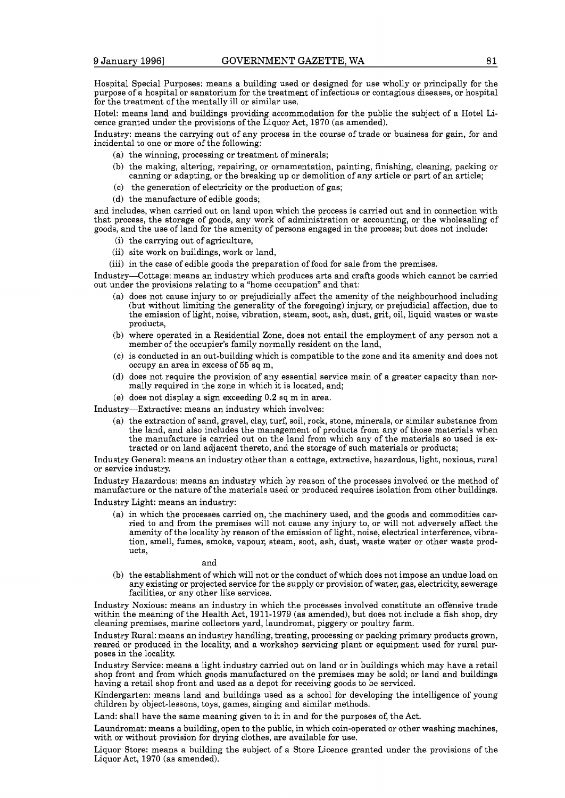Hospital Special Purposes: means a building used or designed for use wholly or principally for the purpose of a hospital or sanatorium for the treatment of infectious or contagious diseases, or hospital for the treatment of the mentally ill or similar use.

Hotel: means land and buildings providing accommodation for the public the subject of a Hotel Licence granted under the provisions of the Liquor Act, 1970 (as amended).

Industry: means the carrying out of any process in the course of trade or business for gain, for and incidental to one or more of the following:

- (a) the winning, processing or treatment of minerals;
- (b) the making, altering, repairing, or ornamentation, painting, finishing, cleaning, packing or canning or adapting, or the breaking up or demolition of any article or part of an article;
- (C) the generation of electricity or the production of gas;
- (d) the manufacture of edible goods;

and includes, when carried out on land upon which the process is carried out and in connection with that process, the storage of goods, any work of administration or accounting, or the wholesaling of goods, and the use of land for the amenity of persons engaged in the process; but does not include:

- (i) the carrying out of agriculture,
- (ii) site work on buildings, work or land,
- (iii) in the case of edible goods the preparation of food for sale from the premises.

Industry-Cottage: means an industry which produces arts and crafts goods which cannot be carried out under the provisions relating to a "home occupation" and that:

- (a) does not cause injury to or prejudicially affect the amenity of the neighbourhood including (but without limiting the generality of the foregoing) injury, or prejudicial affection, due to the emission of light, noise, vibration, steam, soot, ash, dust, grit, oil, liquid wastes or waste products,
- (b) where operated in a Residential Zone, does not entail the employment of any person not a member of the occupier's family normally resident on the land,
- (C) is conducted in an out-building which is compatible to the zone and its amenity and does not occupy an area in excess of **55** sq m,
- (d) does not require the provision of any essential service main of a greater capacity than nor- mally required in the zone in which it is located, and;
- (e) does not display a sign exceeding 0.2 sq m in area.

Industry-Extractive: means an industry which involves:

(a) the extraction of sand, gravel, clay, turf, soil, rock, stone, minerals, or similar substance from the land, and also includes the management of products from any of those materials when the manufacture is carried out on the land from which any of the materials so used is extracted or on land adjacent thereto, and the storage of such materials or products;

Industry General: means an industry other than a cottage, extractive, hazardous, light, noxious, rural or service industry

Industry Hazardous: means an industry which by reason of the processes involved or the method of manufacture or the nature of the materials used or produced requires isolation from other buildings.

Industry Light: means an industry:

(a) in which the processes carried on, the machinery used, and the goods and commodities carried to and from the premises will not cause any injury to, or will not adversely affect the amenity of the locality by reason of the emission of light, noise, electrical interference, vibration, smell, fumes, smoke, vapour, steam, soot, ash, dust, waste water or other waste products,

and

(b) the establishment of which will not or the conduct of which does not impose an undue load on any existing or projected service for the supply or provision of water, gas, electricity, sewerage facilities, or any other like services.

Industry Noxious: means an industry in which the processes involved constitute an offensive trade within the meaning of the Health Act, 1911-1979 (as amended), but does not include a fish shop, dry cleaning premises, marine collectors yard, laundromat, piggery or poultry farm.

Industry Rural: means an industry handling, treating, processing or packing primary products grown, reared or produced in the locality, and a workshop servicing plant or equipment used for rural purposes in the locality.

Industry Service: means a light industry carried out on land or in buildings which may have a retail shop front and from which goods manufactured on the premises may be sold; or land and buildings having a retail shop front and used as a depot for receiving goods to be serviced.

Kindergarten: means land and buildings used as a school for developing the intelligence of young children by object-lessons, toys, games, singing and similar methods.

Land: shall have the same meaning given to it in and for the purposes of, the Act.

Laundromat: means a building, open to the public, in which coin-operated or other washing machines, with or without provision for drying clothes, are available for use.

Liquor Store: means a building the subject of a Store Licence granted under the provisions of the Liquor Act, 1970 (as amended).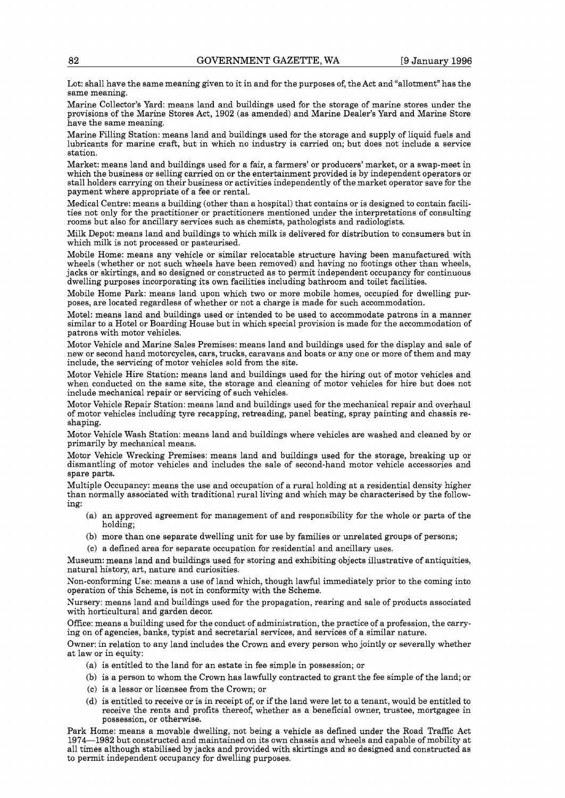Lot: shall have the same meaning given to it in and for the purposes of, the Act and "allotment" has the same meaning.

Marine Collector's Yard: means land and buildings used for the storage of marine stores under the provisions of the Marine Stores Act, 1902 (as amended) and Marine Dealer's Yard and Marine Store have the same meaning.

Marine Filling Station: means land and buildings used for the storage and supply of liquid fuels and lubricants for marine craft, but in which no industry is carried on; but does not include a service station.

Market: means land and buildings used for a fair, a farmers' or producers' market, or a swap-meet in stall holders carrying on their business or activities independently of the market operator save for the payment where appropriate of a fee or rental.

Medical Centre: means a building (other than a hospital) that contains or is designed to contain facilities not only for the practitioner or practitioners mentioned under the interpretations of consulting rooms but also for ancillary services such as chemists, pathologists and radiologists.

Milk Depot: means land and buildings to which milk is delivered for distribution to consumers but in which milk is not processed or pasteurised.

Mobile Home: means any vehicle or similar relocatable structure having been manufactured with wheels (whether or not such wheels have been removed) and having no footings other than wheels, jacks or skirtings, and so designed or constructed as to permit independent occupancy for continuous dwelling purposes incorporating its own facilities including bathroom and toilet facilities.

Mobile Home Park: means land upon which two or more mobile homes, occupied for dwelling purposes, are located regardless of whether or not a charge is made for such accommodation.

Motel: means land and buildings used or intended to be used to accommodate patrons in a manner similar to a Hotel or Boarding House but in which special provision is made for the accommodation of patrons with motor vehicles.

Motor Vehicle and Marine Sales Premises: means land and buildings used for the display and sale of new or second hand motorcycles, cars, trucks, caravans and boats or any one or more of them and may include, the servicing of motor vehicles sold from the site.

Motor Vehicle Hire Station: means land and buildings used for the hiring out of motor vehicles and when conducted on the same site, the storage and cleaning of motor vehicles for hire but does not include mechanical repair or servicing of such vehicles.

Motor Vehicle Repair Station: means land and buildings used for the mechanical repair and overhaul of motor vehicles including tyre recapping, retreading, panel beating, spray painting and chassis reshaping.

Motor Vehicle Wash Station: means land and buildings where vehicles are washed and cleaned by or primarily by mechanical means.

Motor Vehicle Wrecking Premises: means land and buildings used for the storage, breaking up or dismantling of motor vehicles and includes the sale of second-hand motor vehicle accessories and spare parts.

Multiple Occupancy: means the use and occupation of a rural holding at a residential density higher than normally associated with traditional rural living and which may be characterised by the following:

- (a) an approved agreement for management of and responsibility for the whole or parts of the holding;
- (b) more than one separate dwelling unit for use by families or unrelated groups of persons;
- (C) a defined area for separate occupation for residential and ancillary uses.

Museum: means land and buildings used for storing and exhibiting objects illustrative of antiquities, natural history, art, nature and curiosities.

Non-conforming Use: means a use of land which, though lawful immediately prior to the coming into operation of this Scheme, is not in conformity with the Scheme.

Nursery: means land and buildings used for the propagation, rearing and sale of products associated with horticultural and garden decor.

Office: means a building used for the conduct of administration, the practice of a profession, the carrying on of agencies, banks, typist and secretarial services, and services of a similar nature.

Owner: in relation to any land includes the Crown and every person who jointly or severally whether at law or in equity:

- (a) is entitled to the land for an estate in fee simple in possession; or
- (b) is a person to whom the Crown has lawfully contracted to grant the fee simple of the land; or
- (C) is a lessor or licensee from the Crown; or
- (d) is entitled to receive or is in receipt of, or if the land were let to a tenant, would be entitled to receive the rents and profits thereof, whether as a beneficial owner, trustee, mortgagee in possession, or otherwise.

Park Home: means a movable dwelling, not being a vehicle as defined under the Road Traffic Act 1974-1982 but constructed and maintained on its own chassis and wheels and capable of mobility at all times although stabilised by jacks and provided with skirtings and so designed and constructed as to permit independent occupancy for dwelling purposes.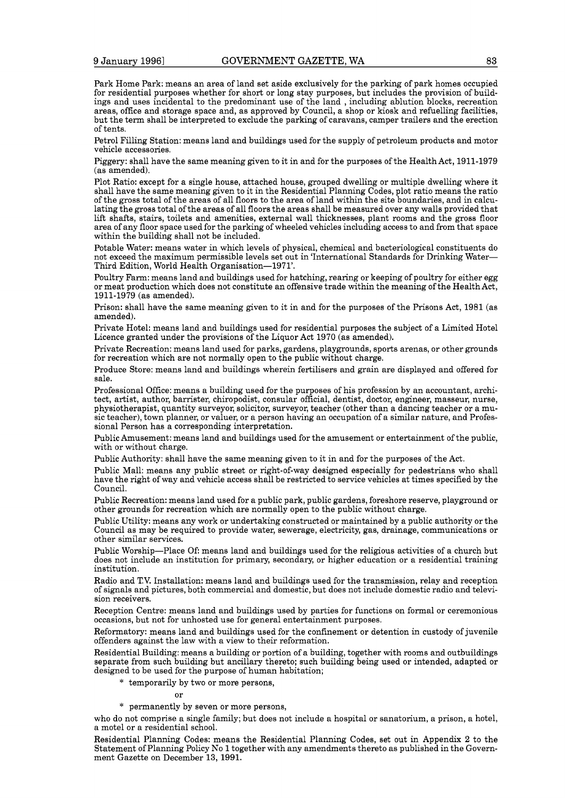Park Home Park: means an area of land set aside exclusively for the parking of park homes occupied for residential purposes whether for short or long stay purposes, but includes the provision of buildings and uses incidental to the predominant use of the land , including ablution blocks, recreation areas, office and storage space and, as approved by Council, a shop or kiosk and refuelling facilities, but the term shall be interpreted to exclude the parking of caravans, camper trailers and the erection of tents.

Petrol Filling Station: means land and buildings used for the supply of petroleum products and motor vehicle accessories.

Piggery: shall have the same meaning given to it in and for the purposes of the Health Act, 1911-1979 (as amended).

Plot Ratio: except for a single house, attached house, grouped dwelling or multiple dwelling where it shall have the same meaning given to it in the Residential Planning Codes, plot ratio means the ratio of the gross total of the areas of all floors to the area of land within the site boundaries, and in calculating the gross total of the areas of all floors the areas shall be measured over any walls provided that lift shafts, stairs, toilets and amenities, external wall thicknesses, plant rooms and the gross floor area of any floor space used for the parking of wheeled vehicles including access to and from that space within the building shall not be included.

Potable Water: means water in which levels of physical, chemical and bacteriological constituents do not exceed the maximum permissible levels set out in 'International Standards for Drinking Water-Third Edition, World Health Organisation-1971'.

Poultry Farm: means land and buildings used for hatching, rearing or keeping of poultry for either egg or meat production which does not constitute an offensive trade within the meaning of the HealthAct, 1911-1979 (as amended).

Prison: shall have the same meaning given to it in and for the purposes of the Prisons Act, 1981 (as amended).

Private Hotel: means land and buildings used for residential purposes the subject of a Limited Hotel Licence granted under the provisions of the Liquor Act 1970 (as amended).

Private Recreation: means land used for parks, gardens, playgrounds, sports arenas, or other grounds for recreation which are not normally open to the public without charge.

Produce Store: means land and buildings wherein fertilisers and grain are displayed and offered for sale.

Professional Office: means a building used for the purposes of his profession by an accountant, architect, artist, author, barrister, chiropodist, consular official, dentist, doctor, engineer, masseur, nurse, physiotherapist, quantity surveyor, solicitor, surveyor, teacher (other than a dancing teacher or a mu- sic teacher), town planner, or valuer, or a person having an occupation of a similar nature, and Professional Person has a corresponding interpretation.

Public Amusement: means land and buildings used for the amusement or entertainment of the public, with or without charge.

Public Authority: shall have the same meaning given to it in and for the purposes of the Act.

Public Mall: means any public street or right-of-way designed especially for pedestrians who shall have the right of way and vehicle access shall be restricted to service vehicles at times specified by the Council.

Public Recreation: means land used for a public park, public gardens, foreshore reserve, playground or other grounds for recreation which are normally open to the public without charge.

Public Utility: means any work or undertaking constructed or maintained by a public authority or the Council as may be required to provide water, sewerage, electricity, gas, drainage, communications or other similar services.

Public Worship-Place Of: means land and buildings used for the religious activities of a church but does not include an institution for primary, secondary, or higher education or a residential training institution.

Radio and **TV.** Installation: means land and buildings used for the transmission, relay and reception of signals and pictures, both commercial and domestic, but does not include domestic radio and television receivers.

Reception Centre: means land and buildings used by parties for functions on formal or ceremonious occasions, but not for unhosted use for general entertainment purposes.

Reformatory: means land and buildings used for the confinement or detention in custody of juvenile offenders against the law with a view to their reformation.

Residential Building: means a building or portion of a building, together with rooms and outbuildings separate from such building but ancillary thereto; such building being used or intended, adapted or designed to be used for the purpose of human habitation;

\* temporarily by two or more persons,

\* permanently by seven or more persons,

who do not comprise a single family; but does not include a hospital or sanatorium, a prison, a hotel, a motel or a residential school.

Residential Planning Codes: means the Residential Planning Codes, set out in Appendix **2** to the Statement of Planning Policy No 1 together with any amendments thereto as published in the Government Gazette on December 13, 1991.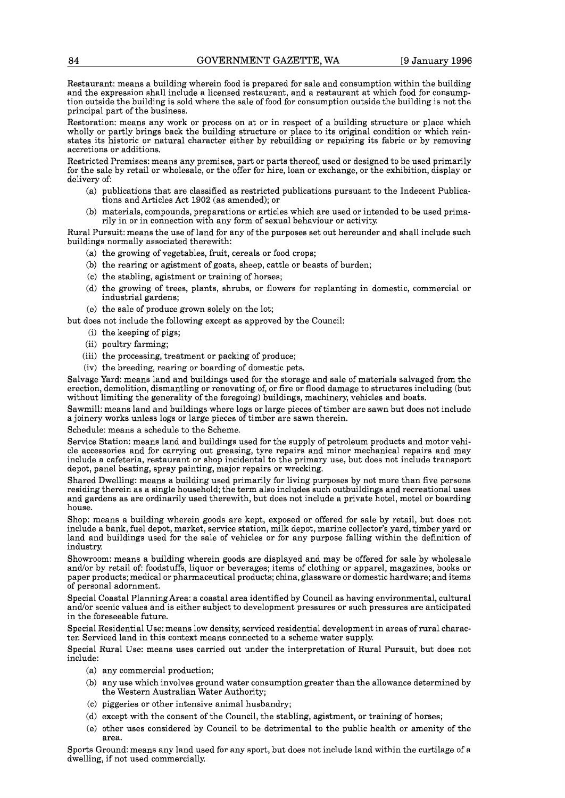Restaurant: means a building wherein food is prepared for sale and consumption within the building and the expression shall include a licensed restaurant, and a restaurant at which food for consumption outside the building is sold where the sale of food for consumption outside the building is not the principal part of the business.

Restoration: means any work or process on at or in respect of a building structure or place which wholly or partly brings back the building structure or place to its original condition or which reinstates its historic or natural character either by rebuilding or repairing its fabric or by removing accretions or additions.

Restricted Premises: means any premises, part or parts thereof, used or designed to be used primarily for the sale by retail or wholesale, or the offer for hire, loan or exchange, or the exhibition, display or delivery of:

- (a) publications that are classified as restricted publications pursuant to the Indecent Publications and Articles Act 1902 (as amended); or
- (b) materials, compounds, preparations or articles which are used or intended to be used primarily in or in connection with any form of sexual behaviour or activity.

Rural Pursuit: means the use of land for any of the purposes set out hereunder and shall include such buildings normally associated therewith:

- (a) the growing of vegetables, fruit, cereals or food crops;
- (b) the rearing or agistment of goats, sheep, cattle or beasts of burden;
- (C) the stabling, agistment or training of horses;
- (d) the growing of trees, plants, shrubs, or flowers for replanting in domestic, commercial or industrial gardens;
- (e) the sale of produce grown solely on the lot;

but does not include the following except as approved by the Council:

- (i) the keeping of pigs;
- (ii) poultry farming;
- (iii) the processing, treatment or packing of produce;
- (iv) the breeding, rearing or boarding of domestic pets.

Salvage Yard: means land and buildings used for the storage and sale of materials salvaged from the erection, demolition, dismantling or renovating of, or fire or flood damage to structures including (but without limiting the generality of the foregoing) buildings, machinery, vehicles and boats.

Sawmill: means land and buildings where logs or large pieces of timber are sawn but does not include a joinery works unless logs or large pieces of timber are sawn therein.

Schedule: means a schedule to the Scheme.

Service Station: means land and buildings used for the supply of petroleum products and motor vehicle accessories and for carrying out greasing, tyre repairs and minor mechanical repairs and may include a cafeteria, restaurant or shop incidental to the primary use, but does not include transport depot, panel beating, spray painting, major repairs or wrecking.

Shared Dwelling: means a building used primarily for living purposes by not more than five persons residing therein as a single household; the term also includes such outbuildings and recreational uses and gardens as are ordinarily used therewith, but does not include a private hotel, motel or boarding house.

Shop: means a building wherein goods are kept, exposed or offered for sale by retail, but does not include a bank, fuel depot, market, service station, milk depot, marine collector's yard, timber yard or land and buildings used for the sale of vehicles or for any purpose falling within the definition of industry

Showroom: means a building wherein goods are displayed and may be offered for sale by wholesale and/or by retail of: foodstuffs, liquor or beverages; items of clothing or apparel, magazines, books or paper products; medical or pharmaceutical products; china, glassware or domestic hardware; and items of personal adornment.

Special Coastal Planning Area: a coastal area identified by Council as having environmental, cultural and/or scenic values and is either subject to development pressures or such pressures are anticipated in the foreseeable future.

Special Residential Use: means low density, serviced residential development in areas of rural character. Serviced land in this context means connected to a scheme water supply.

Special Rural Use: means uses carried out under the interpretation of Rural Pursuit, but does not include:

- (a) any commercial production;
- (b) any use which involves ground water consumption greater than the allowance determined by the Western Australian Water Authority;
- (C) piggeries or other intensive animal husbandry;
- (d) except with the consent of the Council, the stabling, agistment, or training of horses;
- (e) other uses considered by Council to be detrimental to the public health or amenity of the area.

Sports Ground: means any land used for any sport, but does not include land within the curtilage of a dwelling, if not used commercially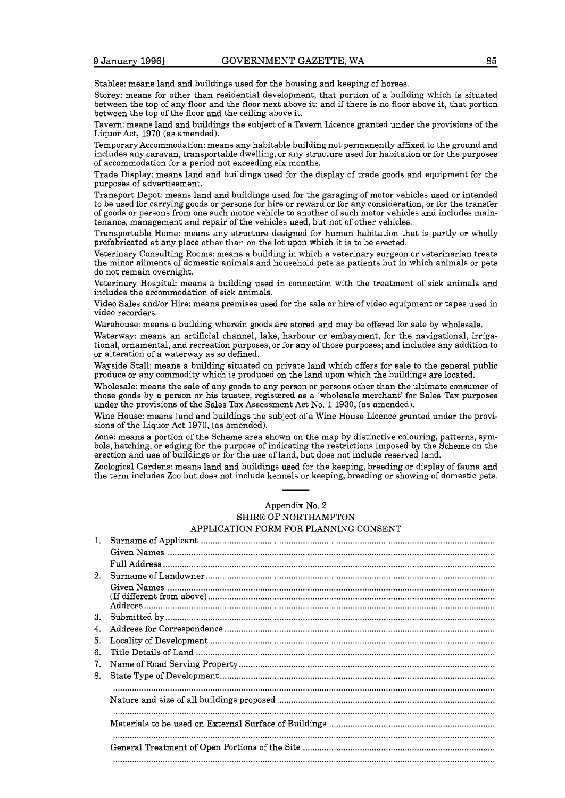Stables: means land and buildings used for the housing and keeping of horses.

Storey: means for other than residential development, that portion of a building which is situated between the top of any floor and the floor next above it: and if there is no floor above it, that portion between the top of the floor and the ceiling above it.

Tavern: means land and buildings the subject of a Tavern Licence granted under the provisions of the Liquor Act, 1970 (as amended).

Temporary Accommodation: means any habitable building not permanently affixed to the ground and includes any caravan, transportable dwelling, or any structure used for habitation or for the purposes of accommodation for a period not exceeding six months.

Trade Display: means land and buildings used for the display of trade goods and equipment for the purposes of advertisement.

Transport Depot: means land and buildings used for the garaging of motor vehicles used or intended to be used for carrying goods or persons for hire or reward or for any consideration, or for the transfer of goods or persons from one such motor vehicle to another of such motor vehicles and includes maintenance, management and repair of the vehicles used, but not of other vehicles.

Transportable Home: means any structure designed for human habitation that is partly or wholly prefabricated at any place other than on the lot upon which it is to be erected.

Veterinary Consulting Rooms: means a building in which a veterinary surgeon or veterinarian treats the minor ailments of domestic animals and household pets as patients but in which animals or pets do not remain overnight.

Veterinary Hospital: means a building used in connection with the treatment of sick animals and includes the accommodation of sick animals.

Video Sales and/or Hire: means premises used for the sale or hire of video equipment or tapes used in video recorders.

Warehouse: means a building wherein goods are stored and may be offered for sale by wholesale.

Waterway: means an artificial channel, lake, harbour or embayment, for the navigational, irrigational, ornamental, and recreation purposes, or for any of those purposes; and includes any addition to or alteration of a waterway as so defined.

Wayside Stall: means a building situated on private land which offers for sale to the general public produce or any commodity which is produced on the land upon which the buildings are located.

Wholesale: means the sale of any goods to any person or persons other than the ultimate consumer of those goods by a person or his trustee, registered as a 'wholesale merchant' for Sales Tax purposes under the provisions of the Sales Tax Assessment Act No. 1 1930, (as amended).

Wine House: means land and buildings the subject of a Wine House Licence granted under the provisions of the Liquor Act 1970, (as amended).

Zone: means a portion of the Scheme area shown on the map by distinctive colouring, patterns, symbols, hatching, or edging for the purpose of indicating the restrictions imposed by the Scheme on the erection and use of buildings or for the use of land, but does not include reserved land.

Zoological Gardens: means land and buildings used for the keeping, breeding or display of fauna and the term includes Zoo but does not include kennels or keeping, breeding or showing of domestic pets.

## Appendix No. **2**

## SHIRE OF NORTHAMPTON APPLICATION FORM FOR PLANNING CONSENT

|                | Appendix No. 2                        |
|----------------|---------------------------------------|
|                | <b>SHIRE OF NORTHAMPTON</b>           |
|                | APPLICATION FORM FOR PLANNING CONSENT |
| $1_{-}$        |                                       |
|                |                                       |
|                |                                       |
| 2 <sub>1</sub> |                                       |
|                |                                       |
|                |                                       |
|                |                                       |
| 3.             |                                       |
| 4.             |                                       |
| 5.             |                                       |
| 6.             |                                       |
| 7.             |                                       |
| 8.             |                                       |
|                |                                       |
|                |                                       |
|                |                                       |
|                |                                       |
|                |                                       |
|                |                                       |
|                |                                       |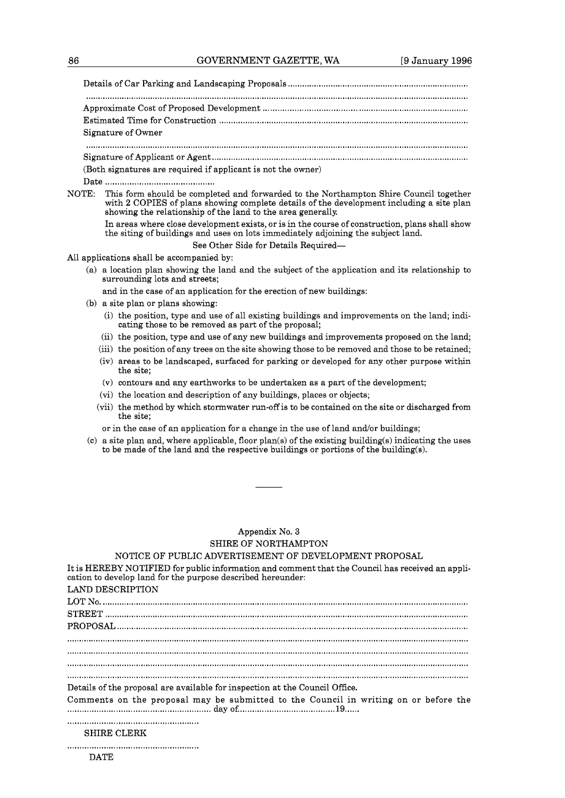Details of Car Parking and Landscaping Proposals ........................ .......................................... Approximate Cost of Proposed Development ..................................................................................... Estimated Time for Construction ......................................................................................................... Signature of Owner ................................................................................................................................................................. Signature of Applicant or Agent ............................................................................................................

(Both signatures are required if applicant is not the owner)

Date ..........................................

NOTE: This form should be completed and forwarded to the Northampton Shire Council together with **2** COPIES of plans showing complete details of the development including a site plan showing the relationship of the land to the area generally.

In areas where close development exists, or is in the course of construction, plans shall show the siting of buildings and uses on lots immediately adjoining the subject land.

See Other Side for Details Required-

All applications shall be accompanied by:

(a) a location plan showing the land and the subject of the application and its relationship to surrounding lots and streets;

and in the case of an application for the erection of new buildings:

- (b) a site plan or plans showing:
	- (i) the position, type and use of all existing buildings and improvements on the land; indicating those to be removed as part of the proposal;
	- (ii) the position, type and use of any new buildings and improvements proposed on the land;
	- (iii) the position of any trees on the site showing those to be removed and those to be retained;
	- (iv) areas to be landscaped, surfaced for parking or developed for any other purpose within the site;
	- (v) contours and any earthworks to be undertaken as a part of the development;
	- (vi) the location and description of any buildings, places or objects;
	- (vii) the method by which stormwater run-off is to be contained on the site or discharged from the site;
	- or in the case of an application for a change in the use of land and/or buildings;
- $(c)$  a site plan and, where applicable, floor plan(s) of the existing building(s) indicating the uses to be made of the land and the respective buildings or portions of the building(s).

## Appendix No. **3**  SHIRE OF NORTHAMPTON

## NOTICE OF PUBLIC ADVERTISEMENT OF DEVELOPMENT PROPOSAL

| It is HEREBY NOTIFIED for public information and comment that the Council has received an appli-<br>cation to develop land for the purpose described hereunder:<br>LAND DESCRIPTION |
|-------------------------------------------------------------------------------------------------------------------------------------------------------------------------------------|
|                                                                                                                                                                                     |
|                                                                                                                                                                                     |
|                                                                                                                                                                                     |
|                                                                                                                                                                                     |
|                                                                                                                                                                                     |
|                                                                                                                                                                                     |
| Details of the proposal are available for inspection at the Council Office.                                                                                                         |
| Comments on the proposal may be submitted to the Council in writing on or before the                                                                                                |
|                                                                                                                                                                                     |
| <b>SHIRE CLERK</b>                                                                                                                                                                  |
|                                                                                                                                                                                     |
| <b>DATE</b>                                                                                                                                                                         |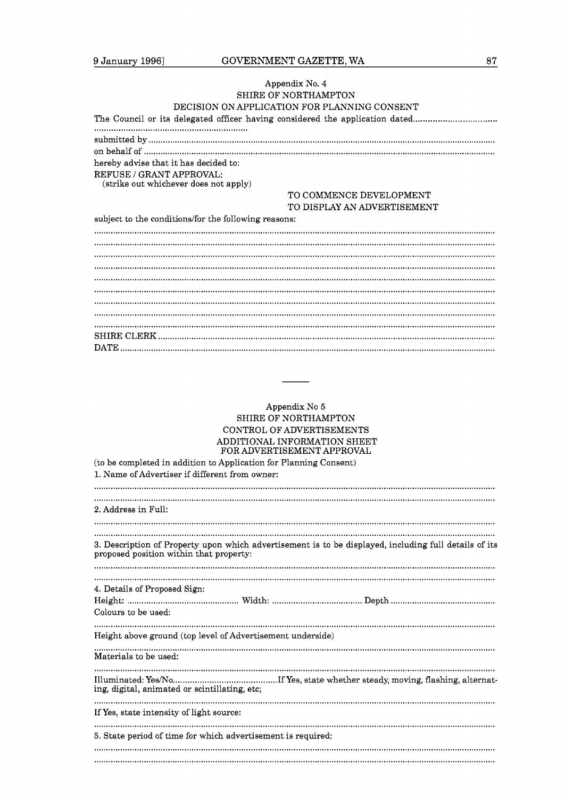## Appendix No. 4 SHIRE OF NORTHAMPTON DECISION ON APPLICATION FOR PLANNING CONSENT

|                                                                   | <u>UNIUN UNII LEIUMILUN LUINLEENIN UUNDEN</u>                                |
|-------------------------------------------------------------------|------------------------------------------------------------------------------|
|                                                                   | The Council or its delegated officer having considered the application dated |
|                                                                   |                                                                              |
|                                                                   |                                                                              |
|                                                                   |                                                                              |
| hereby advise that it has decided to:                             |                                                                              |
| REFUSE / GRANT APPROVAL:<br>(strike out whichever does not apply) |                                                                              |
|                                                                   | TO COMMENCE DEVELOPMENT                                                      |
|                                                                   | TO DISPLAY AN ADVERTISEMENT                                                  |
| subject to the conditions/for the following reasons:              |                                                                              |
|                                                                   |                                                                              |
|                                                                   |                                                                              |
|                                                                   |                                                                              |
|                                                                   |                                                                              |
|                                                                   |                                                                              |
|                                                                   |                                                                              |
|                                                                   |                                                                              |
|                                                                   |                                                                              |
|                                                                   |                                                                              |
|                                                                   |                                                                              |
|                                                                   |                                                                              |
|                                                                   |                                                                              |

## Appendix No 5 SHIRE OF NORTHAMPTON CONTROL OF ADVERTISEMENTS  ${\large \bf ADDITIONAL} \begin{tabular}{l} NFORMATION SHEET \\ FOR ADVERTISEMENT APPROVAL \end{tabular}$

| (to be completed in addition to Application for Planning Consent)                                                                                |
|--------------------------------------------------------------------------------------------------------------------------------------------------|
| 1. Name of Advertiser if different from owner:                                                                                                   |
|                                                                                                                                                  |
|                                                                                                                                                  |
| 2. Address in Full:                                                                                                                              |
|                                                                                                                                                  |
|                                                                                                                                                  |
|                                                                                                                                                  |
| 3. Description of Property upon which advertisement is to be displayed, including full details of its<br>proposed position within that property: |
|                                                                                                                                                  |
|                                                                                                                                                  |
| 4. Details of Proposed Sign:                                                                                                                     |
|                                                                                                                                                  |
| Colours to be used:                                                                                                                              |
|                                                                                                                                                  |
| Height above ground (top level of Advertisement underside)                                                                                       |
| Materials to be used:                                                                                                                            |
|                                                                                                                                                  |
|                                                                                                                                                  |
| ing, digital, animated or scintillating, etc;                                                                                                    |
|                                                                                                                                                  |
| If Yes, state intensity of light source:                                                                                                         |
|                                                                                                                                                  |
| 5. State period of time for which advertisement is required:                                                                                     |
|                                                                                                                                                  |
|                                                                                                                                                  |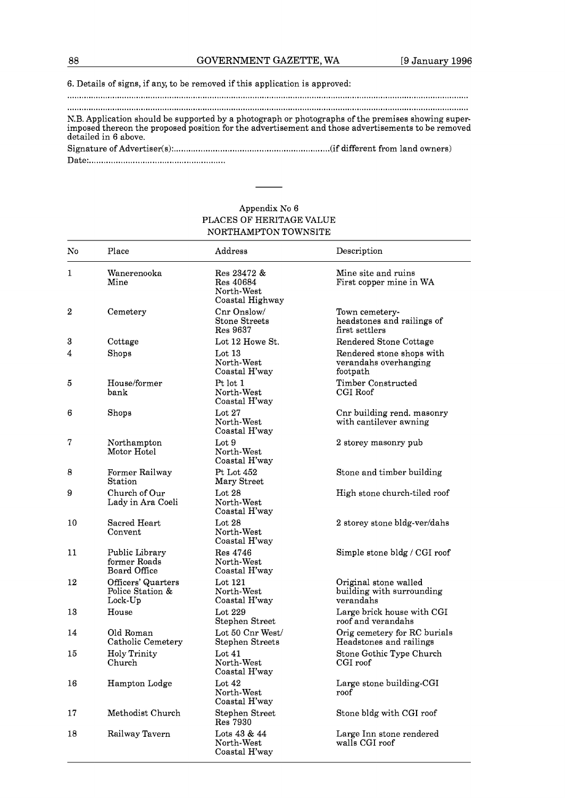## **6.** Details of signs, if any, to be removed if this application is approved:

.........................................................................................................................................................................

N.B. Application should be supported by a photograph or photographs of the premises showing superimposed thereon the proposed position for the advertisement and those advertisements to be removed detailed in **6** above. N.B. Application should be supported by a photograph or photographs of the premises showing suimposed thereon the proposed position for the advertisement and those advertisements to be remedetailed in 6 above.<br>Signature of

Date: ........................................................

## Appendix No **6**  PLACES OF HERITAGE VALUE NORTHAMPTON TOWNSITE

| No           | Place                                             | Address                                                   | Description                                                     |
|--------------|---------------------------------------------------|-----------------------------------------------------------|-----------------------------------------------------------------|
| $\mathbf{1}$ | Wanerenooka<br>Mine                               | Res 23472 &<br>Res 40684<br>North-West<br>Coastal Highway | Mine site and ruins<br>First copper mine in WA                  |
| 2            | Cemetery                                          | Cnr Onslow/<br>Stone Streets<br>Res 9637                  | Town cemetery-<br>headstones and railings of<br>first settlers  |
| 3            | Cottage                                           | Lot 12 Howe St.                                           | Rendered Stone Cottage                                          |
| 4            | $_{\rm Shops}$                                    | Lot $13$<br>North-West<br>Coastal H'way                   | Rendered stone shops with<br>verandahs overhanging<br>footpath  |
| 5            | House/former<br>bank                              | Pt lot 1<br>North-West<br>Coastal H'way                   | Timber Constructed<br>CGI Roof                                  |
| 6            | $_{\rm Shops}$                                    | Lot $27$<br>North-West<br>Coastal H'way                   | Cnr building rend. masonry<br>with cantilever awning            |
| 7            | Northampton<br>Motor Hotel                        | Lot 9<br>North-West<br>Coastal H'way                      | 2 storey masonry pub                                            |
| 8            | Former Railway<br>Station                         | Pt Lot 452<br>Mary Street                                 | Stone and timber building                                       |
| 9            | Church of Our<br>Lady in Ara Coeli                | Lot $28$<br>North-West<br>Coastal H'way                   | High stone church-tiled roof                                    |
| 10           | Sacred Heart<br>Convent                           | Lot $28$<br>North-West<br>Coastal H'way                   | 2 storey stone bldg-ver/dahs                                    |
| 11           | Public Library<br>former Roads<br>Board Office    | Res 4746<br>North-West<br>Coastal H'way                   | Simple stone bldg / CGI roof                                    |
| 12           | Officers' Quarters<br>Police Station &<br>Lock-Up | Lot $121$<br>North-West<br>Coastal H'way                  | Original stone walled<br>building with surrounding<br>verandahs |
| 13           | House                                             | Lot 229<br>Stephen Street                                 | Large brick house with CGI<br>roof and verandahs                |
| 14           | Old Roman<br>Catholic Cemetery                    | Lot 50 Cnr West/<br><b>Stephen Streets</b>                | Orig cemetery for RC burials<br>Headstones and railings         |
| 15           | Holy Trinity<br>Church                            | Lot $41$<br>North-West<br>Coastal H'way                   | Stone Gothic Type Church<br>CGI roof                            |
| 16           | Hampton Lodge                                     | Lot $42$<br>North-West<br>Coastal H'way                   | Large stone building-CGI<br>roof                                |
| 17           | Methodist Church                                  | Stephen Street<br>Res 7930                                | Stone bldg with CGI roof                                        |
| 18           | Railway Tavern                                    | Lots 43 & 44<br>North-West<br>Coastal H'way               | Large Inn stone rendered<br>walls CGI roof                      |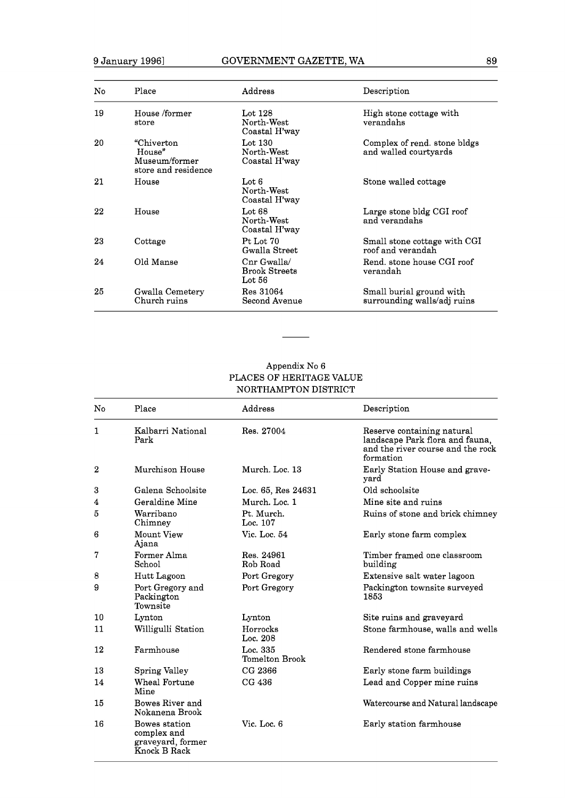| No. | Place                                                         | Address                                         | Description                                             |
|-----|---------------------------------------------------------------|-------------------------------------------------|---------------------------------------------------------|
| 19  | House /former<br>store                                        | Lot $128$<br>North-West<br>Coastal H'way        | High stone cottage with<br>verandahs                    |
| 20  | "Chiverton"<br>House"<br>Museum/former<br>store and residence | Lot $130$<br>North-West<br>Coastal H'way        | Complex of rend. stone bldgs<br>and walled courtyards   |
| 21  | House                                                         | Lot 6<br>North-West<br>Coastal H'way            | Stone walled cottage                                    |
| 22  | House                                                         | Lot $68$<br>North-West<br>Coastal H'way         | Large stone bldg CGI roof<br>and verandahs              |
| 23  | Cottage                                                       | Pt Lot 70<br>Gwalla Street                      | Small stone cottage with CGI<br>roof and verandah       |
| 24  | Old Manse                                                     | Cnr Gwalla/<br><b>Brook Streets</b><br>Lot $56$ | Rend, stone house CGI roof<br>verandah                  |
| 25  | Gwalla Cemetery<br>Church ruins                               | Res 31064<br>Second Avenue                      | Small burial ground with<br>surrounding walls/adj ruins |

## Appendix No 6 PLACES OF HERITAGE VALUE NORTHAMPTON DISTRICT

| No.          | Place                                                             | Address                    | Description                                                                                                     |
|--------------|-------------------------------------------------------------------|----------------------------|-----------------------------------------------------------------------------------------------------------------|
| $\mathbf{1}$ | Kalbarri National<br>Park                                         | Res. 27004                 | Reserve containing natural<br>landscape Park flora and fauna,<br>and the river course and the rock<br>formation |
| $\mathbf 2$  | Murchison House                                                   | Murch, Loc. 13             | Early Station House and grave-<br>yard                                                                          |
| 3            | Galena Schoolsite                                                 | Loc. 65, Res 24631         | Old schoolsite                                                                                                  |
| 4            | Geraldine Mine                                                    | Murch. Loc. 1              | Mine site and ruins                                                                                             |
| 5            | Warribano<br>Chimney                                              | Pt. Murch.<br>Loc. 107     | Ruins of stone and brick chimney                                                                                |
| 6            | Mount View<br>Ajana                                               | Vic. Loc. 54               | Early stone farm complex                                                                                        |
| 7            | Former Alma<br>School                                             | Res. 24961<br>Rob Road     | Timber framed one classroom<br>building                                                                         |
| 8            | Hutt Lagoon                                                       | Port Gregory               | Extensive salt water lagoon                                                                                     |
| 9            | Port Gregory and<br>Packington<br>Townsite                        | Port Gregory               | Packington townsite surveyed<br>1853                                                                            |
| 10           | Lynton                                                            | Lynton                     | Site ruins and graveyard                                                                                        |
| 11           | Willigulli Station                                                | Horrocks<br>Loc. 208       | Stone farmhouse, walls and wells                                                                                |
| 12           | Farmhouse                                                         | Loc. 335<br>Tomelton Brook | Rendered stone farmhouse                                                                                        |
| 13           | Spring Valley                                                     | CG 2366                    | Early stone farm buildings                                                                                      |
| 14           | Wheal Fortune<br>Mine                                             | CG 436                     | Lead and Copper mine ruins                                                                                      |
| 15           | Bowes River and<br>Nokanena Brook                                 |                            | Watercourse and Natural landscape                                                                               |
| 16           | Bowes station<br>complex and<br>graveyard, former<br>Knock B Rack | Vic. Loc. 6                | Early station farmhouse                                                                                         |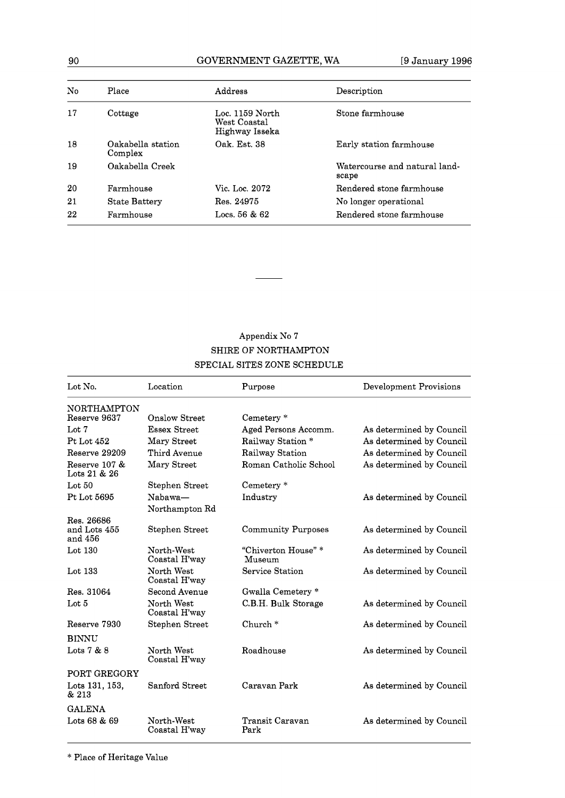## 90 GOVERNMENT GAZETTE, WA [9 January 1996

| No | Place                        | Address                                           | Description                            |
|----|------------------------------|---------------------------------------------------|----------------------------------------|
| 17 | Cottage                      | Loc. 1159 North<br>West Coastal<br>Highway Isseka | Stone farmhouse                        |
| 18 | Oakabella station<br>Complex | Oak. Est. 38                                      | Early station farmhouse                |
| 19 | Oakabella Creek              |                                                   | Watercourse and natural land-<br>scape |
| 20 | Farmhouse                    | Vic. Loc. 2072                                    | Rendered stone farmhouse               |
| 21 | <b>State Battery</b>         | Res. 24975                                        | No longer operational                  |
| 22 | Farmhouse                    | Locs. $56 & 62$                                   | Rendered stone farmhouse               |

## Appendix No 7 SHIRE OF NORTHAMPTON SPECIAL SITES ZONE SCHEDULE

| Lot No.                       | Location                    | Purpose                      | Development Provisions   |
|-------------------------------|-----------------------------|------------------------------|--------------------------|
| NORTHAMPTON                   |                             |                              |                          |
| Reserve 9637                  | Onslow Street               | Cemetery *                   |                          |
| Lot 7                         | <b>Essex Street</b>         | Aged Persons Accomm.         | As determined by Council |
| Pt Lot 452                    | Mary Street                 | Railway Station *            | As determined by Council |
| Reserve 29209                 | Third Avenue                | Railway Station              | As determined by Council |
| Reserve 107 &<br>Lots 21 & 26 | Mary Street                 | Roman Catholic School        | As determined by Council |
| Lot $50$                      | Stephen Street              | Cemetery *                   |                          |
| Pt Lot 5695                   | Nabawa-                     | Industry                     | As determined by Council |
|                               | Northampton Rd              |                              |                          |
| Res. 26686                    |                             |                              |                          |
| and Lots 455<br>and 456       | Stephen Street              | Community Purposes           | As determined by Council |
| Lot $130$                     | North-West<br>Coastal H'way | "Chiverton House"*<br>Museum | As determined by Council |
| Lot $133$                     | North West<br>Coastal H'way | Service Station              | As determined by Council |
| Res. 31064                    | Second Avenue               | Gwalla Cemetery *            |                          |
| Lot 5                         | North West<br>Coastal H'way | C.B.H. Bulk Storage          | As determined by Council |
| Reserve 7930                  | Stephen Street              | Church*                      | As determined by Council |
| <b>BINNU</b>                  |                             |                              |                          |
| Lots $7 & 8 & 8$              | North West<br>Coastal H'way | Roadhouse                    | As determined by Council |
| PORT GREGORY                  |                             |                              |                          |
| Lots 131, 153,<br>& 213       | Sanford Street              | Caravan Park                 | As determined by Council |
| <b>GALENA</b>                 |                             |                              |                          |
| Lots 68 & 69                  | North-West<br>Coastal H'way | Transit Caravan<br>Park      | As determined by Council |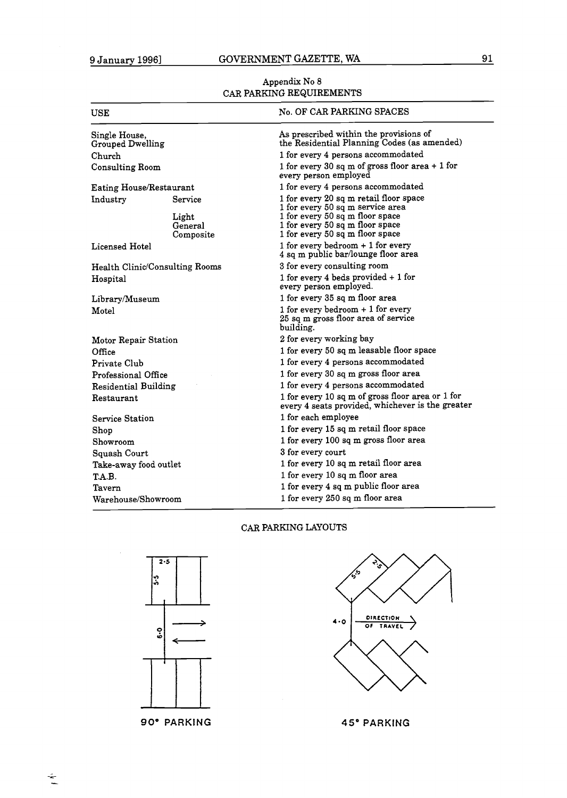Appendix No 8 CAR PARKING REQUIREMENTS

| USE                               |                                | No. OF CAR PARKING SPACES                                                                             |
|-----------------------------------|--------------------------------|-------------------------------------------------------------------------------------------------------|
| Single House,<br>Grouped Dwelling |                                | As prescribed within the provisions of<br>the Residential Planning Codes (as amended)                 |
| Church                            |                                | 1 for every 4 persons accommodated                                                                    |
| Consulting Room                   |                                | 1 for every 30 sq m of gross floor area $+1$ for<br>every person employed                             |
| <b>Eating House/Restaurant</b>    |                                | 1 for every 4 persons accommodated                                                                    |
| Industry                          | Service                        | 1 for every 20 sq m retail floor space<br>1 for every 50 sq m service area                            |
|                                   | Light<br>General<br>Composite  | 1 for every 50 sq m floor space<br>1 for every 50 sq m floor space<br>1 for every 50 sq m floor space |
| Licensed Hotel                    |                                | 1 for every bedroom $+1$ for every<br>4 sq m public bar/lounge floor area                             |
|                                   | Health Clinic/Consulting Rooms | 3 for every consulting room                                                                           |
| Hospital                          |                                | 1 for every 4 beds provided + 1 for<br>every person employed.                                         |
| Library/Museum                    |                                | 1 for every 35 sq m floor area                                                                        |
| Motel                             |                                | 1 for every bedroom $+1$ for every<br>25 sq m gross floor area of service<br>building.                |
| Motor Repair Station              |                                | 2 for every working bay                                                                               |
| Office                            |                                | 1 for every 50 sq m leasable floor space                                                              |
| Private Club                      |                                | 1 for every 4 persons accommodated                                                                    |
| Professional Office               |                                | 1 for every 30 sq m gross floor area                                                                  |
| <b>Residential Building</b>       |                                | 1 for every 4 persons accommodated                                                                    |
| Restaurant                        |                                | 1 for every 10 sq m of gross floor area or 1 for<br>every 4 seats provided, whichever is the greater  |
| Service Station                   |                                | 1 for each employee                                                                                   |
| Shop                              |                                | 1 for every 15 sq m retail floor space                                                                |
| Showroom                          |                                | 1 for every 100 sq m gross floor area                                                                 |
| Squash Court                      |                                | 3 for every court                                                                                     |
| Take-away food outlet             |                                | 1 for every 10 sq m retail floor area                                                                 |
| T.A.B.                            |                                | 1 for every 10 sq m floor area                                                                        |
| Tavern                            |                                | 1 for every 4 sq m public floor area                                                                  |
| Warehouse/Showroom                |                                | 1 for every 250 sq m floor area                                                                       |

## CAR PARKING LAYOUTS



**90" PARKING 45" PARKING** 

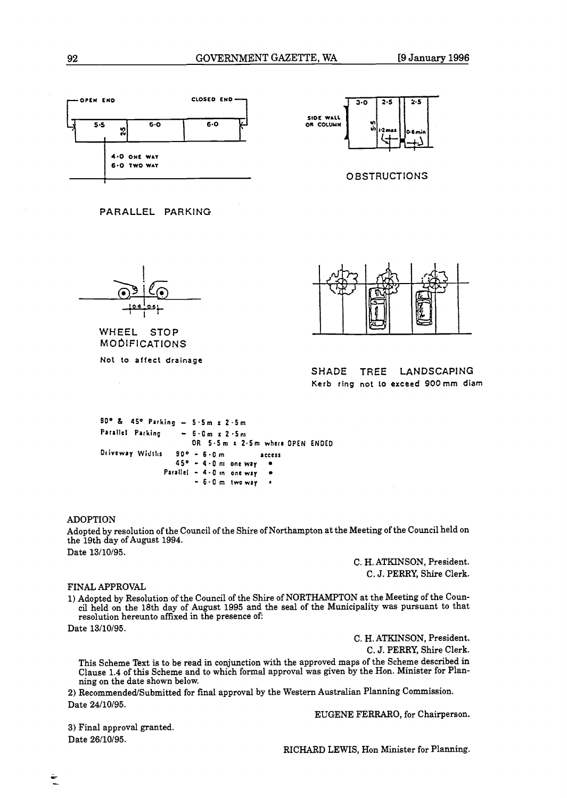



**OBSTRUCTIONS** 



**WHEEL STOP MODIFICATIONS** 

**No1 to affect drainage** 



**SHADE TREE LANDSCAPING Kerb ring** not **to exceed 900mm diam** 

```
SO0 L 4f0 Parking - 5.5m r 2 .5m 
P~rrllcl Parking - 6.0m X 2 .5n1 
                     OR 5-Sm X t.5m wherc OPEN ENDED 
Drivewry Widtlrs 90° - 6.g m access 
                 4S0 - 4.0111 oneway 
              Parallel - 4 -0 In one way 
                                        \bullet- 6.Om twwry a
```
## ADOPTION

Adopted by resolution of the Council of the Shire of Northampton at the Meeting of the Council held on the 19th day of August 1994. Date 13/10/95.

C. H. ATKINSON, President. C. J. PERRY, Shire Clerk.

## FINAL APPROVAL

1) Adopted by Resolution of the Council of the Shire of NORTHAMPTON at the Meeting of the Council held on the 18th day of August 1995 and the seal of the Municipality was pursuant to that resolution hereunto affixed in the presence of:

Date 13/10/95.

C. H. ATKINSON, President.

C. J. PERRY, Shire Clerk.

This Scheme Text is to be read in conjunction with the approved maps of the Scheme described in Clause 1.4 of this Scheme and to which formal approval was given by the Hon. Minister for Planning on the date shown below.

2) Recommended/Submitted for final approval by the Western Australian Planning Commission. Date 24/10/95.

EUGENE FERRARO, for Chairperson.

**3)** Final approval granted. Date 26/10/95.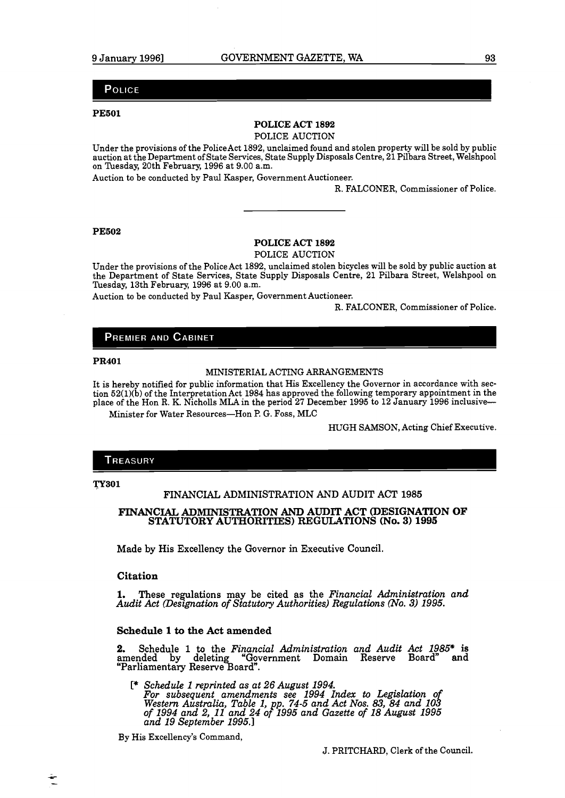## POLICE

#### **PE501**

## **POLICE ACT 1892**

## POLICE AUCTION

Under the provisions of the PoliceAct 1892, unclaimed found and stolen property will be sold by public auction at the Department of State Services, State Supply Disposals Centre, 21 Pilbara Street, Welshpool on Tuesday, 20th February, 1996 at 9.00 a.m.

Auction to be conducted by Paul Kasper, Government Auctioneer.

R. FALCONER, Commissioner of Police.

#### **PE502**

## **POLICE ACT 1892**

POLICE AUCTION

Under the provisions of the Police Act 1892, unclaimed stolen bicycles will be sold by public auction at the Department of State Services, State Supply Disposals Centre, 21 Pilbara Street, Welshpool on Tuesday, 13th February, 1996 at 9.00 a.m.

Auction to be conducted by Paul Kasper, Government Auctioneer.

R. FALCONER, Commissioner of Police.

## **PREMIER AND CABINET**

#### **PR401**

## MINISTERIAL ACTING ARRANGEMENTS

It is hereby notified for public information that His Excellency the Governor in accordance with section 52(l)(b) of the Interpretation Act 1984 has approved the following temporary appointment in the place of the Hon R. K. Nicholls MLA in the period **27** December 1995 to 12 January 1996 inclusive-- Minister for Water Resources-Hon P. G. Foss, MLC

HUGH SAMSON, Acting Chief Executive.

### TREASURY

**F301** 

## FINANCIAL ADMINISTRATION AND AUDIT ACT 1985

## **FINANCIAL ADMINISTRATION AND AUDIT ACT (DESIGNATION OF STATUTORY AUTHORITIES) REGULATIONS (No. 3) 1995**

Made by His Excellency the Governor in Executive Council.

## **Citation**

**1.** These regulations may be cited as the *Financial Administration and Audit Act (Deszgnation of Statutory Authorities) Regulations (No.* **3)** *1995.* 

## **Schedule 1 to the Act amended**

2. Schedule 1 to the *Financial Administration and Audit Act 1985\** is "Government Domain Reserve Board" amended by deleting "Governmentary Reserve Board".

[\* *Schedule 1 reprinted as at 26 August 1994. For subsequent amendments see 1994 Index to Legislation of Western Australia, Table 1, pp. 74-5 and Act Nos. 83, 84 and 103 of 1994 and 2, 11 and 24 oF1995 and Gazette of 18 August 1995 and 19 September 1995.1* 

By His Excellency's Command,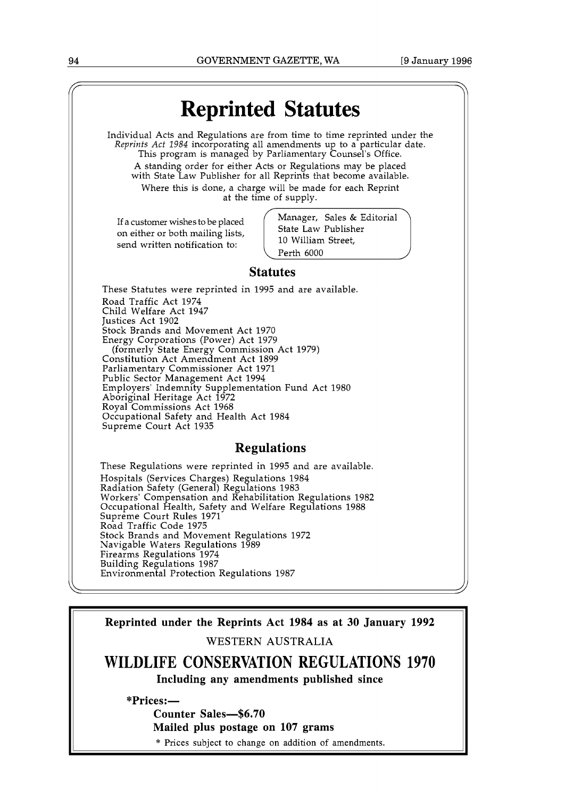

**WILDLIFE CONSERVATION REGULATIONS 1970 Including any amendments published since** 

**\*Prices:-** 

**Counter Sales-\$6.70** 

**Mailed plus postage on 107 grams** 

\* Prices subject to change on addition of amendments.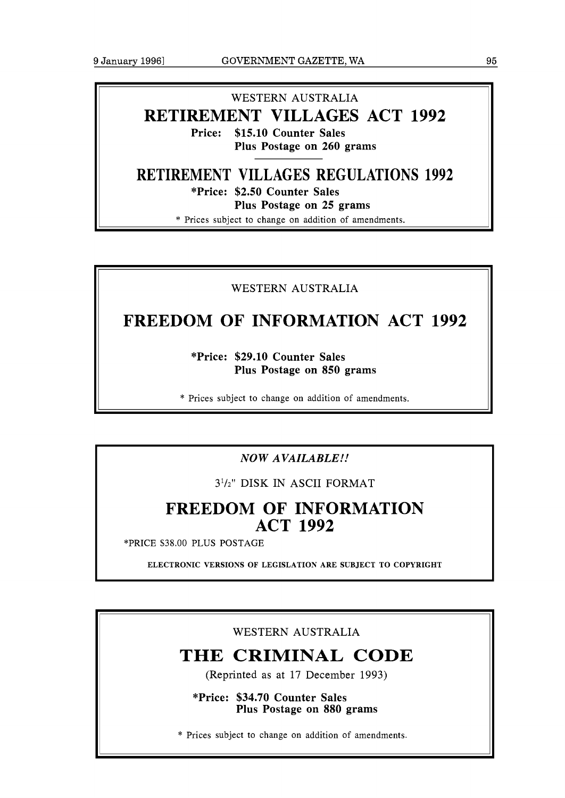## WESTERN AUSTRALIA **RETIREMENT VILLAGES ACT 1992**

**Price: \$15.10 Counter Sales Plus Postage on 260 grams** 

## **RETIREMENT VILLAGES REGULATIONS 1992**

**\*Price: \$2.50 Counter Sales Plus Postage on 25 grams** 

\* Prices subject to change on addition of amendments.

## WESTERN AUSTRALIA

## **FREEDOM OF INFORMATION ACT 1992**

**\*Price: \$29.10 Counter Sales Plus Postage on 850 grams** 

\* Prices subject to change on addition of amendments.

## *NOW AVAILABLE!!*

31/z" DISK IN ASCII FORMAT

## **FREEDOM OF INFORMATION ACT 1992**

\*PRICE \$38.00 PLUS POSTAGE

**ELECTRONIC VERSIONS OF LEGISLATION ARE SUBJECT TO COPYRIGHT** 

WESTERN AUSTRALIA

## **THE CRIMINAL CODE**

(Reprinted as at 17 December 1993)

**\*Price: \$34.70 Counter Sales Plus Postage on 880 grams** 

\* Prices subject to change on addition of amendments.